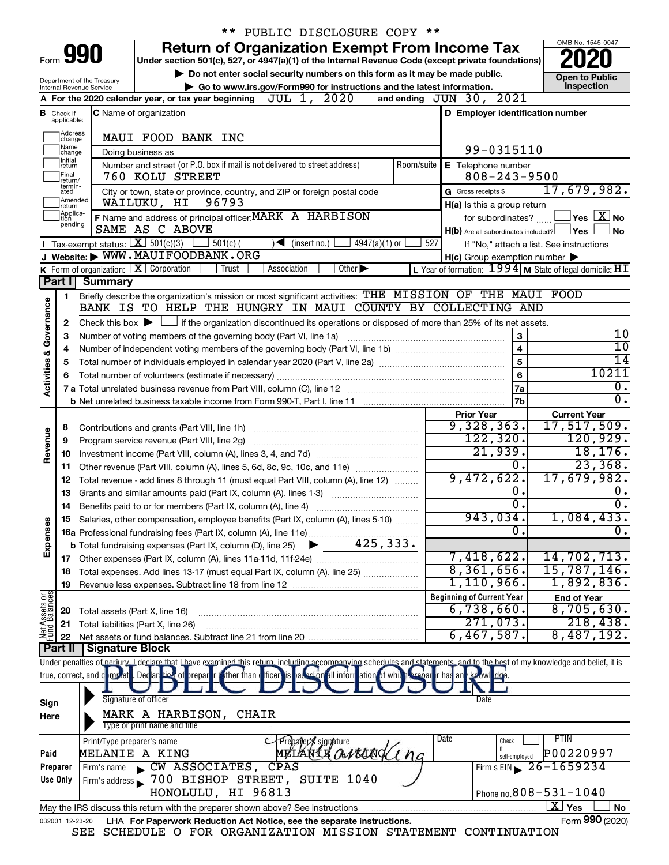| <b>Return of Organization Exempt From Income Tax</b><br>Form 990<br>Under section 501(c), 527, or 4947(a)(1) of the Internal Revenue Code (except private foundations)<br>Do not enter social security numbers on this form as it may be made public.<br><b>Open to Public</b><br>Department of the Treasury<br>Inspection<br>Go to www.irs.gov/Form990 for instructions and the latest information.<br>Internal Revenue Service<br>and ending JUN 30, 2021<br>A For the 2020 calendar year, or tax year beginning $JUL$ 1, $2020$<br>C Name of organization<br>D Employer identification number<br><b>B</b> Check if<br>applicable:<br>Address<br>MAUI FOOD BANK INC<br>change<br>Name<br>99-0315110<br>Doing business as<br>change<br>Initial<br>Number and street (or P.O. box if mail is not delivered to street address)<br>Room/suite   E Telephone number<br>return<br>Final<br>$808 - 243 - 9500$<br>760 KOLU STREET<br>return/<br>termin-<br>17,679,982.<br>G Gross receipts \$<br>City or town, state or province, country, and ZIP or foreign postal code<br>ated<br>Amended<br>96793<br>WAILUKU, HI<br>H(a) Is this a group return<br>return<br>Applica-<br>F Name and address of principal officer: MARK A HARBISON<br>$\,$ Yes $\,$ $\rm X$ No $\,$<br>for subordinates?<br>tion<br>pending<br>SAME AS C ABOVE<br>$H(b)$ Are all subordinates included? $\Box$ Yes<br>No<br>Tax-exempt status: $X \over 301(c)(3)$<br>$4947(a)(1)$ or<br>$501(c)$ (<br>$\sqrt{\frac{1}{1}}$ (insert no.)<br>527<br>If "No," attach a list. See instructions<br>J Website: WWW.MAUIFOODBANK.ORG<br>$H(c)$ Group exemption number $\blacktriangleright$<br><b>K</b> Form of organization: $\boxed{\textbf{X}}$ Corporation<br>L Year of formation: $1994$ M State of legal domicile: $HT$<br>Trust<br>Association<br>Other $\blacktriangleright$<br>Part I Summary<br>Briefly describe the organization's mission or most significant activities: THE MISSION OF THE MAUI FOOD<br>1<br>Activities & Governance<br>BANK IS TO HELP THE HUNGRY IN MAUI COUNTY BY COLLECTING AND<br>Check this box $\blacktriangleright$ $\Box$ if the organization discontinued its operations or disposed of more than 25% of its net assets.<br>2<br>10<br>3<br>Number of voting members of the governing body (Part VI, line 1a)<br>З<br>10<br>$\overline{\mathbf{4}}$<br>4<br>$\overline{14}$<br>5<br>5<br>10211<br>6<br>6<br>0.<br>7a<br>$\overline{0}$ .<br>7b<br><b>Prior Year</b><br><b>Current Year</b><br>$17,517,509$ .<br>9,328,363.<br>8<br>Revenue<br>122, 320.<br>120,929.<br>9<br>Program service revenue (Part VIII, line 2g)<br>21,939.<br>18, 176.<br>10<br>23,368.<br>0.<br>Other revenue (Part VIII, column (A), lines 5, 6d, 8c, 9c, 10c, and 11e)<br>11<br>9,472,622.<br>17,679,982.<br>12<br>Total revenue - add lines 8 through 11 (must equal Part VIII, column (A), line 12)<br>О.<br>υ.<br>Grants and similar amounts paid (Part IX, column (A), lines 1-3)<br>13<br>$\overline{0}$ .<br>σ.<br>Benefits paid to or for members (Part IX, column (A), line 4)<br>14<br>943,034.<br>$1,084,433$ .<br>15 Salaries, other compensation, employee benefits (Part IX, column (A), lines 5-10)<br>Expenses<br>0<br>7,418,622.<br>14,702,713.<br>8,361,656.<br>15,787,146.<br>Total expenses. Add lines 13-17 (must equal Part IX, column (A), line 25)<br>18<br>1,110,966.<br>1,892,836.<br>19<br><b>Net Assets or</b><br>Fund Balances<br><b>Beginning of Current Year</b><br><b>End of Year</b><br>8,705,630.<br>$6,738,660$ .<br>Total assets (Part X, line 16)<br>20<br>271,073.<br>218,438.<br>Total liabilities (Part X, line 26)<br>21<br>6,467,587.<br>8,487,192.<br>22<br><b>Part II   Signature Block</b><br>Under penalties of periury. I declare that I have examined this return, including accompanying schedules and statements, and to the hest of my knowledge and belief, it is<br>true, correct, and complete. Declar<br>tion of prepar<br>ther than (ficer<br>asset or all information of which<br>n prenar ir has an<br>Signature of officer<br>Date<br>Sign<br>MARK A HARBISON,<br><b>CHAIR</b><br>Here<br>Type or print name and title<br>Date<br><b>PTIN</b><br>Check<br>Print/Type preparer's name<br>Prepayer sjgnature<br>METANTE AVECOGLI na<br>P00220997<br><b>MELANIE A KING</b><br>Paid<br>self-employed<br>Firm's EIN $\geq 26 - 1659234$<br>CW ASSOCIATES, CPAS<br>Preparer<br>Firm's name<br>Firm's address 300 BISHOP STREET, SUITE 1040<br>Use Only<br>Phone no. $808 - 531 - 1040$<br>HONOLULU, HI 96813 |  | PUBLIC DISCLOSURE COPY ** |  |  |                                 |
|----------------------------------------------------------------------------------------------------------------------------------------------------------------------------------------------------------------------------------------------------------------------------------------------------------------------------------------------------------------------------------------------------------------------------------------------------------------------------------------------------------------------------------------------------------------------------------------------------------------------------------------------------------------------------------------------------------------------------------------------------------------------------------------------------------------------------------------------------------------------------------------------------------------------------------------------------------------------------------------------------------------------------------------------------------------------------------------------------------------------------------------------------------------------------------------------------------------------------------------------------------------------------------------------------------------------------------------------------------------------------------------------------------------------------------------------------------------------------------------------------------------------------------------------------------------------------------------------------------------------------------------------------------------------------------------------------------------------------------------------------------------------------------------------------------------------------------------------------------------------------------------------------------------------------------------------------------------------------------------------------------------------------------------------------------------------------------------------------------------------------------------------------------------------------------------------------------------------------------------------------------------------------------------------------------------------------------------------------------------------------------------------------------------------------------------------------------------------------------------------------------------------------------------------------------------------------------------------------------------------------------------------------------------------------------------------------------------------------------------------------------------------------------------------------------------------------------------------------------------------------------------------------------------------------------------------------------------------------------------------------------------------------------------------------------------------------------------------------------------------------------------------------------------------------------------------------------------------------------------------------------------------------------------------------------------------------------------------------------------------------------------------------------------------------------------------------------------------------------------------------------------------------------------------------------------------------------------------------------------------------------------------------------------------------------------------------------------------------------------------------------------------------------------------------------------------------------------------------------------------------------------------------------------------------------------------------------------------------------------------------------------------------------------------------------------------------------------------------------------------------------------------------------------------------------------------------------------------------------------------------------------------------------------------------------------------------------------------------------------------------------------------------------------------------------------------------------------------------------------------------------------------------------------------|--|---------------------------|--|--|---------------------------------|
|                                                                                                                                                                                                                                                                                                                                                                                                                                                                                                                                                                                                                                                                                                                                                                                                                                                                                                                                                                                                                                                                                                                                                                                                                                                                                                                                                                                                                                                                                                                                                                                                                                                                                                                                                                                                                                                                                                                                                                                                                                                                                                                                                                                                                                                                                                                                                                                                                                                                                                                                                                                                                                                                                                                                                                                                                                                                                                                                                                                                                                                                                                                                                                                                                                                                                                                                                                                                                                                                                                                                                                                                                                                                                                                                                                                                                                                                                                                                                                                                                                                                                                                                                                                                                                                                                                                                                                                                                                                                                                                                              |  |                           |  |  | OMB No. 1545-0047               |
|                                                                                                                                                                                                                                                                                                                                                                                                                                                                                                                                                                                                                                                                                                                                                                                                                                                                                                                                                                                                                                                                                                                                                                                                                                                                                                                                                                                                                                                                                                                                                                                                                                                                                                                                                                                                                                                                                                                                                                                                                                                                                                                                                                                                                                                                                                                                                                                                                                                                                                                                                                                                                                                                                                                                                                                                                                                                                                                                                                                                                                                                                                                                                                                                                                                                                                                                                                                                                                                                                                                                                                                                                                                                                                                                                                                                                                                                                                                                                                                                                                                                                                                                                                                                                                                                                                                                                                                                                                                                                                                                              |  |                           |  |  |                                 |
|                                                                                                                                                                                                                                                                                                                                                                                                                                                                                                                                                                                                                                                                                                                                                                                                                                                                                                                                                                                                                                                                                                                                                                                                                                                                                                                                                                                                                                                                                                                                                                                                                                                                                                                                                                                                                                                                                                                                                                                                                                                                                                                                                                                                                                                                                                                                                                                                                                                                                                                                                                                                                                                                                                                                                                                                                                                                                                                                                                                                                                                                                                                                                                                                                                                                                                                                                                                                                                                                                                                                                                                                                                                                                                                                                                                                                                                                                                                                                                                                                                                                                                                                                                                                                                                                                                                                                                                                                                                                                                                                              |  |                           |  |  |                                 |
|                                                                                                                                                                                                                                                                                                                                                                                                                                                                                                                                                                                                                                                                                                                                                                                                                                                                                                                                                                                                                                                                                                                                                                                                                                                                                                                                                                                                                                                                                                                                                                                                                                                                                                                                                                                                                                                                                                                                                                                                                                                                                                                                                                                                                                                                                                                                                                                                                                                                                                                                                                                                                                                                                                                                                                                                                                                                                                                                                                                                                                                                                                                                                                                                                                                                                                                                                                                                                                                                                                                                                                                                                                                                                                                                                                                                                                                                                                                                                                                                                                                                                                                                                                                                                                                                                                                                                                                                                                                                                                                                              |  |                           |  |  |                                 |
|                                                                                                                                                                                                                                                                                                                                                                                                                                                                                                                                                                                                                                                                                                                                                                                                                                                                                                                                                                                                                                                                                                                                                                                                                                                                                                                                                                                                                                                                                                                                                                                                                                                                                                                                                                                                                                                                                                                                                                                                                                                                                                                                                                                                                                                                                                                                                                                                                                                                                                                                                                                                                                                                                                                                                                                                                                                                                                                                                                                                                                                                                                                                                                                                                                                                                                                                                                                                                                                                                                                                                                                                                                                                                                                                                                                                                                                                                                                                                                                                                                                                                                                                                                                                                                                                                                                                                                                                                                                                                                                                              |  |                           |  |  |                                 |
|                                                                                                                                                                                                                                                                                                                                                                                                                                                                                                                                                                                                                                                                                                                                                                                                                                                                                                                                                                                                                                                                                                                                                                                                                                                                                                                                                                                                                                                                                                                                                                                                                                                                                                                                                                                                                                                                                                                                                                                                                                                                                                                                                                                                                                                                                                                                                                                                                                                                                                                                                                                                                                                                                                                                                                                                                                                                                                                                                                                                                                                                                                                                                                                                                                                                                                                                                                                                                                                                                                                                                                                                                                                                                                                                                                                                                                                                                                                                                                                                                                                                                                                                                                                                                                                                                                                                                                                                                                                                                                                                              |  |                           |  |  |                                 |
|                                                                                                                                                                                                                                                                                                                                                                                                                                                                                                                                                                                                                                                                                                                                                                                                                                                                                                                                                                                                                                                                                                                                                                                                                                                                                                                                                                                                                                                                                                                                                                                                                                                                                                                                                                                                                                                                                                                                                                                                                                                                                                                                                                                                                                                                                                                                                                                                                                                                                                                                                                                                                                                                                                                                                                                                                                                                                                                                                                                                                                                                                                                                                                                                                                                                                                                                                                                                                                                                                                                                                                                                                                                                                                                                                                                                                                                                                                                                                                                                                                                                                                                                                                                                                                                                                                                                                                                                                                                                                                                                              |  |                           |  |  |                                 |
|                                                                                                                                                                                                                                                                                                                                                                                                                                                                                                                                                                                                                                                                                                                                                                                                                                                                                                                                                                                                                                                                                                                                                                                                                                                                                                                                                                                                                                                                                                                                                                                                                                                                                                                                                                                                                                                                                                                                                                                                                                                                                                                                                                                                                                                                                                                                                                                                                                                                                                                                                                                                                                                                                                                                                                                                                                                                                                                                                                                                                                                                                                                                                                                                                                                                                                                                                                                                                                                                                                                                                                                                                                                                                                                                                                                                                                                                                                                                                                                                                                                                                                                                                                                                                                                                                                                                                                                                                                                                                                                                              |  |                           |  |  |                                 |
|                                                                                                                                                                                                                                                                                                                                                                                                                                                                                                                                                                                                                                                                                                                                                                                                                                                                                                                                                                                                                                                                                                                                                                                                                                                                                                                                                                                                                                                                                                                                                                                                                                                                                                                                                                                                                                                                                                                                                                                                                                                                                                                                                                                                                                                                                                                                                                                                                                                                                                                                                                                                                                                                                                                                                                                                                                                                                                                                                                                                                                                                                                                                                                                                                                                                                                                                                                                                                                                                                                                                                                                                                                                                                                                                                                                                                                                                                                                                                                                                                                                                                                                                                                                                                                                                                                                                                                                                                                                                                                                                              |  |                           |  |  |                                 |
|                                                                                                                                                                                                                                                                                                                                                                                                                                                                                                                                                                                                                                                                                                                                                                                                                                                                                                                                                                                                                                                                                                                                                                                                                                                                                                                                                                                                                                                                                                                                                                                                                                                                                                                                                                                                                                                                                                                                                                                                                                                                                                                                                                                                                                                                                                                                                                                                                                                                                                                                                                                                                                                                                                                                                                                                                                                                                                                                                                                                                                                                                                                                                                                                                                                                                                                                                                                                                                                                                                                                                                                                                                                                                                                                                                                                                                                                                                                                                                                                                                                                                                                                                                                                                                                                                                                                                                                                                                                                                                                                              |  |                           |  |  |                                 |
|                                                                                                                                                                                                                                                                                                                                                                                                                                                                                                                                                                                                                                                                                                                                                                                                                                                                                                                                                                                                                                                                                                                                                                                                                                                                                                                                                                                                                                                                                                                                                                                                                                                                                                                                                                                                                                                                                                                                                                                                                                                                                                                                                                                                                                                                                                                                                                                                                                                                                                                                                                                                                                                                                                                                                                                                                                                                                                                                                                                                                                                                                                                                                                                                                                                                                                                                                                                                                                                                                                                                                                                                                                                                                                                                                                                                                                                                                                                                                                                                                                                                                                                                                                                                                                                                                                                                                                                                                                                                                                                                              |  |                           |  |  |                                 |
|                                                                                                                                                                                                                                                                                                                                                                                                                                                                                                                                                                                                                                                                                                                                                                                                                                                                                                                                                                                                                                                                                                                                                                                                                                                                                                                                                                                                                                                                                                                                                                                                                                                                                                                                                                                                                                                                                                                                                                                                                                                                                                                                                                                                                                                                                                                                                                                                                                                                                                                                                                                                                                                                                                                                                                                                                                                                                                                                                                                                                                                                                                                                                                                                                                                                                                                                                                                                                                                                                                                                                                                                                                                                                                                                                                                                                                                                                                                                                                                                                                                                                                                                                                                                                                                                                                                                                                                                                                                                                                                                              |  |                           |  |  |                                 |
|                                                                                                                                                                                                                                                                                                                                                                                                                                                                                                                                                                                                                                                                                                                                                                                                                                                                                                                                                                                                                                                                                                                                                                                                                                                                                                                                                                                                                                                                                                                                                                                                                                                                                                                                                                                                                                                                                                                                                                                                                                                                                                                                                                                                                                                                                                                                                                                                                                                                                                                                                                                                                                                                                                                                                                                                                                                                                                                                                                                                                                                                                                                                                                                                                                                                                                                                                                                                                                                                                                                                                                                                                                                                                                                                                                                                                                                                                                                                                                                                                                                                                                                                                                                                                                                                                                                                                                                                                                                                                                                                              |  |                           |  |  |                                 |
|                                                                                                                                                                                                                                                                                                                                                                                                                                                                                                                                                                                                                                                                                                                                                                                                                                                                                                                                                                                                                                                                                                                                                                                                                                                                                                                                                                                                                                                                                                                                                                                                                                                                                                                                                                                                                                                                                                                                                                                                                                                                                                                                                                                                                                                                                                                                                                                                                                                                                                                                                                                                                                                                                                                                                                                                                                                                                                                                                                                                                                                                                                                                                                                                                                                                                                                                                                                                                                                                                                                                                                                                                                                                                                                                                                                                                                                                                                                                                                                                                                                                                                                                                                                                                                                                                                                                                                                                                                                                                                                                              |  |                           |  |  |                                 |
|                                                                                                                                                                                                                                                                                                                                                                                                                                                                                                                                                                                                                                                                                                                                                                                                                                                                                                                                                                                                                                                                                                                                                                                                                                                                                                                                                                                                                                                                                                                                                                                                                                                                                                                                                                                                                                                                                                                                                                                                                                                                                                                                                                                                                                                                                                                                                                                                                                                                                                                                                                                                                                                                                                                                                                                                                                                                                                                                                                                                                                                                                                                                                                                                                                                                                                                                                                                                                                                                                                                                                                                                                                                                                                                                                                                                                                                                                                                                                                                                                                                                                                                                                                                                                                                                                                                                                                                                                                                                                                                                              |  |                           |  |  |                                 |
|                                                                                                                                                                                                                                                                                                                                                                                                                                                                                                                                                                                                                                                                                                                                                                                                                                                                                                                                                                                                                                                                                                                                                                                                                                                                                                                                                                                                                                                                                                                                                                                                                                                                                                                                                                                                                                                                                                                                                                                                                                                                                                                                                                                                                                                                                                                                                                                                                                                                                                                                                                                                                                                                                                                                                                                                                                                                                                                                                                                                                                                                                                                                                                                                                                                                                                                                                                                                                                                                                                                                                                                                                                                                                                                                                                                                                                                                                                                                                                                                                                                                                                                                                                                                                                                                                                                                                                                                                                                                                                                                              |  |                           |  |  |                                 |
|                                                                                                                                                                                                                                                                                                                                                                                                                                                                                                                                                                                                                                                                                                                                                                                                                                                                                                                                                                                                                                                                                                                                                                                                                                                                                                                                                                                                                                                                                                                                                                                                                                                                                                                                                                                                                                                                                                                                                                                                                                                                                                                                                                                                                                                                                                                                                                                                                                                                                                                                                                                                                                                                                                                                                                                                                                                                                                                                                                                                                                                                                                                                                                                                                                                                                                                                                                                                                                                                                                                                                                                                                                                                                                                                                                                                                                                                                                                                                                                                                                                                                                                                                                                                                                                                                                                                                                                                                                                                                                                                              |  |                           |  |  |                                 |
|                                                                                                                                                                                                                                                                                                                                                                                                                                                                                                                                                                                                                                                                                                                                                                                                                                                                                                                                                                                                                                                                                                                                                                                                                                                                                                                                                                                                                                                                                                                                                                                                                                                                                                                                                                                                                                                                                                                                                                                                                                                                                                                                                                                                                                                                                                                                                                                                                                                                                                                                                                                                                                                                                                                                                                                                                                                                                                                                                                                                                                                                                                                                                                                                                                                                                                                                                                                                                                                                                                                                                                                                                                                                                                                                                                                                                                                                                                                                                                                                                                                                                                                                                                                                                                                                                                                                                                                                                                                                                                                                              |  |                           |  |  |                                 |
|                                                                                                                                                                                                                                                                                                                                                                                                                                                                                                                                                                                                                                                                                                                                                                                                                                                                                                                                                                                                                                                                                                                                                                                                                                                                                                                                                                                                                                                                                                                                                                                                                                                                                                                                                                                                                                                                                                                                                                                                                                                                                                                                                                                                                                                                                                                                                                                                                                                                                                                                                                                                                                                                                                                                                                                                                                                                                                                                                                                                                                                                                                                                                                                                                                                                                                                                                                                                                                                                                                                                                                                                                                                                                                                                                                                                                                                                                                                                                                                                                                                                                                                                                                                                                                                                                                                                                                                                                                                                                                                                              |  |                           |  |  |                                 |
|                                                                                                                                                                                                                                                                                                                                                                                                                                                                                                                                                                                                                                                                                                                                                                                                                                                                                                                                                                                                                                                                                                                                                                                                                                                                                                                                                                                                                                                                                                                                                                                                                                                                                                                                                                                                                                                                                                                                                                                                                                                                                                                                                                                                                                                                                                                                                                                                                                                                                                                                                                                                                                                                                                                                                                                                                                                                                                                                                                                                                                                                                                                                                                                                                                                                                                                                                                                                                                                                                                                                                                                                                                                                                                                                                                                                                                                                                                                                                                                                                                                                                                                                                                                                                                                                                                                                                                                                                                                                                                                                              |  |                           |  |  |                                 |
|                                                                                                                                                                                                                                                                                                                                                                                                                                                                                                                                                                                                                                                                                                                                                                                                                                                                                                                                                                                                                                                                                                                                                                                                                                                                                                                                                                                                                                                                                                                                                                                                                                                                                                                                                                                                                                                                                                                                                                                                                                                                                                                                                                                                                                                                                                                                                                                                                                                                                                                                                                                                                                                                                                                                                                                                                                                                                                                                                                                                                                                                                                                                                                                                                                                                                                                                                                                                                                                                                                                                                                                                                                                                                                                                                                                                                                                                                                                                                                                                                                                                                                                                                                                                                                                                                                                                                                                                                                                                                                                                              |  |                           |  |  |                                 |
|                                                                                                                                                                                                                                                                                                                                                                                                                                                                                                                                                                                                                                                                                                                                                                                                                                                                                                                                                                                                                                                                                                                                                                                                                                                                                                                                                                                                                                                                                                                                                                                                                                                                                                                                                                                                                                                                                                                                                                                                                                                                                                                                                                                                                                                                                                                                                                                                                                                                                                                                                                                                                                                                                                                                                                                                                                                                                                                                                                                                                                                                                                                                                                                                                                                                                                                                                                                                                                                                                                                                                                                                                                                                                                                                                                                                                                                                                                                                                                                                                                                                                                                                                                                                                                                                                                                                                                                                                                                                                                                                              |  |                           |  |  |                                 |
|                                                                                                                                                                                                                                                                                                                                                                                                                                                                                                                                                                                                                                                                                                                                                                                                                                                                                                                                                                                                                                                                                                                                                                                                                                                                                                                                                                                                                                                                                                                                                                                                                                                                                                                                                                                                                                                                                                                                                                                                                                                                                                                                                                                                                                                                                                                                                                                                                                                                                                                                                                                                                                                                                                                                                                                                                                                                                                                                                                                                                                                                                                                                                                                                                                                                                                                                                                                                                                                                                                                                                                                                                                                                                                                                                                                                                                                                                                                                                                                                                                                                                                                                                                                                                                                                                                                                                                                                                                                                                                                                              |  |                           |  |  |                                 |
|                                                                                                                                                                                                                                                                                                                                                                                                                                                                                                                                                                                                                                                                                                                                                                                                                                                                                                                                                                                                                                                                                                                                                                                                                                                                                                                                                                                                                                                                                                                                                                                                                                                                                                                                                                                                                                                                                                                                                                                                                                                                                                                                                                                                                                                                                                                                                                                                                                                                                                                                                                                                                                                                                                                                                                                                                                                                                                                                                                                                                                                                                                                                                                                                                                                                                                                                                                                                                                                                                                                                                                                                                                                                                                                                                                                                                                                                                                                                                                                                                                                                                                                                                                                                                                                                                                                                                                                                                                                                                                                                              |  |                           |  |  |                                 |
|                                                                                                                                                                                                                                                                                                                                                                                                                                                                                                                                                                                                                                                                                                                                                                                                                                                                                                                                                                                                                                                                                                                                                                                                                                                                                                                                                                                                                                                                                                                                                                                                                                                                                                                                                                                                                                                                                                                                                                                                                                                                                                                                                                                                                                                                                                                                                                                                                                                                                                                                                                                                                                                                                                                                                                                                                                                                                                                                                                                                                                                                                                                                                                                                                                                                                                                                                                                                                                                                                                                                                                                                                                                                                                                                                                                                                                                                                                                                                                                                                                                                                                                                                                                                                                                                                                                                                                                                                                                                                                                                              |  |                           |  |  |                                 |
|                                                                                                                                                                                                                                                                                                                                                                                                                                                                                                                                                                                                                                                                                                                                                                                                                                                                                                                                                                                                                                                                                                                                                                                                                                                                                                                                                                                                                                                                                                                                                                                                                                                                                                                                                                                                                                                                                                                                                                                                                                                                                                                                                                                                                                                                                                                                                                                                                                                                                                                                                                                                                                                                                                                                                                                                                                                                                                                                                                                                                                                                                                                                                                                                                                                                                                                                                                                                                                                                                                                                                                                                                                                                                                                                                                                                                                                                                                                                                                                                                                                                                                                                                                                                                                                                                                                                                                                                                                                                                                                                              |  |                           |  |  |                                 |
|                                                                                                                                                                                                                                                                                                                                                                                                                                                                                                                                                                                                                                                                                                                                                                                                                                                                                                                                                                                                                                                                                                                                                                                                                                                                                                                                                                                                                                                                                                                                                                                                                                                                                                                                                                                                                                                                                                                                                                                                                                                                                                                                                                                                                                                                                                                                                                                                                                                                                                                                                                                                                                                                                                                                                                                                                                                                                                                                                                                                                                                                                                                                                                                                                                                                                                                                                                                                                                                                                                                                                                                                                                                                                                                                                                                                                                                                                                                                                                                                                                                                                                                                                                                                                                                                                                                                                                                                                                                                                                                                              |  |                           |  |  |                                 |
|                                                                                                                                                                                                                                                                                                                                                                                                                                                                                                                                                                                                                                                                                                                                                                                                                                                                                                                                                                                                                                                                                                                                                                                                                                                                                                                                                                                                                                                                                                                                                                                                                                                                                                                                                                                                                                                                                                                                                                                                                                                                                                                                                                                                                                                                                                                                                                                                                                                                                                                                                                                                                                                                                                                                                                                                                                                                                                                                                                                                                                                                                                                                                                                                                                                                                                                                                                                                                                                                                                                                                                                                                                                                                                                                                                                                                                                                                                                                                                                                                                                                                                                                                                                                                                                                                                                                                                                                                                                                                                                                              |  |                           |  |  |                                 |
|                                                                                                                                                                                                                                                                                                                                                                                                                                                                                                                                                                                                                                                                                                                                                                                                                                                                                                                                                                                                                                                                                                                                                                                                                                                                                                                                                                                                                                                                                                                                                                                                                                                                                                                                                                                                                                                                                                                                                                                                                                                                                                                                                                                                                                                                                                                                                                                                                                                                                                                                                                                                                                                                                                                                                                                                                                                                                                                                                                                                                                                                                                                                                                                                                                                                                                                                                                                                                                                                                                                                                                                                                                                                                                                                                                                                                                                                                                                                                                                                                                                                                                                                                                                                                                                                                                                                                                                                                                                                                                                                              |  |                           |  |  |                                 |
|                                                                                                                                                                                                                                                                                                                                                                                                                                                                                                                                                                                                                                                                                                                                                                                                                                                                                                                                                                                                                                                                                                                                                                                                                                                                                                                                                                                                                                                                                                                                                                                                                                                                                                                                                                                                                                                                                                                                                                                                                                                                                                                                                                                                                                                                                                                                                                                                                                                                                                                                                                                                                                                                                                                                                                                                                                                                                                                                                                                                                                                                                                                                                                                                                                                                                                                                                                                                                                                                                                                                                                                                                                                                                                                                                                                                                                                                                                                                                                                                                                                                                                                                                                                                                                                                                                                                                                                                                                                                                                                                              |  |                           |  |  |                                 |
|                                                                                                                                                                                                                                                                                                                                                                                                                                                                                                                                                                                                                                                                                                                                                                                                                                                                                                                                                                                                                                                                                                                                                                                                                                                                                                                                                                                                                                                                                                                                                                                                                                                                                                                                                                                                                                                                                                                                                                                                                                                                                                                                                                                                                                                                                                                                                                                                                                                                                                                                                                                                                                                                                                                                                                                                                                                                                                                                                                                                                                                                                                                                                                                                                                                                                                                                                                                                                                                                                                                                                                                                                                                                                                                                                                                                                                                                                                                                                                                                                                                                                                                                                                                                                                                                                                                                                                                                                                                                                                                                              |  |                           |  |  |                                 |
|                                                                                                                                                                                                                                                                                                                                                                                                                                                                                                                                                                                                                                                                                                                                                                                                                                                                                                                                                                                                                                                                                                                                                                                                                                                                                                                                                                                                                                                                                                                                                                                                                                                                                                                                                                                                                                                                                                                                                                                                                                                                                                                                                                                                                                                                                                                                                                                                                                                                                                                                                                                                                                                                                                                                                                                                                                                                                                                                                                                                                                                                                                                                                                                                                                                                                                                                                                                                                                                                                                                                                                                                                                                                                                                                                                                                                                                                                                                                                                                                                                                                                                                                                                                                                                                                                                                                                                                                                                                                                                                                              |  |                           |  |  |                                 |
|                                                                                                                                                                                                                                                                                                                                                                                                                                                                                                                                                                                                                                                                                                                                                                                                                                                                                                                                                                                                                                                                                                                                                                                                                                                                                                                                                                                                                                                                                                                                                                                                                                                                                                                                                                                                                                                                                                                                                                                                                                                                                                                                                                                                                                                                                                                                                                                                                                                                                                                                                                                                                                                                                                                                                                                                                                                                                                                                                                                                                                                                                                                                                                                                                                                                                                                                                                                                                                                                                                                                                                                                                                                                                                                                                                                                                                                                                                                                                                                                                                                                                                                                                                                                                                                                                                                                                                                                                                                                                                                                              |  |                           |  |  |                                 |
|                                                                                                                                                                                                                                                                                                                                                                                                                                                                                                                                                                                                                                                                                                                                                                                                                                                                                                                                                                                                                                                                                                                                                                                                                                                                                                                                                                                                                                                                                                                                                                                                                                                                                                                                                                                                                                                                                                                                                                                                                                                                                                                                                                                                                                                                                                                                                                                                                                                                                                                                                                                                                                                                                                                                                                                                                                                                                                                                                                                                                                                                                                                                                                                                                                                                                                                                                                                                                                                                                                                                                                                                                                                                                                                                                                                                                                                                                                                                                                                                                                                                                                                                                                                                                                                                                                                                                                                                                                                                                                                                              |  |                           |  |  |                                 |
|                                                                                                                                                                                                                                                                                                                                                                                                                                                                                                                                                                                                                                                                                                                                                                                                                                                                                                                                                                                                                                                                                                                                                                                                                                                                                                                                                                                                                                                                                                                                                                                                                                                                                                                                                                                                                                                                                                                                                                                                                                                                                                                                                                                                                                                                                                                                                                                                                                                                                                                                                                                                                                                                                                                                                                                                                                                                                                                                                                                                                                                                                                                                                                                                                                                                                                                                                                                                                                                                                                                                                                                                                                                                                                                                                                                                                                                                                                                                                                                                                                                                                                                                                                                                                                                                                                                                                                                                                                                                                                                                              |  |                           |  |  |                                 |
|                                                                                                                                                                                                                                                                                                                                                                                                                                                                                                                                                                                                                                                                                                                                                                                                                                                                                                                                                                                                                                                                                                                                                                                                                                                                                                                                                                                                                                                                                                                                                                                                                                                                                                                                                                                                                                                                                                                                                                                                                                                                                                                                                                                                                                                                                                                                                                                                                                                                                                                                                                                                                                                                                                                                                                                                                                                                                                                                                                                                                                                                                                                                                                                                                                                                                                                                                                                                                                                                                                                                                                                                                                                                                                                                                                                                                                                                                                                                                                                                                                                                                                                                                                                                                                                                                                                                                                                                                                                                                                                                              |  |                           |  |  |                                 |
|                                                                                                                                                                                                                                                                                                                                                                                                                                                                                                                                                                                                                                                                                                                                                                                                                                                                                                                                                                                                                                                                                                                                                                                                                                                                                                                                                                                                                                                                                                                                                                                                                                                                                                                                                                                                                                                                                                                                                                                                                                                                                                                                                                                                                                                                                                                                                                                                                                                                                                                                                                                                                                                                                                                                                                                                                                                                                                                                                                                                                                                                                                                                                                                                                                                                                                                                                                                                                                                                                                                                                                                                                                                                                                                                                                                                                                                                                                                                                                                                                                                                                                                                                                                                                                                                                                                                                                                                                                                                                                                                              |  |                           |  |  |                                 |
|                                                                                                                                                                                                                                                                                                                                                                                                                                                                                                                                                                                                                                                                                                                                                                                                                                                                                                                                                                                                                                                                                                                                                                                                                                                                                                                                                                                                                                                                                                                                                                                                                                                                                                                                                                                                                                                                                                                                                                                                                                                                                                                                                                                                                                                                                                                                                                                                                                                                                                                                                                                                                                                                                                                                                                                                                                                                                                                                                                                                                                                                                                                                                                                                                                                                                                                                                                                                                                                                                                                                                                                                                                                                                                                                                                                                                                                                                                                                                                                                                                                                                                                                                                                                                                                                                                                                                                                                                                                                                                                                              |  |                           |  |  |                                 |
|                                                                                                                                                                                                                                                                                                                                                                                                                                                                                                                                                                                                                                                                                                                                                                                                                                                                                                                                                                                                                                                                                                                                                                                                                                                                                                                                                                                                                                                                                                                                                                                                                                                                                                                                                                                                                                                                                                                                                                                                                                                                                                                                                                                                                                                                                                                                                                                                                                                                                                                                                                                                                                                                                                                                                                                                                                                                                                                                                                                                                                                                                                                                                                                                                                                                                                                                                                                                                                                                                                                                                                                                                                                                                                                                                                                                                                                                                                                                                                                                                                                                                                                                                                                                                                                                                                                                                                                                                                                                                                                                              |  |                           |  |  |                                 |
|                                                                                                                                                                                                                                                                                                                                                                                                                                                                                                                                                                                                                                                                                                                                                                                                                                                                                                                                                                                                                                                                                                                                                                                                                                                                                                                                                                                                                                                                                                                                                                                                                                                                                                                                                                                                                                                                                                                                                                                                                                                                                                                                                                                                                                                                                                                                                                                                                                                                                                                                                                                                                                                                                                                                                                                                                                                                                                                                                                                                                                                                                                                                                                                                                                                                                                                                                                                                                                                                                                                                                                                                                                                                                                                                                                                                                                                                                                                                                                                                                                                                                                                                                                                                                                                                                                                                                                                                                                                                                                                                              |  |                           |  |  |                                 |
|                                                                                                                                                                                                                                                                                                                                                                                                                                                                                                                                                                                                                                                                                                                                                                                                                                                                                                                                                                                                                                                                                                                                                                                                                                                                                                                                                                                                                                                                                                                                                                                                                                                                                                                                                                                                                                                                                                                                                                                                                                                                                                                                                                                                                                                                                                                                                                                                                                                                                                                                                                                                                                                                                                                                                                                                                                                                                                                                                                                                                                                                                                                                                                                                                                                                                                                                                                                                                                                                                                                                                                                                                                                                                                                                                                                                                                                                                                                                                                                                                                                                                                                                                                                                                                                                                                                                                                                                                                                                                                                                              |  |                           |  |  |                                 |
|                                                                                                                                                                                                                                                                                                                                                                                                                                                                                                                                                                                                                                                                                                                                                                                                                                                                                                                                                                                                                                                                                                                                                                                                                                                                                                                                                                                                                                                                                                                                                                                                                                                                                                                                                                                                                                                                                                                                                                                                                                                                                                                                                                                                                                                                                                                                                                                                                                                                                                                                                                                                                                                                                                                                                                                                                                                                                                                                                                                                                                                                                                                                                                                                                                                                                                                                                                                                                                                                                                                                                                                                                                                                                                                                                                                                                                                                                                                                                                                                                                                                                                                                                                                                                                                                                                                                                                                                                                                                                                                                              |  |                           |  |  |                                 |
|                                                                                                                                                                                                                                                                                                                                                                                                                                                                                                                                                                                                                                                                                                                                                                                                                                                                                                                                                                                                                                                                                                                                                                                                                                                                                                                                                                                                                                                                                                                                                                                                                                                                                                                                                                                                                                                                                                                                                                                                                                                                                                                                                                                                                                                                                                                                                                                                                                                                                                                                                                                                                                                                                                                                                                                                                                                                                                                                                                                                                                                                                                                                                                                                                                                                                                                                                                                                                                                                                                                                                                                                                                                                                                                                                                                                                                                                                                                                                                                                                                                                                                                                                                                                                                                                                                                                                                                                                                                                                                                                              |  |                           |  |  |                                 |
|                                                                                                                                                                                                                                                                                                                                                                                                                                                                                                                                                                                                                                                                                                                                                                                                                                                                                                                                                                                                                                                                                                                                                                                                                                                                                                                                                                                                                                                                                                                                                                                                                                                                                                                                                                                                                                                                                                                                                                                                                                                                                                                                                                                                                                                                                                                                                                                                                                                                                                                                                                                                                                                                                                                                                                                                                                                                                                                                                                                                                                                                                                                                                                                                                                                                                                                                                                                                                                                                                                                                                                                                                                                                                                                                                                                                                                                                                                                                                                                                                                                                                                                                                                                                                                                                                                                                                                                                                                                                                                                                              |  |                           |  |  |                                 |
|                                                                                                                                                                                                                                                                                                                                                                                                                                                                                                                                                                                                                                                                                                                                                                                                                                                                                                                                                                                                                                                                                                                                                                                                                                                                                                                                                                                                                                                                                                                                                                                                                                                                                                                                                                                                                                                                                                                                                                                                                                                                                                                                                                                                                                                                                                                                                                                                                                                                                                                                                                                                                                                                                                                                                                                                                                                                                                                                                                                                                                                                                                                                                                                                                                                                                                                                                                                                                                                                                                                                                                                                                                                                                                                                                                                                                                                                                                                                                                                                                                                                                                                                                                                                                                                                                                                                                                                                                                                                                                                                              |  |                           |  |  |                                 |
|                                                                                                                                                                                                                                                                                                                                                                                                                                                                                                                                                                                                                                                                                                                                                                                                                                                                                                                                                                                                                                                                                                                                                                                                                                                                                                                                                                                                                                                                                                                                                                                                                                                                                                                                                                                                                                                                                                                                                                                                                                                                                                                                                                                                                                                                                                                                                                                                                                                                                                                                                                                                                                                                                                                                                                                                                                                                                                                                                                                                                                                                                                                                                                                                                                                                                                                                                                                                                                                                                                                                                                                                                                                                                                                                                                                                                                                                                                                                                                                                                                                                                                                                                                                                                                                                                                                                                                                                                                                                                                                                              |  |                           |  |  |                                 |
|                                                                                                                                                                                                                                                                                                                                                                                                                                                                                                                                                                                                                                                                                                                                                                                                                                                                                                                                                                                                                                                                                                                                                                                                                                                                                                                                                                                                                                                                                                                                                                                                                                                                                                                                                                                                                                                                                                                                                                                                                                                                                                                                                                                                                                                                                                                                                                                                                                                                                                                                                                                                                                                                                                                                                                                                                                                                                                                                                                                                                                                                                                                                                                                                                                                                                                                                                                                                                                                                                                                                                                                                                                                                                                                                                                                                                                                                                                                                                                                                                                                                                                                                                                                                                                                                                                                                                                                                                                                                                                                                              |  |                           |  |  |                                 |
|                                                                                                                                                                                                                                                                                                                                                                                                                                                                                                                                                                                                                                                                                                                                                                                                                                                                                                                                                                                                                                                                                                                                                                                                                                                                                                                                                                                                                                                                                                                                                                                                                                                                                                                                                                                                                                                                                                                                                                                                                                                                                                                                                                                                                                                                                                                                                                                                                                                                                                                                                                                                                                                                                                                                                                                                                                                                                                                                                                                                                                                                                                                                                                                                                                                                                                                                                                                                                                                                                                                                                                                                                                                                                                                                                                                                                                                                                                                                                                                                                                                                                                                                                                                                                                                                                                                                                                                                                                                                                                                                              |  |                           |  |  |                                 |
|                                                                                                                                                                                                                                                                                                                                                                                                                                                                                                                                                                                                                                                                                                                                                                                                                                                                                                                                                                                                                                                                                                                                                                                                                                                                                                                                                                                                                                                                                                                                                                                                                                                                                                                                                                                                                                                                                                                                                                                                                                                                                                                                                                                                                                                                                                                                                                                                                                                                                                                                                                                                                                                                                                                                                                                                                                                                                                                                                                                                                                                                                                                                                                                                                                                                                                                                                                                                                                                                                                                                                                                                                                                                                                                                                                                                                                                                                                                                                                                                                                                                                                                                                                                                                                                                                                                                                                                                                                                                                                                                              |  |                           |  |  |                                 |
|                                                                                                                                                                                                                                                                                                                                                                                                                                                                                                                                                                                                                                                                                                                                                                                                                                                                                                                                                                                                                                                                                                                                                                                                                                                                                                                                                                                                                                                                                                                                                                                                                                                                                                                                                                                                                                                                                                                                                                                                                                                                                                                                                                                                                                                                                                                                                                                                                                                                                                                                                                                                                                                                                                                                                                                                                                                                                                                                                                                                                                                                                                                                                                                                                                                                                                                                                                                                                                                                                                                                                                                                                                                                                                                                                                                                                                                                                                                                                                                                                                                                                                                                                                                                                                                                                                                                                                                                                                                                                                                                              |  |                           |  |  |                                 |
|                                                                                                                                                                                                                                                                                                                                                                                                                                                                                                                                                                                                                                                                                                                                                                                                                                                                                                                                                                                                                                                                                                                                                                                                                                                                                                                                                                                                                                                                                                                                                                                                                                                                                                                                                                                                                                                                                                                                                                                                                                                                                                                                                                                                                                                                                                                                                                                                                                                                                                                                                                                                                                                                                                                                                                                                                                                                                                                                                                                                                                                                                                                                                                                                                                                                                                                                                                                                                                                                                                                                                                                                                                                                                                                                                                                                                                                                                                                                                                                                                                                                                                                                                                                                                                                                                                                                                                                                                                                                                                                                              |  |                           |  |  |                                 |
|                                                                                                                                                                                                                                                                                                                                                                                                                                                                                                                                                                                                                                                                                                                                                                                                                                                                                                                                                                                                                                                                                                                                                                                                                                                                                                                                                                                                                                                                                                                                                                                                                                                                                                                                                                                                                                                                                                                                                                                                                                                                                                                                                                                                                                                                                                                                                                                                                                                                                                                                                                                                                                                                                                                                                                                                                                                                                                                                                                                                                                                                                                                                                                                                                                                                                                                                                                                                                                                                                                                                                                                                                                                                                                                                                                                                                                                                                                                                                                                                                                                                                                                                                                                                                                                                                                                                                                                                                                                                                                                                              |  |                           |  |  |                                 |
|                                                                                                                                                                                                                                                                                                                                                                                                                                                                                                                                                                                                                                                                                                                                                                                                                                                                                                                                                                                                                                                                                                                                                                                                                                                                                                                                                                                                                                                                                                                                                                                                                                                                                                                                                                                                                                                                                                                                                                                                                                                                                                                                                                                                                                                                                                                                                                                                                                                                                                                                                                                                                                                                                                                                                                                                                                                                                                                                                                                                                                                                                                                                                                                                                                                                                                                                                                                                                                                                                                                                                                                                                                                                                                                                                                                                                                                                                                                                                                                                                                                                                                                                                                                                                                                                                                                                                                                                                                                                                                                                              |  |                           |  |  |                                 |
|                                                                                                                                                                                                                                                                                                                                                                                                                                                                                                                                                                                                                                                                                                                                                                                                                                                                                                                                                                                                                                                                                                                                                                                                                                                                                                                                                                                                                                                                                                                                                                                                                                                                                                                                                                                                                                                                                                                                                                                                                                                                                                                                                                                                                                                                                                                                                                                                                                                                                                                                                                                                                                                                                                                                                                                                                                                                                                                                                                                                                                                                                                                                                                                                                                                                                                                                                                                                                                                                                                                                                                                                                                                                                                                                                                                                                                                                                                                                                                                                                                                                                                                                                                                                                                                                                                                                                                                                                                                                                                                                              |  |                           |  |  |                                 |
| May the IRS discuss this return with the preparer shown above? See instructions                                                                                                                                                                                                                                                                                                                                                                                                                                                                                                                                                                                                                                                                                                                                                                                                                                                                                                                                                                                                                                                                                                                                                                                                                                                                                                                                                                                                                                                                                                                                                                                                                                                                                                                                                                                                                                                                                                                                                                                                                                                                                                                                                                                                                                                                                                                                                                                                                                                                                                                                                                                                                                                                                                                                                                                                                                                                                                                                                                                                                                                                                                                                                                                                                                                                                                                                                                                                                                                                                                                                                                                                                                                                                                                                                                                                                                                                                                                                                                                                                                                                                                                                                                                                                                                                                                                                                                                                                                                              |  |                           |  |  | $\overline{\text{X}}$ Yes<br>No |
| Form 990 (2020)<br>LHA For Paperwork Reduction Act Notice, see the separate instructions.<br>032001 12-23-20<br>SEE SCHEDULE O FOR ORGANIZATION MISSION STATEMENT CONTINUATION                                                                                                                                                                                                                                                                                                                                                                                                                                                                                                                                                                                                                                                                                                                                                                                                                                                                                                                                                                                                                                                                                                                                                                                                                                                                                                                                                                                                                                                                                                                                                                                                                                                                                                                                                                                                                                                                                                                                                                                                                                                                                                                                                                                                                                                                                                                                                                                                                                                                                                                                                                                                                                                                                                                                                                                                                                                                                                                                                                                                                                                                                                                                                                                                                                                                                                                                                                                                                                                                                                                                                                                                                                                                                                                                                                                                                                                                                                                                                                                                                                                                                                                                                                                                                                                                                                                                                               |  |                           |  |  |                                 |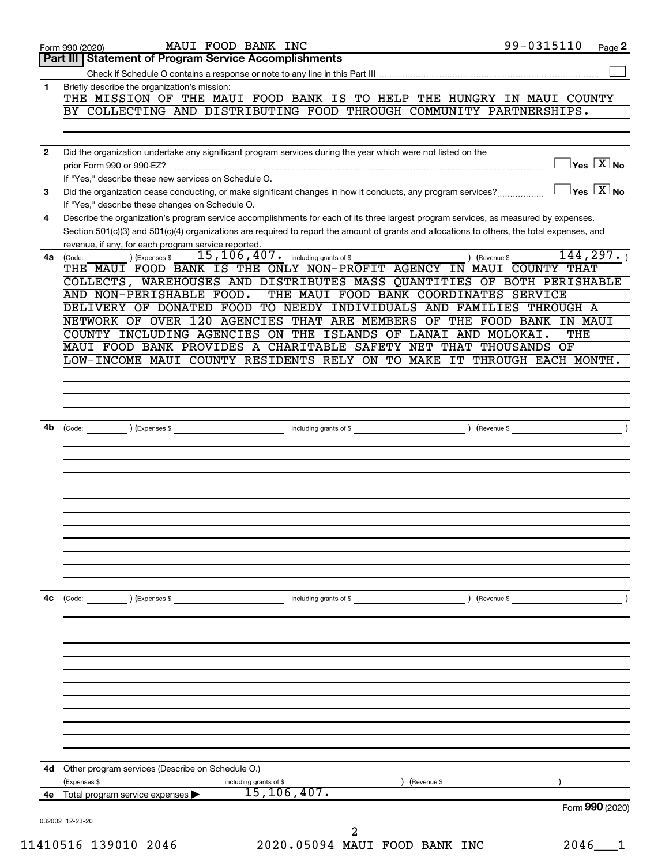|              | MAUI FOOD BANK INC<br>Form 990 (2020)                                                                                                                     | 99-0315110                             | Page 2 |
|--------------|-----------------------------------------------------------------------------------------------------------------------------------------------------------|----------------------------------------|--------|
|              | <b>Part III   Statement of Program Service Accomplishments</b>                                                                                            |                                        |        |
|              |                                                                                                                                                           |                                        |        |
| 1            | Briefly describe the organization's mission:<br>THE MISSION OF THE MAUI FOOD BANK IS TO HELP THE HUNGRY IN MAUI COUNTY                                    |                                        |        |
|              | BY COLLECTING AND DISTRIBUTING FOOD THROUGH COMMUNITY PARTNERSHIPS.                                                                                       |                                        |        |
|              |                                                                                                                                                           |                                        |        |
|              |                                                                                                                                                           |                                        |        |
| $\mathbf{2}$ | Did the organization undertake any significant program services during the year which were not listed on the                                              |                                        |        |
|              |                                                                                                                                                           | $\overline{X}$ Yes $\overline{X}$ No   |        |
|              | If "Yes," describe these new services on Schedule O.                                                                                                      |                                        |        |
| 3            |                                                                                                                                                           | $\sqrt{}$ Yes $\sqrt{}$ X $\sqrt{}$ No |        |
|              | If "Yes," describe these changes on Schedule O.                                                                                                           |                                        |        |
| 4            | Describe the organization's program service accomplishments for each of its three largest program services, as measured by expenses.                      |                                        |        |
|              | Section 501(c)(3) and 501(c)(4) organizations are required to report the amount of grants and allocations to others, the total expenses, and              |                                        |        |
|              | revenue, if any, for each program service reported.                                                                                                       | 144, 297.                              |        |
| 4a           | 15, 106, 407. including grants of \$<br>) (Revenue \$<br>) (Expenses \$<br>(Code:<br>THE MAUI FOOD BANK IS THE ONLY NON-PROFIT AGENCY IN MAUI COUNTY THAT |                                        |        |
|              | COLLECTS, WAREHOUSES AND DISTRIBUTES MASS QUANTITIES OF BOTH PERISHABLE                                                                                   |                                        |        |
|              | AND NON-PERISHABLE FOOD.<br>THE MAUI FOOD BANK COORDINATES SERVICE                                                                                        |                                        |        |
|              | DELIVERY OF DONATED FOOD TO NEEDY INDIVIDUALS AND FAMILIES THROUGH A                                                                                      |                                        |        |
|              | NETWORK OF OVER 120 AGENCIES THAT ARE MEMBERS OF THE FOOD BANK IN MAUI                                                                                    |                                        |        |
|              | COUNTY INCLUDING AGENCIES ON THE ISLANDS OF LANAI AND MOLOKAI.                                                                                            | THE                                    |        |
|              | MAUI FOOD BANK PROVIDES A CHARITABLE SAFETY NET THAT THOUSANDS OF                                                                                         |                                        |        |
|              | LOW-INCOME MAUI COUNTY RESIDENTS RELY ON TO MAKE IT THROUGH EACH MONTH.                                                                                   |                                        |        |
|              |                                                                                                                                                           |                                        |        |
|              |                                                                                                                                                           |                                        |        |
|              |                                                                                                                                                           |                                        |        |
|              |                                                                                                                                                           |                                        |        |
| 4b           |                                                                                                                                                           |                                        |        |
|              |                                                                                                                                                           |                                        |        |
|              |                                                                                                                                                           |                                        |        |
|              |                                                                                                                                                           |                                        |        |
|              |                                                                                                                                                           |                                        |        |
|              |                                                                                                                                                           |                                        |        |
|              |                                                                                                                                                           |                                        |        |
|              |                                                                                                                                                           |                                        |        |
|              |                                                                                                                                                           |                                        |        |
|              |                                                                                                                                                           |                                        |        |
|              |                                                                                                                                                           |                                        |        |
|              |                                                                                                                                                           |                                        |        |
| 4с           | ) (Revenue \$<br>$\left(\text{Code:}\right)$ $\left(\text{Expenses $}\right)$<br>including grants of \$                                                   |                                        |        |
|              |                                                                                                                                                           |                                        |        |
|              |                                                                                                                                                           |                                        |        |
|              |                                                                                                                                                           |                                        |        |
|              |                                                                                                                                                           |                                        |        |
|              |                                                                                                                                                           |                                        |        |
|              |                                                                                                                                                           |                                        |        |
|              |                                                                                                                                                           |                                        |        |
|              |                                                                                                                                                           |                                        |        |
|              |                                                                                                                                                           |                                        |        |
|              |                                                                                                                                                           |                                        |        |
|              |                                                                                                                                                           |                                        |        |
| 4d           | Other program services (Describe on Schedule O.)                                                                                                          |                                        |        |
|              | (Revenue \$<br>(Expenses \$<br>including grants of \$                                                                                                     |                                        |        |
| 4е —         | 15, 106, 407.<br>Total program service expenses                                                                                                           |                                        |        |
|              |                                                                                                                                                           | Form 990 (2020)                        |        |
|              | 032002 12-23-20                                                                                                                                           |                                        |        |
|              | 2                                                                                                                                                         |                                        |        |
|              | 11410516 139010 2046<br>2020.05094 MAUI FOOD BANK INC                                                                                                     | 2046                                   |        |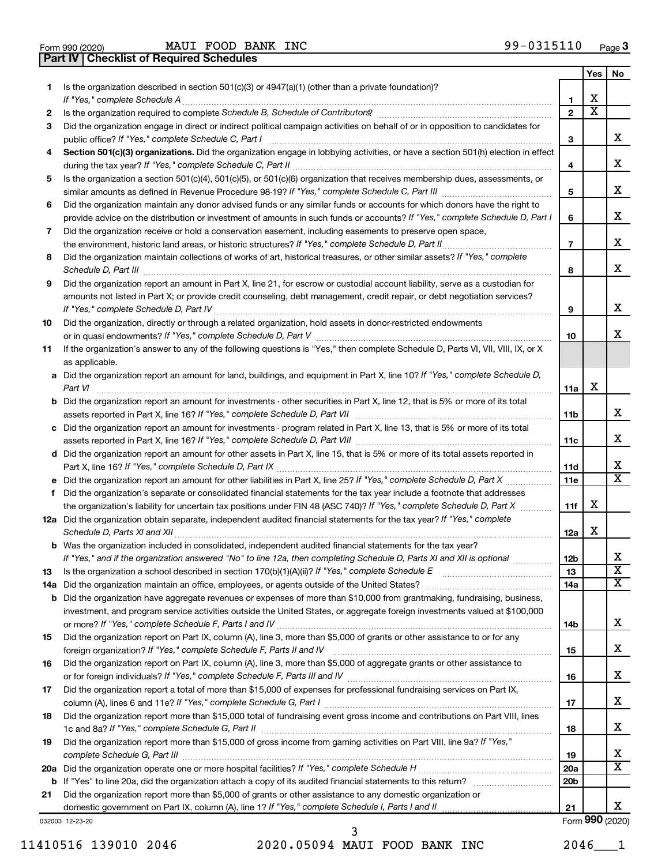|  | Form 990 (2020) |
|--|-----------------|

Form 990 (2020) **MAUI FOOD BANK INC**  $99-0315110$   $Page$ 

**Part IV Checklist of Required Schedules** 

| 1.  | Is the organization described in section 501(c)(3) or 4947(a)(1) (other than a private foundation)?                                                                                                                                                            |                          |                         |                              |  |  |  |  |
|-----|----------------------------------------------------------------------------------------------------------------------------------------------------------------------------------------------------------------------------------------------------------------|--------------------------|-------------------------|------------------------------|--|--|--|--|
|     | If "Yes," complete Schedule A                                                                                                                                                                                                                                  |                          |                         |                              |  |  |  |  |
| 2   |                                                                                                                                                                                                                                                                | $\mathbf{2}$             | $\overline{\textbf{x}}$ |                              |  |  |  |  |
| 3   | Did the organization engage in direct or indirect political campaign activities on behalf of or in opposition to candidates for                                                                                                                                | 3                        |                         | x                            |  |  |  |  |
|     |                                                                                                                                                                                                                                                                |                          |                         |                              |  |  |  |  |
| 4   | Section 501(c)(3) organizations. Did the organization engage in lobbying activities, or have a section 501(h) election in effect                                                                                                                               |                          |                         |                              |  |  |  |  |
| 5   | Is the organization a section 501(c)(4), 501(c)(5), or 501(c)(6) organization that receives membership dues, assessments, or                                                                                                                                   |                          |                         |                              |  |  |  |  |
|     |                                                                                                                                                                                                                                                                |                          |                         |                              |  |  |  |  |
| 6   | Did the organization maintain any donor advised funds or any similar funds or accounts for which donors have the right to                                                                                                                                      |                          |                         |                              |  |  |  |  |
|     | provide advice on the distribution or investment of amounts in such funds or accounts? If "Yes," complete Schedule D, Part I                                                                                                                                   |                          |                         |                              |  |  |  |  |
| 7   | Did the organization receive or hold a conservation easement, including easements to preserve open space,                                                                                                                                                      |                          |                         |                              |  |  |  |  |
|     |                                                                                                                                                                                                                                                                | $\overline{\phantom{a}}$ |                         | x                            |  |  |  |  |
| 8   | Did the organization maintain collections of works of art, historical treasures, or other similar assets? If "Yes," complete                                                                                                                                   |                          |                         |                              |  |  |  |  |
|     | Schedule D, Part III <b>www.community.community.community.community.community.community.com</b>                                                                                                                                                                | 8                        |                         | x                            |  |  |  |  |
| 9   | Did the organization report an amount in Part X, line 21, for escrow or custodial account liability, serve as a custodian for                                                                                                                                  |                          |                         |                              |  |  |  |  |
|     | amounts not listed in Part X; or provide credit counseling, debt management, credit repair, or debt negotiation services?                                                                                                                                      |                          |                         |                              |  |  |  |  |
|     |                                                                                                                                                                                                                                                                | 9                        |                         | x                            |  |  |  |  |
| 10  | Did the organization, directly or through a related organization, hold assets in donor-restricted endowments                                                                                                                                                   |                          |                         | x                            |  |  |  |  |
|     | If the organization's answer to any of the following questions is "Yes," then complete Schedule D, Parts VI, VII, VIII, IX, or X                                                                                                                               | 10                       |                         |                              |  |  |  |  |
| 11  | as applicable.                                                                                                                                                                                                                                                 |                          |                         |                              |  |  |  |  |
|     | a Did the organization report an amount for land, buildings, and equipment in Part X, line 10? If "Yes," complete Schedule D,                                                                                                                                  |                          |                         |                              |  |  |  |  |
|     | Part VI                                                                                                                                                                                                                                                        | 11a                      | X                       |                              |  |  |  |  |
|     | <b>b</b> Did the organization report an amount for investments - other securities in Part X, line 12, that is 5% or more of its total                                                                                                                          |                          |                         |                              |  |  |  |  |
|     |                                                                                                                                                                                                                                                                |                          |                         | x                            |  |  |  |  |
|     | c Did the organization report an amount for investments - program related in Part X, line 13, that is 5% or more of its total                                                                                                                                  | 11c                      |                         | x                            |  |  |  |  |
|     | d Did the organization report an amount for other assets in Part X, line 15, that is 5% or more of its total assets reported in                                                                                                                                |                          |                         |                              |  |  |  |  |
|     |                                                                                                                                                                                                                                                                | 11d                      |                         | х                            |  |  |  |  |
|     |                                                                                                                                                                                                                                                                | 11e                      |                         | X                            |  |  |  |  |
| f   | Did the organization's separate or consolidated financial statements for the tax year include a footnote that addresses                                                                                                                                        |                          |                         |                              |  |  |  |  |
|     | the organization's liability for uncertain tax positions under FIN 48 (ASC 740)? If "Yes," complete Schedule D, Part X                                                                                                                                         | 11f                      | х                       |                              |  |  |  |  |
|     | 12a Did the organization obtain separate, independent audited financial statements for the tax year? If "Yes," complete                                                                                                                                        |                          |                         |                              |  |  |  |  |
|     |                                                                                                                                                                                                                                                                | 12a                      | X                       |                              |  |  |  |  |
|     | b Was the organization included in consolidated, independent audited financial statements for the tax year?                                                                                                                                                    |                          |                         |                              |  |  |  |  |
|     | If "Yes." and if the organization answered "No" to line 12a, then completing Schedule D. Parts XI and XII is optional                                                                                                                                          | 12 <sub>b</sub>          |                         | х                            |  |  |  |  |
| 13  |                                                                                                                                                                                                                                                                | 13                       |                         | $\overline{\textbf{x}}$<br>x |  |  |  |  |
| 14a |                                                                                                                                                                                                                                                                | 14a                      |                         |                              |  |  |  |  |
|     | <b>b</b> Did the organization have aggregate revenues or expenses of more than \$10,000 from grantmaking, fundraising, business,<br>investment, and program service activities outside the United States, or aggregate foreign investments valued at \$100,000 |                          |                         |                              |  |  |  |  |
|     |                                                                                                                                                                                                                                                                | 14b                      |                         | х                            |  |  |  |  |
| 15  | Did the organization report on Part IX, column (A), line 3, more than \$5,000 of grants or other assistance to or for any                                                                                                                                      |                          |                         |                              |  |  |  |  |
|     |                                                                                                                                                                                                                                                                | 15                       |                         | х                            |  |  |  |  |
| 16  | Did the organization report on Part IX, column (A), line 3, more than \$5,000 of aggregate grants or other assistance to                                                                                                                                       |                          |                         |                              |  |  |  |  |
|     |                                                                                                                                                                                                                                                                |                          |                         | х                            |  |  |  |  |
| 17  | Did the organization report a total of more than \$15,000 of expenses for professional fundraising services on Part IX,                                                                                                                                        |                          |                         |                              |  |  |  |  |
|     |                                                                                                                                                                                                                                                                | 17                       |                         | х                            |  |  |  |  |
| 18  | Did the organization report more than \$15,000 total of fundraising event gross income and contributions on Part VIII, lines                                                                                                                                   | 18                       |                         | х                            |  |  |  |  |
| 19  | Did the organization report more than \$15,000 of gross income from gaming activities on Part VIII, line 9a? If "Yes,"                                                                                                                                         |                          |                         |                              |  |  |  |  |
|     |                                                                                                                                                                                                                                                                | 19                       |                         | х                            |  |  |  |  |
|     |                                                                                                                                                                                                                                                                | 20a                      |                         | х                            |  |  |  |  |
|     |                                                                                                                                                                                                                                                                | 20 <sub>b</sub>          |                         |                              |  |  |  |  |
| 21  | Did the organization report more than \$5,000 of grants or other assistance to any domestic organization or                                                                                                                                                    |                          |                         |                              |  |  |  |  |
|     |                                                                                                                                                                                                                                                                | 21                       |                         | x                            |  |  |  |  |
|     | 032003 12-23-20                                                                                                                                                                                                                                                |                          |                         | Form 990 (2020)              |  |  |  |  |

11410516 139010 2046 2020.05094 MAUI FOOD BANK INC 2046\_\_\_1 3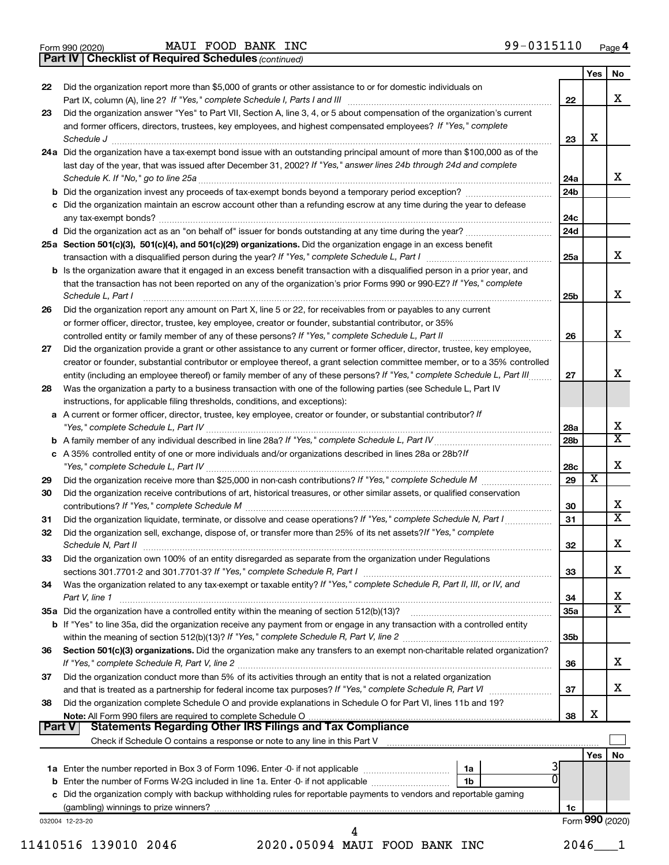|  | Form 990 (2020) |
|--|-----------------|
|  |                 |

Form 990 (2020) **MAUI FOOD BANK INC**  $99-0315110$   $Page$ 

Part IV | Checklist of Required Schedules (continued)

| 22 | Did the organization report more than \$5,000 of grants or other assistance to or for domestic individuals on                                                                                                                                                                                                                                           |                 | Yes   | No                      |  |
|----|---------------------------------------------------------------------------------------------------------------------------------------------------------------------------------------------------------------------------------------------------------------------------------------------------------------------------------------------------------|-----------------|-------|-------------------------|--|
|    |                                                                                                                                                                                                                                                                                                                                                         | 22              |       | X                       |  |
| 23 | Did the organization answer "Yes" to Part VII, Section A, line 3, 4, or 5 about compensation of the organization's current                                                                                                                                                                                                                              |                 |       |                         |  |
|    | and former officers, directors, trustees, key employees, and highest compensated employees? If "Yes," complete                                                                                                                                                                                                                                          |                 | X     |                         |  |
|    | Schedule J <b>Execute Schedule Schedule Schedule Schedule</b> J <b>Execute Schedule J Execute Schedule J</b>                                                                                                                                                                                                                                            | 23              |       |                         |  |
|    | 24a Did the organization have a tax-exempt bond issue with an outstanding principal amount of more than \$100,000 as of the<br>last day of the year, that was issued after December 31, 2002? If "Yes," answer lines 24b through 24d and complete                                                                                                       |                 |       |                         |  |
|    |                                                                                                                                                                                                                                                                                                                                                         | 24a             |       | x                       |  |
|    |                                                                                                                                                                                                                                                                                                                                                         | 24 <sub>b</sub> |       |                         |  |
|    | c Did the organization maintain an escrow account other than a refunding escrow at any time during the year to defease                                                                                                                                                                                                                                  |                 |       |                         |  |
|    |                                                                                                                                                                                                                                                                                                                                                         | 24c             |       |                         |  |
|    |                                                                                                                                                                                                                                                                                                                                                         | 24d             |       |                         |  |
|    | 25a Section 501(c)(3), 501(c)(4), and 501(c)(29) organizations. Did the organization engage in an excess benefit                                                                                                                                                                                                                                        |                 |       |                         |  |
|    |                                                                                                                                                                                                                                                                                                                                                         | 25a             |       | x                       |  |
|    | <b>b</b> Is the organization aware that it engaged in an excess benefit transaction with a disqualified person in a prior year, and                                                                                                                                                                                                                     |                 |       |                         |  |
|    | that the transaction has not been reported on any of the organization's prior Forms 990 or 990-EZ? If "Yes," complete<br>Schedule L, Part I                                                                                                                                                                                                             | 25b             |       | x                       |  |
| 26 | Did the organization report any amount on Part X, line 5 or 22, for receivables from or payables to any current                                                                                                                                                                                                                                         |                 |       |                         |  |
|    | or former officer, director, trustee, key employee, creator or founder, substantial contributor, or 35%                                                                                                                                                                                                                                                 |                 |       |                         |  |
|    |                                                                                                                                                                                                                                                                                                                                                         | 26              |       | x                       |  |
| 27 | Did the organization provide a grant or other assistance to any current or former officer, director, trustee, key employee,                                                                                                                                                                                                                             |                 |       |                         |  |
|    | creator or founder, substantial contributor or employee thereof, a grant selection committee member, or to a 35% controlled                                                                                                                                                                                                                             |                 |       |                         |  |
|    | entity (including an employee thereof) or family member of any of these persons? If "Yes," complete Schedule L, Part III                                                                                                                                                                                                                                | 27              |       | x                       |  |
| 28 | Was the organization a party to a business transaction with one of the following parties (see Schedule L, Part IV                                                                                                                                                                                                                                       |                 |       |                         |  |
|    | instructions, for applicable filing thresholds, conditions, and exceptions):                                                                                                                                                                                                                                                                            |                 |       |                         |  |
|    | a A current or former officer, director, trustee, key employee, creator or founder, or substantial contributor? If                                                                                                                                                                                                                                      | 28a             |       | х                       |  |
|    |                                                                                                                                                                                                                                                                                                                                                         | 28b             |       | $\overline{\mathbf{X}}$ |  |
|    | c A 35% controlled entity of one or more individuals and/or organizations described in lines 28a or 28b?/f                                                                                                                                                                                                                                              |                 |       |                         |  |
|    |                                                                                                                                                                                                                                                                                                                                                         |                 |       |                         |  |
|    |                                                                                                                                                                                                                                                                                                                                                         | 29              | X     |                         |  |
|    | Did the organization receive contributions of art, historical treasures, or other similar assets, or qualified conservation                                                                                                                                                                                                                             |                 |       |                         |  |
|    |                                                                                                                                                                                                                                                                                                                                                         | 30              |       | х                       |  |
|    |                                                                                                                                                                                                                                                                                                                                                         | 31              |       | $\overline{\textbf{X}}$ |  |
|    | Did the organization sell, exchange, dispose of, or transfer more than 25% of its net assets? If "Yes," complete<br>Schedule N, Part II <b>Election Construction Construction</b> Construction Construction Construction Construction Construction Construction Construction Construction Construction Construction Construction Construction Construct | 32              |       | х                       |  |
| 33 | Did the organization own 100% of an entity disregarded as separate from the organization under Regulations                                                                                                                                                                                                                                              |                 |       |                         |  |
|    |                                                                                                                                                                                                                                                                                                                                                         | 33              |       | x                       |  |
| 34 | Was the organization related to any tax-exempt or taxable entity? If "Yes," complete Schedule R, Part II, III, or IV, and                                                                                                                                                                                                                               |                 |       |                         |  |
|    | Part V, line 1                                                                                                                                                                                                                                                                                                                                          | 34              |       | х                       |  |
|    |                                                                                                                                                                                                                                                                                                                                                         | 35a             |       | $\overline{\mathbf{X}}$ |  |
|    | <b>b</b> If "Yes" to line 35a, did the organization receive any payment from or engage in any transaction with a controlled entity                                                                                                                                                                                                                      |                 |       |                         |  |
|    |                                                                                                                                                                                                                                                                                                                                                         | 35b             |       |                         |  |
| 36 | Section 501(c)(3) organizations. Did the organization make any transfers to an exempt non-charitable related organization?                                                                                                                                                                                                                              | 36              |       | х                       |  |
| 37 | Did the organization conduct more than 5% of its activities through an entity that is not a related organization                                                                                                                                                                                                                                        |                 |       |                         |  |
|    |                                                                                                                                                                                                                                                                                                                                                         | 37              |       | х                       |  |
| 38 | Did the organization complete Schedule O and provide explanations in Schedule O for Part VI, lines 11b and 19?                                                                                                                                                                                                                                          |                 | X     |                         |  |
|    | Note: All Form 990 filers are required to complete Schedule O<br>Statements Regarding Other IRS Filings and Tax Compliance<br>Part V                                                                                                                                                                                                                    | 38              |       |                         |  |
|    |                                                                                                                                                                                                                                                                                                                                                         |                 |       |                         |  |
|    |                                                                                                                                                                                                                                                                                                                                                         |                 | Yes l | No                      |  |
|    | 3<br>1a                                                                                                                                                                                                                                                                                                                                                 |                 |       |                         |  |
|    | 0<br>1 <sub>b</sub>                                                                                                                                                                                                                                                                                                                                     |                 |       |                         |  |
|    | c Did the organization comply with backup withholding rules for reportable payments to vendors and reportable gaming                                                                                                                                                                                                                                    |                 |       |                         |  |
|    |                                                                                                                                                                                                                                                                                                                                                         | 1c              |       |                         |  |
|    | 032004 12-23-20                                                                                                                                                                                                                                                                                                                                         |                 |       | Form 990 (2020)         |  |
|    |                                                                                                                                                                                                                                                                                                                                                         |                 |       |                         |  |
|    | 11410516 139010 2046<br>2020.05094 MAUI FOOD BANK INC                                                                                                                                                                                                                                                                                                   | 2046            |       |                         |  |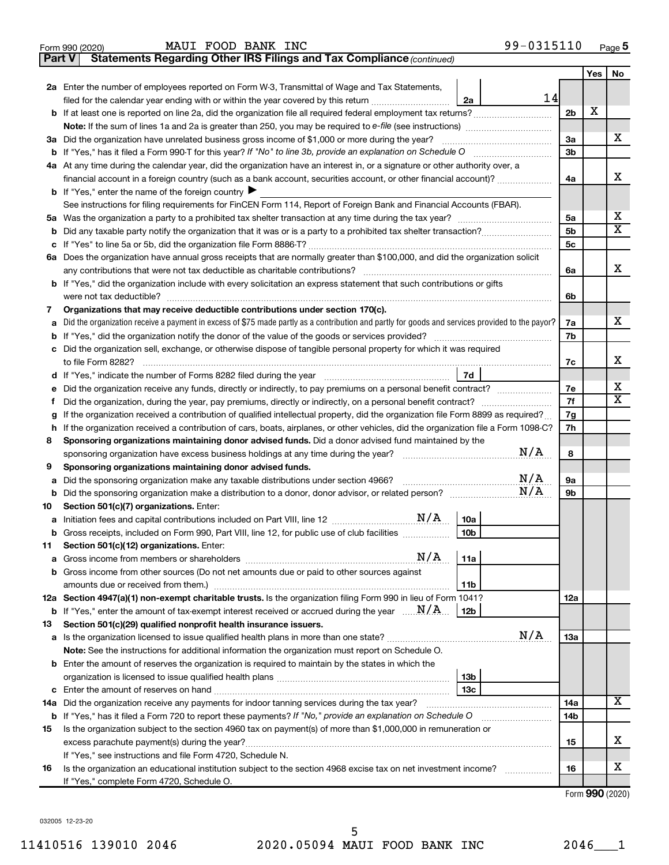|    | 99-0315110<br>MAUI FOOD BANK INC<br>Form 990 (2020)                                                                                                                           |                 |     | Page 5                       |  |  |  |  |  |  |  |  |
|----|-------------------------------------------------------------------------------------------------------------------------------------------------------------------------------|-----------------|-----|------------------------------|--|--|--|--|--|--|--|--|
|    | Statements Regarding Other IRS Filings and Tax Compliance (continued)<br><b>Part V</b>                                                                                        |                 |     |                              |  |  |  |  |  |  |  |  |
|    |                                                                                                                                                                               |                 | Yes | No                           |  |  |  |  |  |  |  |  |
|    | 2a Enter the number of employees reported on Form W-3, Transmittal of Wage and Tax Statements,                                                                                |                 |     |                              |  |  |  |  |  |  |  |  |
|    | 14<br>filed for the calendar year ending with or within the year covered by this return <i>[[[[[[[[[[[[[[]]]]</i> ]]<br>2a                                                    |                 | X   |                              |  |  |  |  |  |  |  |  |
|    | <b>b</b> If at least one is reported on line 2a, did the organization file all required federal employment tax returns?                                                       |                 |     |                              |  |  |  |  |  |  |  |  |
|    | <b>Note:</b> If the sum of lines 1a and 2a is greater than 250, you may be required to e-file (see instructions)                                                              |                 |     |                              |  |  |  |  |  |  |  |  |
|    | 3a Did the organization have unrelated business gross income of \$1,000 or more during the year?                                                                              |                 |     |                              |  |  |  |  |  |  |  |  |
|    | <b>b</b> If "Yes," has it filed a Form 990-T for this year? If "No" to line 3b, provide an explanation on Schedule O                                                          |                 |     |                              |  |  |  |  |  |  |  |  |
|    | 4a At any time during the calendar year, did the organization have an interest in, or a signature or other authority over, a                                                  |                 |     |                              |  |  |  |  |  |  |  |  |
|    | financial account in a foreign country (such as a bank account, securities account, or other financial account)?                                                              |                 |     |                              |  |  |  |  |  |  |  |  |
|    | <b>b</b> If "Yes," enter the name of the foreign country $\blacktriangleright$                                                                                                |                 |     |                              |  |  |  |  |  |  |  |  |
|    | See instructions for filing requirements for FinCEN Form 114, Report of Foreign Bank and Financial Accounts (FBAR).                                                           |                 |     |                              |  |  |  |  |  |  |  |  |
|    |                                                                                                                                                                               |                 |     |                              |  |  |  |  |  |  |  |  |
| b  |                                                                                                                                                                               |                 |     |                              |  |  |  |  |  |  |  |  |
| с  |                                                                                                                                                                               | 5 <sub>c</sub>  |     |                              |  |  |  |  |  |  |  |  |
|    | 6a Does the organization have annual gross receipts that are normally greater than \$100,000, and did the organization solicit                                                |                 |     |                              |  |  |  |  |  |  |  |  |
|    | any contributions that were not tax deductible as charitable contributions?                                                                                                   | 6а              |     | x                            |  |  |  |  |  |  |  |  |
|    | <b>b</b> If "Yes," did the organization include with every solicitation an express statement that such contributions or gifts                                                 |                 |     |                              |  |  |  |  |  |  |  |  |
|    | were not tax deductible?                                                                                                                                                      | 6b              |     |                              |  |  |  |  |  |  |  |  |
| 7  | Organizations that may receive deductible contributions under section 170(c).                                                                                                 |                 |     |                              |  |  |  |  |  |  |  |  |
| a  | Did the organization receive a payment in excess of \$75 made partly as a contribution and partly for goods and services provided to the payor?                               | 7а              |     | x                            |  |  |  |  |  |  |  |  |
| b  | If "Yes," did the organization notify the donor of the value of the goods or services provided?                                                                               | 7b              |     |                              |  |  |  |  |  |  |  |  |
| с  | Did the organization sell, exchange, or otherwise dispose of tangible personal property for which it was required                                                             |                 |     |                              |  |  |  |  |  |  |  |  |
|    | to file Form 8282?                                                                                                                                                            | 7с              |     | х                            |  |  |  |  |  |  |  |  |
|    | 7d                                                                                                                                                                            |                 |     |                              |  |  |  |  |  |  |  |  |
| е  | Did the organization receive any funds, directly or indirectly, to pay premiums on a personal benefit contract?                                                               | 7е<br>7f        |     | х<br>$\overline{\mathtt{x}}$ |  |  |  |  |  |  |  |  |
| Ť  | Did the organization, during the year, pay premiums, directly or indirectly, on a personal benefit contract?                                                                  |                 |     |                              |  |  |  |  |  |  |  |  |
| g  | If the organization received a contribution of qualified intellectual property, did the organization file Form 8899 as required?                                              |                 |     |                              |  |  |  |  |  |  |  |  |
| h. | If the organization received a contribution of cars, boats, airplanes, or other vehicles, did the organization file a Form 1098-C?                                            | 7h              |     |                              |  |  |  |  |  |  |  |  |
| 8  | Sponsoring organizations maintaining donor advised funds. Did a donor advised fund maintained by the                                                                          |                 |     |                              |  |  |  |  |  |  |  |  |
|    | N/A<br>sponsoring organization have excess business holdings at any time during the year?                                                                                     | 8               |     |                              |  |  |  |  |  |  |  |  |
| 9  | Sponsoring organizations maintaining donor advised funds.                                                                                                                     |                 |     |                              |  |  |  |  |  |  |  |  |
| а  | N/A<br>Did the sponsoring organization make any taxable distributions under section 4966?                                                                                     | 9a              |     |                              |  |  |  |  |  |  |  |  |
| b  | N/A                                                                                                                                                                           | 9b              |     |                              |  |  |  |  |  |  |  |  |
| 10 | Section 501(c)(7) organizations. Enter:                                                                                                                                       |                 |     |                              |  |  |  |  |  |  |  |  |
|    | N/A<br>10a                                                                                                                                                                    |                 |     |                              |  |  |  |  |  |  |  |  |
|    | b Gross receipts, included on Form 990, Part VIII, line 12, for public use of club facilities<br>10b                                                                          |                 |     |                              |  |  |  |  |  |  |  |  |
| 11 | Section 501(c)(12) organizations. Enter:                                                                                                                                      |                 |     |                              |  |  |  |  |  |  |  |  |
| a  | N/A<br>11a                                                                                                                                                                    |                 |     |                              |  |  |  |  |  |  |  |  |
|    | b Gross income from other sources (Do not net amounts due or paid to other sources against                                                                                    |                 |     |                              |  |  |  |  |  |  |  |  |
|    | 11b                                                                                                                                                                           |                 |     |                              |  |  |  |  |  |  |  |  |
|    | 12a Section 4947(a)(1) non-exempt charitable trusts. Is the organization filing Form 990 in lieu of Form 1041?                                                                | 12a             |     |                              |  |  |  |  |  |  |  |  |
|    | <b>b</b> If "Yes," enter the amount of tax-exempt interest received or accrued during the year $\ldots$ $\frac{N}{A}$ .<br>12b                                                |                 |     |                              |  |  |  |  |  |  |  |  |
| 13 | Section 501(c)(29) qualified nonprofit health insurance issuers.<br>N/A                                                                                                       |                 |     |                              |  |  |  |  |  |  |  |  |
|    |                                                                                                                                                                               | 13a             |     |                              |  |  |  |  |  |  |  |  |
|    | Note: See the instructions for additional information the organization must report on Schedule O.                                                                             |                 |     |                              |  |  |  |  |  |  |  |  |
|    | <b>b</b> Enter the amount of reserves the organization is required to maintain by the states in which the                                                                     |                 |     |                              |  |  |  |  |  |  |  |  |
|    | 13 <sub>b</sub>                                                                                                                                                               |                 |     |                              |  |  |  |  |  |  |  |  |
|    | 13c                                                                                                                                                                           |                 |     | $\overline{\text{X}}$        |  |  |  |  |  |  |  |  |
|    | 14a Did the organization receive any payments for indoor tanning services during the tax year?                                                                                | 14a             |     |                              |  |  |  |  |  |  |  |  |
|    | b If "Yes," has it filed a Form 720 to report these payments? If "No," provide an explanation on Schedule O                                                                   | 14 <sub>b</sub> |     |                              |  |  |  |  |  |  |  |  |
| 15 | Is the organization subject to the section 4960 tax on payment(s) of more than \$1,000,000 in remuneration or                                                                 |                 |     | х                            |  |  |  |  |  |  |  |  |
|    |                                                                                                                                                                               | 15              |     |                              |  |  |  |  |  |  |  |  |
| 16 | If "Yes," see instructions and file Form 4720, Schedule N.<br>Is the organization an educational institution subject to the section 4968 excise tax on net investment income? | 16              |     | х                            |  |  |  |  |  |  |  |  |
|    | If "Yes," complete Form 4720, Schedule O.                                                                                                                                     |                 |     |                              |  |  |  |  |  |  |  |  |
|    |                                                                                                                                                                               |                 |     |                              |  |  |  |  |  |  |  |  |

Form 990 (2020)

032005 12-23-20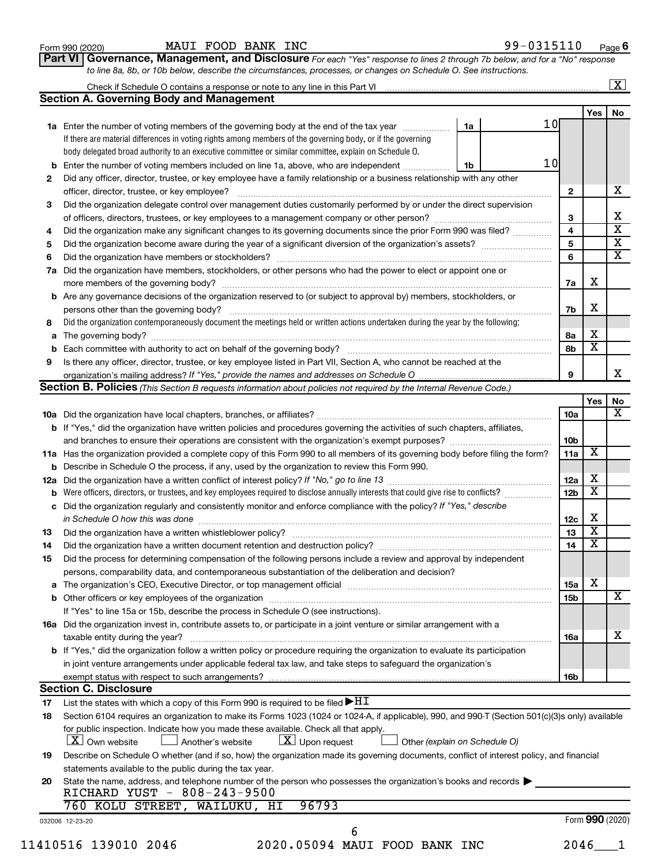| Form 990 (2020) |
|-----------------|
|-----------------|

Form 990 (2020) **MAUI FOOD BANK INC**  $99-0315110$   $Page$ 

Part VI | Governance, Management, and Disclosure For each "Yes" response to lines 2 through 7b below, and for a "No" response to line 8a, 8b, or 10b below, describe the circumstances, processes, or changes on Schedule O. See instructions.

|     | Check if Schedule O contains a response or note to any line in this Part VI [11] [12] Check if Schedule O contains a response or note to any line in this Part VI               |                               |                         |                         | $\overline{\mathbf{X}}$ |  |  |  |  |  |  |
|-----|---------------------------------------------------------------------------------------------------------------------------------------------------------------------------------|-------------------------------|-------------------------|-------------------------|-------------------------|--|--|--|--|--|--|
|     | <b>Section A. Governing Body and Management</b>                                                                                                                                 |                               |                         |                         |                         |  |  |  |  |  |  |
|     |                                                                                                                                                                                 |                               |                         | <b>Yes</b>              | No                      |  |  |  |  |  |  |
|     | 1a Enter the number of voting members of the governing body at the end of the tax year                                                                                          | 1a                            | 10 <sub>l</sub>         |                         |                         |  |  |  |  |  |  |
|     | If there are material differences in voting rights among members of the governing body, or if the governing                                                                     |                               |                         |                         |                         |  |  |  |  |  |  |
|     | body delegated broad authority to an executive committee or similar committee, explain on Schedule O.                                                                           |                               |                         |                         |                         |  |  |  |  |  |  |
|     | <b>b</b> Enter the number of voting members included on line 1a, above, who are independent <i>maching community</i>                                                            | 1b                            | 10                      |                         |                         |  |  |  |  |  |  |
| 2   | Did any officer, director, trustee, or key employee have a family relationship or a business relationship with any other                                                        |                               |                         |                         |                         |  |  |  |  |  |  |
|     |                                                                                                                                                                                 |                               | $\mathbf{2}$            |                         |                         |  |  |  |  |  |  |
| З   | Did the organization delegate control over management duties customarily performed by or under the direct supervision                                                           |                               |                         |                         |                         |  |  |  |  |  |  |
|     |                                                                                                                                                                                 |                               | 3                       |                         |                         |  |  |  |  |  |  |
| 4   | Did the organization make any significant changes to its governing documents since the prior Form 990 was filed?                                                                |                               | $\overline{\mathbf{4}}$ |                         |                         |  |  |  |  |  |  |
| 5   |                                                                                                                                                                                 |                               |                         |                         |                         |  |  |  |  |  |  |
| 6   |                                                                                                                                                                                 |                               |                         |                         |                         |  |  |  |  |  |  |
| 7a  | Did the organization have members, stockholders, or other persons who had the power to elect or appoint one or                                                                  |                               |                         |                         |                         |  |  |  |  |  |  |
|     |                                                                                                                                                                                 |                               |                         |                         |                         |  |  |  |  |  |  |
|     | <b>b</b> Are any governance decisions of the organization reserved to (or subject to approval by) members, stockholders, or                                                     |                               |                         |                         |                         |  |  |  |  |  |  |
|     | persons other than the governing body?                                                                                                                                          |                               | 7b                      | X                       |                         |  |  |  |  |  |  |
| 8   | Did the organization contemporaneously document the meetings held or written actions undertaken during the year by the following:                                               |                               |                         |                         |                         |  |  |  |  |  |  |
|     |                                                                                                                                                                                 |                               | 8а                      | х                       |                         |  |  |  |  |  |  |
|     |                                                                                                                                                                                 |                               | 8b                      | $\overline{\textbf{x}}$ |                         |  |  |  |  |  |  |
| 9   | Is there any officer, director, trustee, or key employee listed in Part VII, Section A, who cannot be reached at the                                                            |                               |                         |                         |                         |  |  |  |  |  |  |
|     |                                                                                                                                                                                 |                               | 9                       |                         |                         |  |  |  |  |  |  |
|     | Section B. Policies (This Section B requests information about policies not required by the Internal Revenue Code.)                                                             |                               |                         |                         |                         |  |  |  |  |  |  |
|     |                                                                                                                                                                                 |                               |                         | Yes                     |                         |  |  |  |  |  |  |
|     |                                                                                                                                                                                 |                               | 10a                     |                         |                         |  |  |  |  |  |  |
|     | b If "Yes," did the organization have written policies and procedures governing the activities of such chapters, affiliates,                                                    |                               |                         |                         |                         |  |  |  |  |  |  |
|     |                                                                                                                                                                                 |                               | 10 <sub>b</sub>         |                         |                         |  |  |  |  |  |  |
|     | 11a Has the organization provided a complete copy of this Form 990 to all members of its governing body before filing the form?                                                 |                               | 11a                     | $\overline{\mathbf{X}}$ |                         |  |  |  |  |  |  |
|     | <b>b</b> Describe in Schedule O the process, if any, used by the organization to review this Form 990.                                                                          |                               |                         |                         |                         |  |  |  |  |  |  |
| 12a |                                                                                                                                                                                 |                               |                         |                         |                         |  |  |  |  |  |  |
|     |                                                                                                                                                                                 |                               |                         |                         |                         |  |  |  |  |  |  |
|     | c Did the organization regularly and consistently monitor and enforce compliance with the policy? If "Yes," describe                                                            |                               |                         |                         |                         |  |  |  |  |  |  |
|     | in Schedule O how this was done manufactured and continuum and contact the way to have a set of the state of t                                                                  |                               | 12c                     | х                       |                         |  |  |  |  |  |  |
| 13  |                                                                                                                                                                                 |                               | 13                      | $\overline{\textbf{x}}$ |                         |  |  |  |  |  |  |
| 14  | Did the organization have a written document retention and destruction policy? [11] manufaction manufaction in                                                                  |                               | 14                      | $\overline{\textbf{x}}$ |                         |  |  |  |  |  |  |
| 15  | Did the process for determining compensation of the following persons include a review and approval by independent                                                              |                               |                         |                         |                         |  |  |  |  |  |  |
|     | persons, comparability data, and contemporaneous substantiation of the deliberation and decision?                                                                               |                               |                         |                         |                         |  |  |  |  |  |  |
|     |                                                                                                                                                                                 |                               | 15a                     | x                       |                         |  |  |  |  |  |  |
|     |                                                                                                                                                                                 |                               | 15b                     |                         |                         |  |  |  |  |  |  |
|     | If "Yes" to line 15a or 15b, describe the process in Schedule O (see instructions).                                                                                             |                               |                         |                         |                         |  |  |  |  |  |  |
|     | 16a Did the organization invest in, contribute assets to, or participate in a joint venture or similar arrangement with a                                                       |                               |                         |                         |                         |  |  |  |  |  |  |
|     | taxable entity during the year?                                                                                                                                                 |                               | 16a                     |                         |                         |  |  |  |  |  |  |
|     | <b>b</b> If "Yes," did the organization follow a written policy or procedure requiring the organization to evaluate its participation                                           |                               |                         |                         |                         |  |  |  |  |  |  |
|     | in joint venture arrangements under applicable federal tax law, and take steps to safeguard the organization's                                                                  |                               |                         |                         |                         |  |  |  |  |  |  |
|     | exempt status with respect to such arrangements?                                                                                                                                |                               | 16b                     |                         |                         |  |  |  |  |  |  |
|     | <b>Section C. Disclosure</b>                                                                                                                                                    |                               |                         |                         |                         |  |  |  |  |  |  |
| 17  | List the states with which a copy of this Form 990 is required to be filed $\blacktriangleright$ HT                                                                             |                               |                         |                         |                         |  |  |  |  |  |  |
| 18  | Section 6104 requires an organization to make its Forms 1023 (1024 or 1024-A, if applicable), 990, and 990-T (Section 501(c)(3)s only) available                                |                               |                         |                         |                         |  |  |  |  |  |  |
|     | for public inspection. Indicate how you made these available. Check all that apply.<br>$\lfloor x \rfloor$ Upon request<br>$\lfloor X \rfloor$ Own website<br>Another's website | Other (explain on Schedule O) |                         |                         |                         |  |  |  |  |  |  |
| 19  | Describe on Schedule O whether (and if so, how) the organization made its governing documents, conflict of interest policy, and financial                                       |                               |                         |                         |                         |  |  |  |  |  |  |
|     | statements available to the public during the tax year.                                                                                                                         |                               |                         |                         |                         |  |  |  |  |  |  |
| 20  | State the name, address, and telephone number of the person who possesses the organization's books and records                                                                  |                               |                         |                         |                         |  |  |  |  |  |  |
|     | RICHARD YUST - 808-243-9500                                                                                                                                                     |                               |                         |                         |                         |  |  |  |  |  |  |
|     | 760 KOLU STREET, WAILUKU, HI<br>96793                                                                                                                                           |                               |                         |                         |                         |  |  |  |  |  |  |
|     | 032006 12-23-20                                                                                                                                                                 |                               |                         | Form 990 (2020)         |                         |  |  |  |  |  |  |
|     |                                                                                                                                                                                 |                               |                         |                         |                         |  |  |  |  |  |  |
|     | 6                                                                                                                                                                               |                               |                         |                         |                         |  |  |  |  |  |  |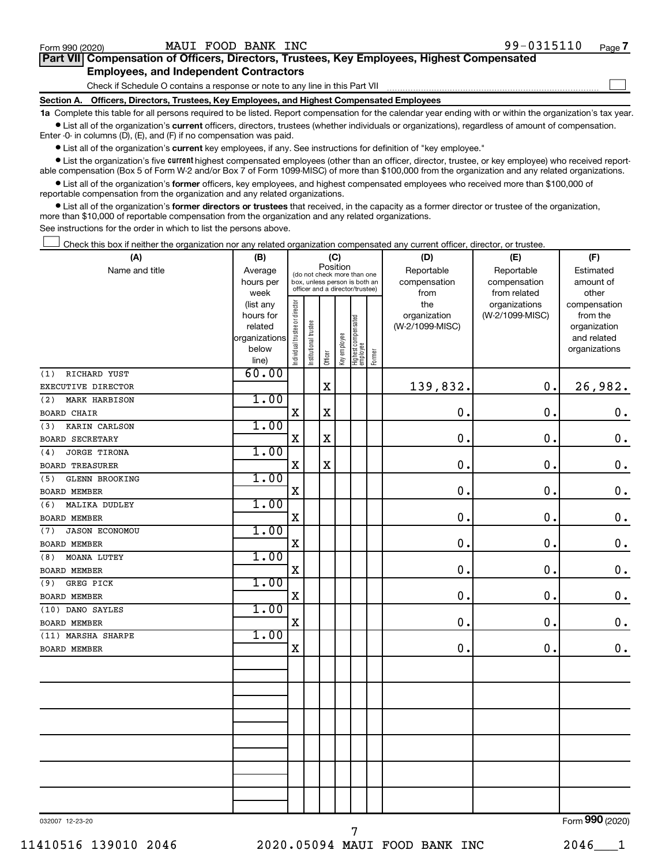$\Box$ 

| Part VII Compensation of Officers, Directors, Trustees, Key Employees, Highest Compensated |  |  |
|--------------------------------------------------------------------------------------------|--|--|
| <b>Employees, and Independent Contractors</b>                                              |  |  |

Check if Schedule O contains a response or note to any line in this Part VII

Section A. Officers, Directors, Trustees, Key Employees, and Highest Compensated Employees

1a Complete this table for all persons required to be listed. Report compensation for the calendar year ending with or within the organization's tax year.  $\bullet$  List all of the organization's current officers, directors, trustees (whether individuals or organizations), regardless of amount of compensation.

Enter -0- in columns (D), (E), and (F) if no compensation was paid.

**•** List all of the organization's current key employees, if any. See instructions for definition of "key employee."

• List the organization's five current highest compensated employees (other than an officer, director, trustee, or key employee) who received reportable compensation (Box 5 of Form W-2 and/or Box 7 of Form 1099-MISC) of more than \$100,000 from the organization and any related organizations.

 $\bullet$  List all of the organization's former officers, key employees, and highest compensated employees who received more than \$100,000 of reportable compensation from the organization and any related organizations.

• List all of the organization's former directors or trustees that received, in the capacity as a former director or trustee of the organization, more than \$10,000 of reportable compensation from the organization and any related organizations.

See instructions for the order in which to list the persons above.

Check this box if neither the organization nor any related organization compensated any current officer, director, or trustee.  $\overline{a}$ 

| (A)                          | (B)                    |                               |                                 | (C)                   |              |                                 |        | (D)             | (E)             | (F)                          |
|------------------------------|------------------------|-------------------------------|---------------------------------|-----------------------|--------------|---------------------------------|--------|-----------------|-----------------|------------------------------|
| Name and title               | Average                |                               | (do not check more than one     | Position              |              |                                 |        | Reportable      | Reportable      | Estimated                    |
|                              | hours per              |                               | box, unless person is both an   |                       |              |                                 |        | compensation    | compensation    | amount of                    |
|                              | week                   |                               | officer and a director/trustee) |                       |              |                                 |        | from            | from related    | other                        |
|                              | (list any              |                               |                                 |                       |              |                                 |        | the             | organizations   | compensation                 |
|                              | hours for              |                               |                                 |                       |              |                                 |        | organization    | (W-2/1099-MISC) | from the                     |
|                              | related                |                               |                                 |                       |              |                                 |        | (W-2/1099-MISC) |                 | organization                 |
|                              | organizations<br>below |                               |                                 |                       |              |                                 |        |                 |                 | and related<br>organizations |
|                              | line)                  | ndividual trustee or director | Institutional trustee           | Officer               | Key employee | Highest compensated<br>employee | Former |                 |                 |                              |
| RICHARD YUST<br>(1)          | 60.00                  |                               |                                 |                       |              |                                 |        |                 |                 |                              |
| EXECUTIVE DIRECTOR           |                        |                               |                                 | $\overline{\text{X}}$ |              |                                 |        | 139,832.        | 0.              | 26,982.                      |
| (2)<br>MARK HARBISON         | 1.00                   |                               |                                 |                       |              |                                 |        |                 |                 |                              |
| <b>BOARD CHAIR</b>           |                        | $\mathbf X$                   |                                 | $\rm X$               |              |                                 |        | $\mathbf 0$ .   | 0.              | $\boldsymbol{0}$ .           |
| KARIN CARLSON<br>(3)         | 1.00                   |                               |                                 |                       |              |                                 |        |                 |                 |                              |
| <b>BOARD SECRETARY</b>       |                        | X                             |                                 | $\mathbf x$           |              |                                 |        | $\mathbf 0$ .   | $\mathbf 0$ .   | $\mathbf 0$ .                |
| JORGE TIRONA<br>(4)          | 1.00                   |                               |                                 |                       |              |                                 |        |                 |                 |                              |
| <b>BOARD TREASURER</b>       |                        | $\mathbf X$                   |                                 | $\mathbf X$           |              |                                 |        | $\mathbf 0$ .   | $\mathbf 0$ .   | $\mathbf 0$ .                |
| GLENN BROOKING<br>(5)        | 1.00                   |                               |                                 |                       |              |                                 |        |                 |                 |                              |
| <b>BOARD MEMBER</b>          |                        | X                             |                                 |                       |              |                                 |        | $\mathbf 0$ .   | $\mathbf 0$ .   | $\mathbf 0$ .                |
| (6)<br>MALIKA DUDLEY         | 1.00                   |                               |                                 |                       |              |                                 |        |                 |                 |                              |
| BOARD MEMBER                 |                        | X                             |                                 |                       |              |                                 |        | $\mathbf 0$ .   | 0.              | $\mathbf 0$ .                |
| <b>JASON ECONOMOU</b><br>(7) | 1.00                   |                               |                                 |                       |              |                                 |        |                 |                 |                              |
| <b>BOARD MEMBER</b>          |                        | X                             |                                 |                       |              |                                 |        | $\mathbf 0$ .   | 0.              | $\mathbf 0$ .                |
| MOANA LUTEY<br>(8)           | 1.00                   |                               |                                 |                       |              |                                 |        |                 |                 |                              |
| BOARD MEMBER                 |                        | X                             |                                 |                       |              |                                 |        | 0.              | $\mathbf{0}$ .  | $\mathbf 0$ .                |
| GREG PICK<br>(9)             | 1.00                   |                               |                                 |                       |              |                                 |        |                 |                 |                              |
| BOARD MEMBER                 |                        | X                             |                                 |                       |              |                                 |        | $\mathbf 0$ .   | 0.              | $\mathbf 0$ .                |
| (10) DANO SAYLES             | 1.00                   |                               |                                 |                       |              |                                 |        |                 |                 |                              |
| <b>BOARD MEMBER</b>          |                        | $\mathbf X$                   |                                 |                       |              |                                 |        | 0.              | 0.              | $\mathbf 0$ .                |
| (11) MARSHA SHARPE           | 1.00                   |                               |                                 |                       |              |                                 |        |                 |                 |                              |
| BOARD MEMBER                 |                        | X                             |                                 |                       |              |                                 |        | $\mathbf 0$ .   | 0.              | $\mathbf 0$ .                |
|                              |                        |                               |                                 |                       |              |                                 |        |                 |                 |                              |
|                              |                        |                               |                                 |                       |              |                                 |        |                 |                 |                              |
|                              |                        |                               |                                 |                       |              |                                 |        |                 |                 |                              |
|                              |                        |                               |                                 |                       |              |                                 |        |                 |                 |                              |
|                              |                        |                               |                                 |                       |              |                                 |        |                 |                 |                              |
|                              |                        |                               |                                 |                       |              |                                 |        |                 |                 |                              |
|                              |                        |                               |                                 |                       |              |                                 |        |                 |                 |                              |
|                              |                        |                               |                                 |                       |              |                                 |        |                 |                 |                              |
|                              |                        |                               |                                 |                       |              |                                 |        |                 |                 |                              |
|                              |                        |                               |                                 |                       |              |                                 |        |                 |                 |                              |
|                              |                        |                               |                                 |                       |              |                                 |        |                 |                 |                              |
|                              |                        |                               |                                 |                       |              |                                 |        |                 |                 | $000 \, \text{km}$           |

032007 12-23-20

7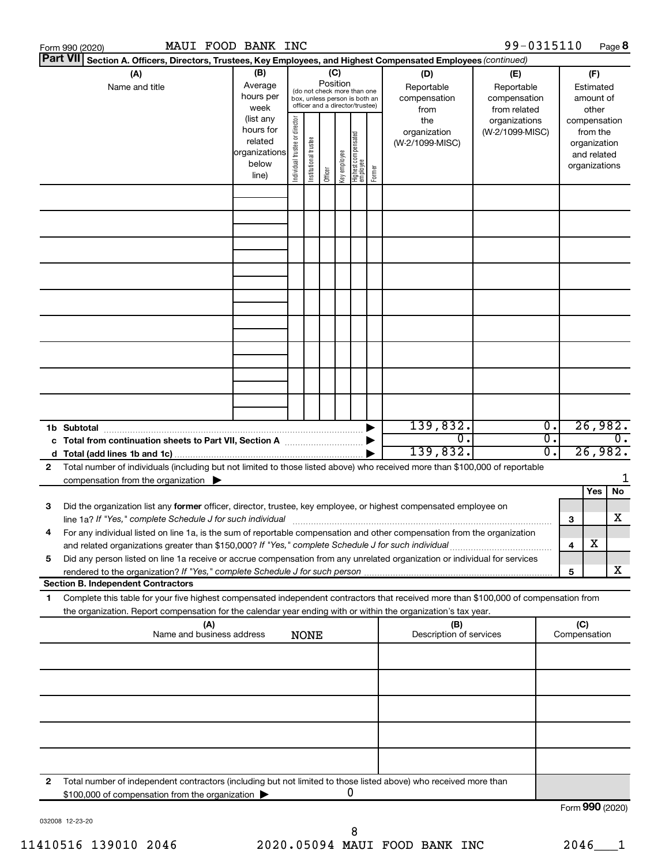|        | MAUI FOOD BANK INC<br>Form 990 (2020)                                                                                                                                                                                                                                                                                                                         |                                                               |                                |                       |                 |              |                                                                                                 |        |                                                                  | 99-0315110                                                                            |                              |                 |                                                                    | Page 8                   |
|--------|---------------------------------------------------------------------------------------------------------------------------------------------------------------------------------------------------------------------------------------------------------------------------------------------------------------------------------------------------------------|---------------------------------------------------------------|--------------------------------|-----------------------|-----------------|--------------|-------------------------------------------------------------------------------------------------|--------|------------------------------------------------------------------|---------------------------------------------------------------------------------------|------------------------------|-----------------|--------------------------------------------------------------------|--------------------------|
|        | <b>Part VII</b><br>Section A. Officers, Directors, Trustees, Key Employees, and Highest Compensated Employees (continued)                                                                                                                                                                                                                                     |                                                               |                                |                       |                 |              |                                                                                                 |        |                                                                  |                                                                                       |                              |                 |                                                                    |                          |
|        | (A)<br>Name and title                                                                                                                                                                                                                                                                                                                                         | (B)<br>Average<br>hours per<br>week<br>(list any<br>hours for |                                |                       | (C)<br>Position |              | (do not check more than one<br>box, unless person is both an<br>officer and a director/trustee) |        | (D)<br>Reportable<br>compensation<br>from<br>the<br>organization | (E)<br>Reportable<br>compensation<br>from related<br>organizations<br>(W-2/1099-MISC) |                              |                 | (F)<br>Estimated<br>amount of<br>other<br>compensation<br>from the |                          |
|        |                                                                                                                                                                                                                                                                                                                                                               | related<br>organizations<br>below<br>line)                    | Individual trustee or director | Institutional trustee | Officer         | Key employee | Highest compensated<br>  employee                                                               | Former | (W-2/1099-MISC)                                                  |                                                                                       |                              |                 | organization<br>and related<br>organizations                       |                          |
|        |                                                                                                                                                                                                                                                                                                                                                               |                                                               |                                |                       |                 |              |                                                                                                 |        |                                                                  |                                                                                       |                              |                 |                                                                    |                          |
|        |                                                                                                                                                                                                                                                                                                                                                               |                                                               |                                |                       |                 |              |                                                                                                 |        |                                                                  |                                                                                       |                              |                 |                                                                    |                          |
|        |                                                                                                                                                                                                                                                                                                                                                               |                                                               |                                |                       |                 |              |                                                                                                 |        |                                                                  |                                                                                       |                              |                 |                                                                    |                          |
|        |                                                                                                                                                                                                                                                                                                                                                               |                                                               |                                |                       |                 |              |                                                                                                 |        |                                                                  |                                                                                       |                              |                 |                                                                    |                          |
|        |                                                                                                                                                                                                                                                                                                                                                               |                                                               |                                |                       |                 |              |                                                                                                 |        |                                                                  |                                                                                       |                              |                 |                                                                    |                          |
|        | 1b Subtotal                                                                                                                                                                                                                                                                                                                                                   |                                                               |                                |                       |                 |              |                                                                                                 |        | 139,832.<br>0.<br>139,832.                                       |                                                                                       | $\overline{0}$ .<br>σ.<br>σ. |                 |                                                                    | 26,982.<br>0.<br>26,982. |
| 2      | Total number of individuals (including but not limited to those listed above) who received more than \$100,000 of reportable<br>compensation from the organization $\blacktriangleright$                                                                                                                                                                      |                                                               |                                |                       |                 |              |                                                                                                 |        |                                                                  |                                                                                       |                              |                 |                                                                    |                          |
| З      | Did the organization list any former officer, director, trustee, key employee, or highest compensated employee on<br>line 1a? If "Yes," complete Schedule J for such individual                                                                                                                                                                               |                                                               |                                |                       |                 |              |                                                                                                 |        |                                                                  |                                                                                       |                              | З               | Yes                                                                | No<br>x                  |
| 4<br>5 | For any individual listed on line 1a, is the sum of reportable compensation and other compensation from the organization<br>and related organizations greater than \$150,000? If "Yes," complete Schedule J for such individual<br>Did any person listed on line 1a receive or accrue compensation from any unrelated organization or individual for services |                                                               |                                |                       |                 |              |                                                                                                 |        |                                                                  |                                                                                       |                              | 4               | х                                                                  |                          |
|        | rendered to the organization? If "Yes," complete Schedule J for such person manufacture content content content<br><b>Section B. Independent Contractors</b>                                                                                                                                                                                                  |                                                               |                                |                       |                 |              |                                                                                                 |        |                                                                  |                                                                                       |                              | 5               |                                                                    | x                        |
| 1      | Complete this table for your five highest compensated independent contractors that received more than \$100,000 of compensation from                                                                                                                                                                                                                          |                                                               |                                |                       |                 |              |                                                                                                 |        |                                                                  |                                                                                       |                              |                 |                                                                    |                          |
|        | the organization. Report compensation for the calendar year ending with or within the organization's tax year.<br>(A)<br>(B)<br>Name and business address<br>Description of services<br><b>NONE</b>                                                                                                                                                           |                                                               |                                |                       |                 |              |                                                                                                 |        |                                                                  |                                                                                       | (C)<br>Compensation          |                 |                                                                    |                          |
|        |                                                                                                                                                                                                                                                                                                                                                               |                                                               |                                |                       |                 |              |                                                                                                 |        |                                                                  |                                                                                       |                              |                 |                                                                    |                          |
|        |                                                                                                                                                                                                                                                                                                                                                               |                                                               |                                |                       |                 |              |                                                                                                 |        |                                                                  |                                                                                       |                              |                 |                                                                    |                          |
|        |                                                                                                                                                                                                                                                                                                                                                               |                                                               |                                |                       |                 |              |                                                                                                 |        |                                                                  |                                                                                       |                              |                 |                                                                    |                          |
| 2      | Total number of independent contractors (including but not limited to those listed above) who received more than<br>\$100,000 of compensation from the organization                                                                                                                                                                                           |                                                               |                                |                       |                 |              | 0                                                                                               |        |                                                                  |                                                                                       |                              |                 |                                                                    |                          |
|        |                                                                                                                                                                                                                                                                                                                                                               |                                                               |                                |                       |                 |              |                                                                                                 |        |                                                                  |                                                                                       |                              | Form 990 (2020) |                                                                    |                          |

032008 12-23-20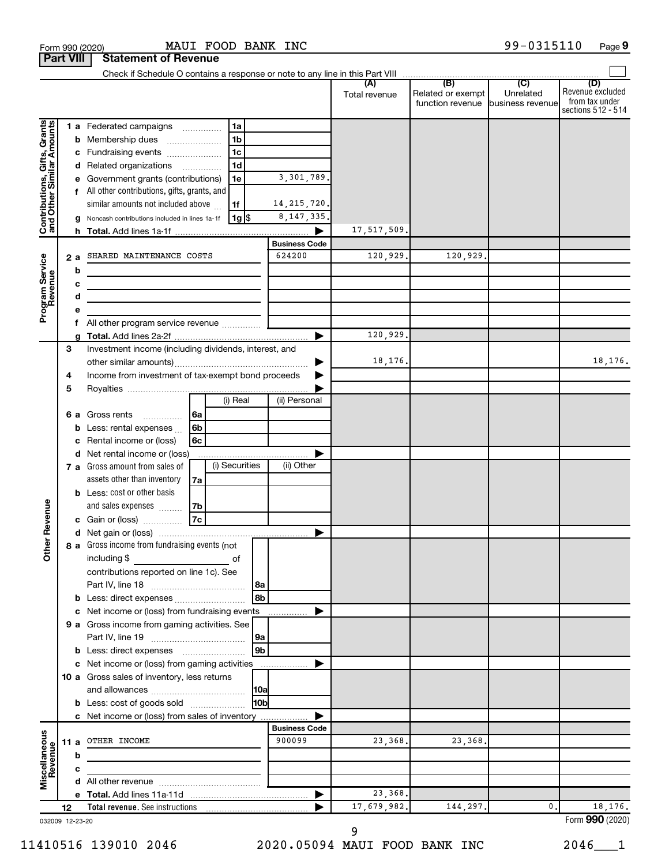| <b>Part VIII</b>                                          |        |      | <b>Statement of Revenue</b>                                                                                                                                                                  |                          |                |                |                      |               |                                       |                               |                                                                 |
|-----------------------------------------------------------|--------|------|----------------------------------------------------------------------------------------------------------------------------------------------------------------------------------------------|--------------------------|----------------|----------------|----------------------|---------------|---------------------------------------|-------------------------------|-----------------------------------------------------------------|
|                                                           |        |      |                                                                                                                                                                                              |                          |                |                |                      |               |                                       |                               |                                                                 |
|                                                           |        |      |                                                                                                                                                                                              |                          |                |                |                      | Total revenue | Related or exempt<br>function revenue | Unrelated<br>business revenue | (D)<br>Revenue excluded<br>from tax under<br>sections 512 - 514 |
|                                                           |        |      | <b>1 a</b> Federated campaigns                                                                                                                                                               |                          | 1a             |                |                      |               |                                       |                               |                                                                 |
| Contributions, Gifts, Grants<br>and Other Similar Amounts |        | b    | Membership dues                                                                                                                                                                              |                          | 1 <sub>b</sub> |                |                      |               |                                       |                               |                                                                 |
|                                                           |        |      | c Fundraising events                                                                                                                                                                         |                          | 1 <sub>c</sub> |                |                      |               |                                       |                               |                                                                 |
|                                                           |        |      | d Related organizations                                                                                                                                                                      | $\overline{\phantom{a}}$ | 1 <sub>d</sub> |                |                      |               |                                       |                               |                                                                 |
|                                                           |        |      | Government grants (contributions)                                                                                                                                                            |                          | 1e             |                | 3,301,789.           |               |                                       |                               |                                                                 |
|                                                           |        |      | All other contributions, gifts, grants, and                                                                                                                                                  |                          |                |                |                      |               |                                       |                               |                                                                 |
|                                                           |        |      | similar amounts not included above                                                                                                                                                           |                          | 1f             |                | 14, 215, 720.        |               |                                       |                               |                                                                 |
|                                                           |        | g    | Noncash contributions included in lines 1a-1f                                                                                                                                                |                          | 1g  \$         |                | 8, 147, 335.         |               |                                       |                               |                                                                 |
|                                                           |        |      |                                                                                                                                                                                              |                          |                |                |                      | 17,517,509.   |                                       |                               |                                                                 |
|                                                           |        |      |                                                                                                                                                                                              |                          |                |                | <b>Business Code</b> |               |                                       |                               |                                                                 |
|                                                           |        | 2a   | SHARED MAINTENANCE COSTS                                                                                                                                                                     |                          |                |                | 624200               | 120,929.      | 120,929.                              |                               |                                                                 |
|                                                           |        | b    |                                                                                                                                                                                              |                          |                |                |                      |               |                                       |                               |                                                                 |
|                                                           |        | с    | the control of the control of the control of the control of the control of                                                                                                                   |                          |                |                |                      |               |                                       |                               |                                                                 |
| Program Service<br>Revenue                                |        | d    | <u> 1989 - Johann Barbara, martin a bhann an t-Alban an t-Alban an t-Alban an t-Alban an t-Alban an t-Alban an t-</u>                                                                        |                          |                |                |                      |               |                                       |                               |                                                                 |
|                                                           |        |      |                                                                                                                                                                                              |                          |                |                |                      |               |                                       |                               |                                                                 |
|                                                           |        | f.   |                                                                                                                                                                                              |                          |                |                |                      |               |                                       |                               |                                                                 |
|                                                           |        |      |                                                                                                                                                                                              |                          |                |                |                      | 120,929.      |                                       |                               |                                                                 |
|                                                           | 3      |      | Investment income (including dividends, interest, and                                                                                                                                        |                          |                |                |                      | 18,176.       |                                       |                               | 18,176.                                                         |
|                                                           |        |      | Income from investment of tax-exempt bond proceeds                                                                                                                                           |                          |                |                |                      |               |                                       |                               |                                                                 |
|                                                           | 4<br>5 |      |                                                                                                                                                                                              |                          |                |                |                      |               |                                       |                               |                                                                 |
|                                                           |        |      |                                                                                                                                                                                              |                          | (i) Real       |                | (ii) Personal        |               |                                       |                               |                                                                 |
|                                                           |        | 6а   | Gross rents                                                                                                                                                                                  | 6a                       |                |                |                      |               |                                       |                               |                                                                 |
|                                                           |        | b    | $\overline{\phantom{a}}$<br>Less: rental expenses                                                                                                                                            | 6b                       |                |                |                      |               |                                       |                               |                                                                 |
|                                                           |        | с    | Rental income or (loss)                                                                                                                                                                      | 6c                       |                |                |                      |               |                                       |                               |                                                                 |
|                                                           |        |      | d Net rental income or (loss)                                                                                                                                                                |                          |                |                |                      |               |                                       |                               |                                                                 |
|                                                           |        |      | 7 a Gross amount from sales of                                                                                                                                                               |                          | (i) Securities |                | (ii) Other           |               |                                       |                               |                                                                 |
|                                                           |        |      | assets other than inventory                                                                                                                                                                  | 7a                       |                |                |                      |               |                                       |                               |                                                                 |
|                                                           |        |      | <b>b</b> Less: cost or other basis                                                                                                                                                           |                          |                |                |                      |               |                                       |                               |                                                                 |
|                                                           |        |      | and sales expenses                                                                                                                                                                           | 7b                       |                |                |                      |               |                                       |                               |                                                                 |
| Revenue                                                   |        |      | c Gain or (loss)                                                                                                                                                                             | 7c                       |                |                |                      |               |                                       |                               |                                                                 |
|                                                           |        |      |                                                                                                                                                                                              |                          |                |                |                      |               |                                       |                               |                                                                 |
| ৯                                                         |        |      | 8 a Gross income from fundraising events (not                                                                                                                                                |                          |                |                |                      |               |                                       |                               |                                                                 |
| š                                                         |        |      | including \$<br>$\mathcal{L}^{\mathcal{L}}(\mathcal{L}^{\mathcal{L}})$ and $\mathcal{L}^{\mathcal{L}}(\mathcal{L}^{\mathcal{L}})$ and $\mathcal{L}^{\mathcal{L}}(\mathcal{L}^{\mathcal{L}})$ |                          | οf             |                |                      |               |                                       |                               |                                                                 |
|                                                           |        |      | contributions reported on line 1c). See                                                                                                                                                      |                          |                |                |                      |               |                                       |                               |                                                                 |
|                                                           |        |      |                                                                                                                                                                                              |                          |                | 8a             |                      |               |                                       |                               |                                                                 |
|                                                           |        |      | <b>b</b> Less: direct expenses <b>contained b</b>                                                                                                                                            |                          |                | 8b             |                      |               |                                       |                               |                                                                 |
|                                                           |        |      | c Net income or (loss) from fundraising events                                                                                                                                               |                          |                |                | .                    |               |                                       |                               |                                                                 |
|                                                           |        |      | 9 a Gross income from gaming activities. See                                                                                                                                                 |                          |                |                |                      |               |                                       |                               |                                                                 |
|                                                           |        |      |                                                                                                                                                                                              |                          |                | 9a             |                      |               |                                       |                               |                                                                 |
|                                                           |        |      | <b>b</b> Less: direct expenses <b>manually</b>                                                                                                                                               |                          |                | 9 <sub>b</sub> |                      |               |                                       |                               |                                                                 |
|                                                           |        |      | c Net income or (loss) from gaming activities                                                                                                                                                |                          |                |                |                      |               |                                       |                               |                                                                 |
|                                                           |        |      | 10 a Gross sales of inventory, less returns                                                                                                                                                  |                          |                |                |                      |               |                                       |                               |                                                                 |
|                                                           |        |      |                                                                                                                                                                                              |                          |                | <b>10a</b>     |                      |               |                                       |                               |                                                                 |
|                                                           |        |      | <b>b</b> Less: cost of goods sold                                                                                                                                                            |                          |                | l10bl          |                      |               |                                       |                               |                                                                 |
|                                                           |        |      | c Net income or (loss) from sales of inventory                                                                                                                                               |                          |                |                |                      |               |                                       |                               |                                                                 |
|                                                           |        |      |                                                                                                                                                                                              |                          |                |                | <b>Business Code</b> |               |                                       |                               |                                                                 |
| Miscellaneous<br>Revenue                                  |        | 11 a | OTHER INCOME                                                                                                                                                                                 |                          |                |                | 900099               | 23,368.       | 23,368.                               |                               |                                                                 |
|                                                           |        | b    |                                                                                                                                                                                              |                          |                |                |                      |               |                                       |                               |                                                                 |
|                                                           |        |      |                                                                                                                                                                                              |                          |                |                |                      |               |                                       |                               |                                                                 |
|                                                           |        |      |                                                                                                                                                                                              |                          |                |                |                      | 23,368.       |                                       |                               |                                                                 |
|                                                           |        |      |                                                                                                                                                                                              |                          |                |                |                      | 17,679,982.   | 144,297.                              | 0.                            | 18, 176.                                                        |
|                                                           | 12     |      |                                                                                                                                                                                              |                          |                |                |                      |               |                                       |                               | $Form$ QQ $\Omega$ (2020)                                       |

Form 990 (2020) **MAUL FOOD BANK INC** 99-0315110 Page

MAUI FOOD BANK INC

032009 12-23-20

11410516 139010 2046 2020.05094 MAUI FOOD BANK INC 2046\_\_\_1

Form 990 (2020)

99-0315110 Page 9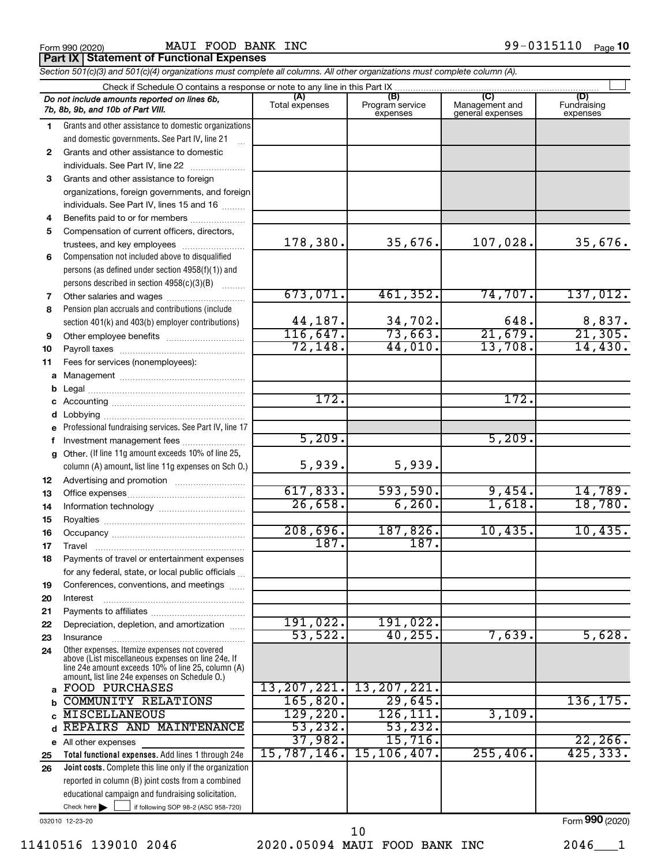|  | Form 990 (2020) |
|--|-----------------|
|  |                 |

|          | MAUI FOOD BANK INC<br>Form 990 (2020)                                                                                                                      |                       |                                    |                                                             | 99-0315110<br>Page 10          |
|----------|------------------------------------------------------------------------------------------------------------------------------------------------------------|-----------------------|------------------------------------|-------------------------------------------------------------|--------------------------------|
|          | Part IX   Statement of Functional Expenses                                                                                                                 |                       |                                    |                                                             |                                |
|          | Section 501(c)(3) and 501(c)(4) organizations must complete all columns. All other organizations must complete column (A).                                 |                       |                                    |                                                             |                                |
|          |                                                                                                                                                            |                       |                                    |                                                             |                                |
|          | Do not include amounts reported on lines 6b,<br>7b, 8b, 9b, and 10b of Part VIII.                                                                          | (A)<br>Total expenses | (B)<br>Program service<br>expenses | $\overline{\text{C}}$<br>Management and<br>general expenses | (D)<br>Fundraising<br>expenses |
| 1        | Grants and other assistance to domestic organizations<br>and domestic governments. See Part IV, line 21                                                    |                       |                                    |                                                             |                                |
| 2        | Grants and other assistance to domestic<br>individuals. See Part IV, line 22                                                                               |                       |                                    |                                                             |                                |
| 3        | Grants and other assistance to foreign                                                                                                                     |                       |                                    |                                                             |                                |
|          | organizations, foreign governments, and foreign<br>individuals. See Part IV, lines 15 and 16                                                               |                       |                                    |                                                             |                                |
| 4        | Benefits paid to or for members                                                                                                                            |                       |                                    |                                                             |                                |
| 5        | Compensation of current officers, directors,<br>trustees, and key employees                                                                                | 178,380.              | 35,676.                            | 107,028.                                                    | 35,676.                        |
| 6        | Compensation not included above to disqualified<br>persons (as defined under section 4958(f)(1)) and<br>persons described in section 4958(c)(3)(B)         |                       |                                    |                                                             |                                |
| 7        | Other salaries and wages                                                                                                                                   | 673,071.              | 461,352.                           | 74,707.                                                     | 137,012.                       |
| 8        | Pension plan accruals and contributions (include                                                                                                           |                       |                                    |                                                             |                                |
|          | section 401(k) and 403(b) employer contributions)                                                                                                          | 44,187.               | 34,702.                            | 648.                                                        |                                |
| 9        |                                                                                                                                                            | 116,647.              | 73,663.                            | 21,679.                                                     | $\frac{8,837}{21,305}$         |
| 10       |                                                                                                                                                            | 72, 148.              | 44,010.                            | 13,708.                                                     | 14,430.                        |
| 11       | Fees for services (nonemployees):                                                                                                                          |                       |                                    |                                                             |                                |
|          |                                                                                                                                                            |                       |                                    |                                                             |                                |
|          |                                                                                                                                                            |                       |                                    |                                                             |                                |
|          |                                                                                                                                                            | 172.                  |                                    | 172.                                                        |                                |
|          |                                                                                                                                                            |                       |                                    |                                                             |                                |
| е        | Professional fundraising services. See Part IV, line 17                                                                                                    |                       |                                    |                                                             |                                |
| f        | Investment management fees                                                                                                                                 | 5,209.                |                                    | 5,209.                                                      |                                |
| g        | Other. (If line 11g amount exceeds 10% of line 25,<br>column (A) amount, list line 11g expenses on Sch O.)                                                 | 5,939.                | 5,939.                             |                                                             |                                |
|          |                                                                                                                                                            |                       |                                    |                                                             |                                |
| 12       |                                                                                                                                                            | 617,833.              | 593,590.                           | 9,454.                                                      | 14,789.                        |
| 13       |                                                                                                                                                            | 26,658.               | 6, 260.                            | 1,618.                                                      | 18,780.                        |
| 14       |                                                                                                                                                            |                       |                                    |                                                             |                                |
| 15       |                                                                                                                                                            | 208,696.              | 187,826.                           | 10,435.                                                     | 10,435.                        |
| 16       |                                                                                                                                                            | 187.                  | 187.                               |                                                             |                                |
| 17<br>18 | Travel<br>Payments of travel or entertainment expenses                                                                                                     |                       |                                    |                                                             |                                |
|          | for any federal, state, or local public officials                                                                                                          |                       |                                    |                                                             |                                |
|          | Conferences, conventions, and meetings                                                                                                                     |                       |                                    |                                                             |                                |
| 19       | Interest                                                                                                                                                   |                       |                                    |                                                             |                                |
| 20       |                                                                                                                                                            |                       |                                    |                                                             |                                |
| 21       | Depreciation, depletion, and amortization                                                                                                                  | 191,022.              | 191,022.                           |                                                             |                                |
| 22       |                                                                                                                                                            | 53,522.               | 40, 255.                           | 7,639.                                                      | 5,628.                         |
| 23       | Insurance<br>Other expenses. Itemize expenses not covered                                                                                                  |                       |                                    |                                                             |                                |
| 24       | above (List miscellaneous expenses on line 24e. If<br>line 24e amount exceeds 10% of line 25, column (A)<br>amount, list line 24e expenses on Schedule 0.) |                       |                                    |                                                             |                                |
|          | a FOOD PURCHASES                                                                                                                                           |                       | 13, 207, 221. 13, 207, 221.        |                                                             |                                |

Check here  $\begin{array}{c} \begin{array}{|c} \hline \end{array} \end{array}$  if following SOP 98-2 (ASC 958-720) 032010 12-23-20 Check here

Total functional expenses. Add lines 1 through 24e Joint costs. Complete this line only if the organization

reported in column (B) joint costs from a combined educational campaign and fundraising solicitation.

d REPAIRS AND MAINTENANCE | 53,232. 53,232.

e All other expenses

b c

25 26

11410516 139010 2046 2020.05094 MAUI FOOD BANK INC 2046\_\_\_1 10

37,982. 15,716. 22,266. 15,787,146. 15,106,407. 255,406. 425,333.

COMMUNITY RELATIONS 165,820. 29,645. 136,175.

MISCELLANEOUS 129,220. 126,111. 3,109.

Form 990 (2020)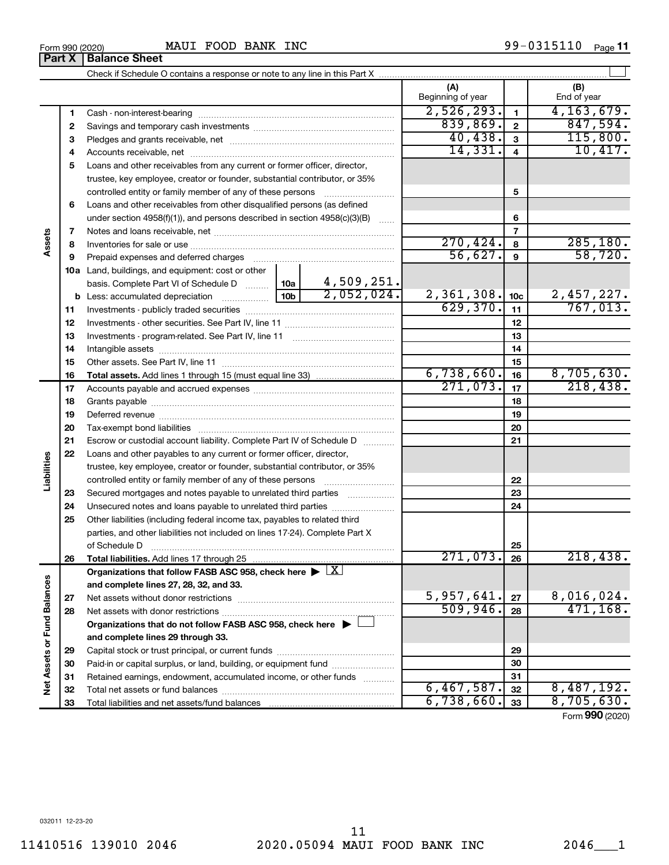Check if Schedule O contains a response or note to any line in this Part X

|                   | з        |                                                                                                        | 40,438.    | $\mathbf{3}$ | 115,800.       |                          |                               |
|-------------------|----------|--------------------------------------------------------------------------------------------------------|------------|--------------|----------------|--------------------------|-------------------------------|
|                   | 4        |                                                                                                        |            | 14,331.      | $\overline{4}$ | 10,417.                  |                               |
|                   | 5        | Loans and other receivables from any current or former officer, director,                              |            |              |                |                          |                               |
|                   |          | trustee, key employee, creator or founder, substantial contributor, or 35%                             |            |              |                |                          |                               |
|                   |          | controlled entity or family member of any of these persons                                             |            | 5            |                |                          |                               |
|                   | 6        | Loans and other receivables from other disqualified persons (as defined                                |            |              |                |                          |                               |
|                   |          | under section $4958(f)(1)$ , and persons described in section $4958(c)(3)(B)$                          |            | $\ldots$     |                | 6                        |                               |
|                   | 7        |                                                                                                        |            |              |                | $\overline{\phantom{a}}$ |                               |
| Assets            | 8        |                                                                                                        |            |              | 270, 424.      | 8                        | 285, 180.                     |
|                   | 9        | Prepaid expenses and deferred charges                                                                  |            |              | 56,627.        | 9                        | 58,720.                       |
|                   |          | 10a Land, buildings, and equipment: cost or other                                                      |            |              |                |                          |                               |
|                   |          | basis. Complete Part VI of Schedule D  10a                                                             |            | 4,509,251.   |                |                          |                               |
|                   |          | <b>b</b> Less: accumulated depreciation                                                                | 10b l      | 2,052,024.   | 2,361,308.     | 10 <sub>c</sub>          | $\frac{2,457,227.}{767,013.}$ |
|                   | 11       |                                                                                                        |            |              | 629,370.       | 11                       |                               |
|                   | 12       |                                                                                                        |            |              |                | 12                       |                               |
|                   | 13       |                                                                                                        |            |              |                | 13                       |                               |
|                   | 14       |                                                                                                        |            |              |                | 14                       |                               |
|                   | 15       |                                                                                                        |            | 15           |                |                          |                               |
|                   | 16       |                                                                                                        | 6,738,660. | 16           | 8,705,630.     |                          |                               |
|                   | 17       |                                                                                                        | 271,073.   | 17           | 218,438.       |                          |                               |
|                   | 18       |                                                                                                        |            | 18           |                |                          |                               |
|                   | 19       |                                                                                                        |            | 19           |                |                          |                               |
|                   | 20       |                                                                                                        |            | 20           |                |                          |                               |
|                   | 21       | Escrow or custodial account liability. Complete Part IV of Schedule D                                  |            | 21           |                |                          |                               |
|                   | 22       | Loans and other payables to any current or former officer, director,                                   |            |              |                |                          |                               |
| Liabilities       |          | trustee, key employee, creator or founder, substantial contributor, or 35%                             |            |              |                |                          |                               |
|                   |          |                                                                                                        |            |              |                | 22                       |                               |
|                   | 23       | Secured mortgages and notes payable to unrelated third parties                                         |            |              |                | 23                       |                               |
|                   | 24       | Unsecured notes and loans payable to unrelated third parties                                           |            |              | 24             |                          |                               |
|                   | 25       | Other liabilities (including federal income tax, payables to related third                             |            |              |                |                          |                               |
|                   |          | parties, and other liabilities not included on lines 17-24). Complete Part X                           |            |              |                |                          |                               |
|                   |          | of Schedule D                                                                                          | 271,073.   | 25           | 218,438.       |                          |                               |
|                   | 26       |                                                                                                        |            |              |                | 26                       |                               |
|                   |          | Organizations that follow FASB ASC 958, check here $\blacktriangleright \lfloor \underline{X} \rfloor$ |            |              |                |                          |                               |
|                   |          | and complete lines 27, 28, 32, and 33.                                                                 |            |              | 5,957,641.     | 27                       | 8,016,024.                    |
| d Balances        | 27<br>28 |                                                                                                        |            |              | 509,946.       | 28                       | 471, 168.                     |
|                   |          | Organizations that do not follow FASB ASC 958, check here ▶ □                                          |            |              |                |                          |                               |
|                   |          | and complete lines 29 through 33.                                                                      |            |              |                |                          |                               |
|                   | 29       |                                                                                                        |            |              |                | 29                       |                               |
|                   | 30       | Paid-in or capital surplus, or land, building, or equipment fund                                       |            |              |                | 30                       |                               |
|                   | 31       | Retained earnings, endowment, accumulated income, or other funds                                       |            |              |                | 31                       |                               |
| Net Assets or Fur | 32       |                                                                                                        |            |              | 6,467,587.     | 32                       | 8,487,192.                    |
|                   | 33       |                                                                                                        | 6,738,660. | 33           | 8,705,630.     |                          |                               |
|                   |          |                                                                                                        |            |              |                |                          | $Form$ 990 (2020)             |

 $\perp$ 

(A) (B)

Beginning of year  $\vert$  | End of year

1 2

 $2,526,293.$   $1$   $4,163,679.$  $839,869$ .  $2$  847,594.

1 2

**Part X | Balance Sheet**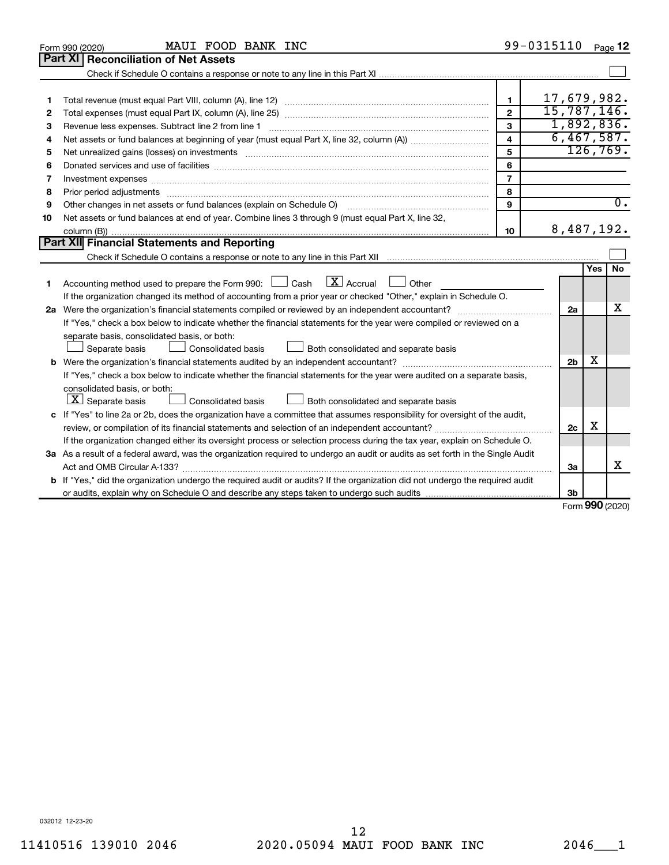|    | MAUI FOOD BANK INC<br>Form 990 (2020)                                                                                                                                                                                          |                         | 99-0315110     |     | Page 12          |
|----|--------------------------------------------------------------------------------------------------------------------------------------------------------------------------------------------------------------------------------|-------------------------|----------------|-----|------------------|
|    | <b>Part XI   Reconciliation of Net Assets</b>                                                                                                                                                                                  |                         |                |     |                  |
|    |                                                                                                                                                                                                                                |                         |                |     |                  |
|    |                                                                                                                                                                                                                                |                         |                |     |                  |
| 1  |                                                                                                                                                                                                                                | 1                       | 17,679,982.    |     |                  |
| 2  |                                                                                                                                                                                                                                | $\mathfrak{p}$          | 15,787,146.    |     |                  |
| З  | Revenue less expenses. Subtract line 2 from line 1                                                                                                                                                                             | 3                       | 1,892,836.     |     |                  |
| 4  |                                                                                                                                                                                                                                | $\overline{\mathbf{4}}$ | 6,467,587.     |     |                  |
| 5  | Net unrealized gains (losses) on investments [11] matter than the control of the state of the state of the state of the state of the state of the state of the state of the state of the state of the state of the state of th | 5                       |                |     | 126,769.         |
| 6  | Donated services and use of facilities [[111] matter contracts and use of facilities [[11] matter contracts and use of facilities [[11] matter contracts and use of facilities [[11] matter contracts and a service contract o | 6                       |                |     |                  |
| 7  | Investment expenses www.communication.com/www.communication.com/www.communication.com/www.com                                                                                                                                  | $\overline{7}$          |                |     |                  |
| 8  |                                                                                                                                                                                                                                | 8                       |                |     |                  |
| 9  | Other changes in net assets or fund balances (explain on Schedule O)                                                                                                                                                           | $\mathbf{Q}$            |                |     | $\overline{0}$ . |
| 10 | Net assets or fund balances at end of year. Combine lines 3 through 9 (must equal Part X, line 32,                                                                                                                             |                         |                |     |                  |
|    |                                                                                                                                                                                                                                | 10                      | 8,487,192.     |     |                  |
|    | Part XII Financial Statements and Reporting                                                                                                                                                                                    |                         |                |     |                  |
|    |                                                                                                                                                                                                                                |                         |                |     |                  |
|    |                                                                                                                                                                                                                                |                         |                | Yes | No               |
| 1  | Accounting method used to prepare the Form 990: $\Box$ Cash $\Box X$ Accrual<br><b>Durier</b>                                                                                                                                  |                         |                |     |                  |
|    | If the organization changed its method of accounting from a prior year or checked "Other," explain in Schedule O.                                                                                                              |                         |                |     |                  |
|    |                                                                                                                                                                                                                                |                         | 2a             |     | x                |
|    | If "Yes," check a box below to indicate whether the financial statements for the year were compiled or reviewed on a                                                                                                           |                         |                |     |                  |
|    | separate basis, consolidated basis, or both:                                                                                                                                                                                   |                         |                |     |                  |
|    | Both consolidated and separate basis<br>Separate basis<br>Consolidated basis                                                                                                                                                   |                         |                |     |                  |
|    |                                                                                                                                                                                                                                |                         | 2 <sub>b</sub> | х   |                  |
|    | If "Yes," check a box below to indicate whether the financial statements for the year were audited on a separate basis,                                                                                                        |                         |                |     |                  |
|    | consolidated basis, or both:                                                                                                                                                                                                   |                         |                |     |                  |
|    | $ \mathbf{X} $ Separate basis<br>Consolidated basis<br>Both consolidated and separate basis                                                                                                                                    |                         |                |     |                  |
|    | c If "Yes" to line 2a or 2b, does the organization have a committee that assumes responsibility for oversight of the audit,                                                                                                    |                         |                |     |                  |
|    | review, or compilation of its financial statements and selection of an independent accountant?                                                                                                                                 |                         | 2c             | х   |                  |
|    | If the organization changed either its oversight process or selection process during the tax year, explain on Schedule O.                                                                                                      |                         |                |     |                  |
|    | 3a As a result of a federal award, was the organization required to undergo an audit or audits as set forth in the Single Audit                                                                                                |                         |                |     |                  |
|    |                                                                                                                                                                                                                                |                         | За             |     | х                |
|    | b If "Yes," did the organization undergo the required audit or audits? If the organization did not undergo the required audit                                                                                                  |                         |                |     |                  |
|    |                                                                                                                                                                                                                                |                         | 3b             |     |                  |

Form 990 (2020)

032012 12-23-20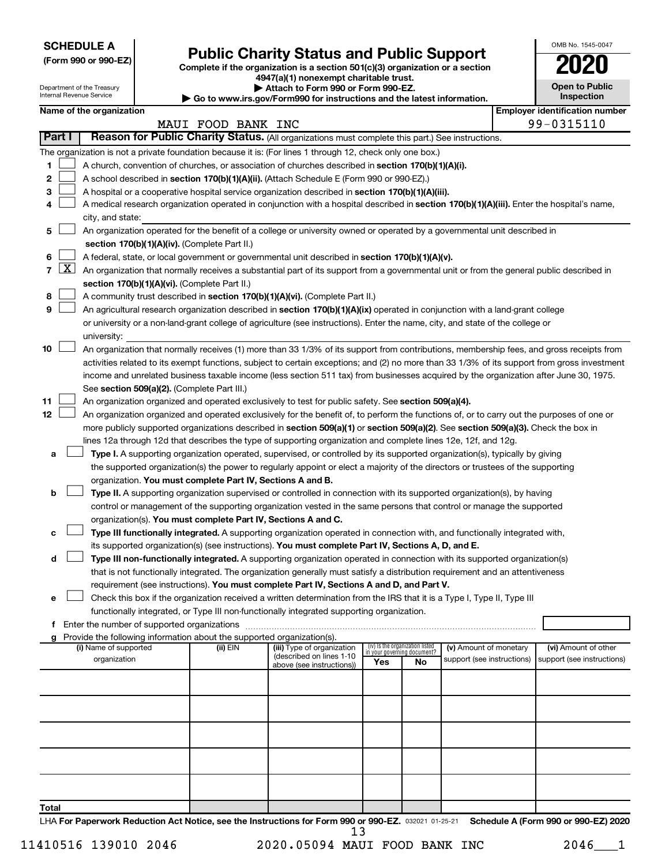| <b>SCHEDULE A</b> |  |
|-------------------|--|
|-------------------|--|

# SCHEDULE A<br>
(Form 990 or 990-EZ) Public Charity Status and Public Support<br>
Complete if the organization is a section 501(c)(3) organization or a section

4947(a)(1) nonexempt charitable trust.

| <b>Open to Public</b><br>Inspection |
|-------------------------------------|
| tificati                            |

OMB No. 1545-0047

| Department of the Treasury<br>Internal Revenue Service |                     |                                                                                                                           |  | Attach to Form 990 or Form 990-EZ.<br>$\blacktriangleright$ Go to www.irs.gov/Form990 for instructions and the latest information. |                                                                                                                                                                                                                      |     |                                                                |                            |  | <b>Open to Public</b><br>Inspection   |  |  |
|--------------------------------------------------------|---------------------|---------------------------------------------------------------------------------------------------------------------------|--|------------------------------------------------------------------------------------------------------------------------------------|----------------------------------------------------------------------------------------------------------------------------------------------------------------------------------------------------------------------|-----|----------------------------------------------------------------|----------------------------|--|---------------------------------------|--|--|
|                                                        |                     | Name of the organization                                                                                                  |  |                                                                                                                                    |                                                                                                                                                                                                                      |     |                                                                |                            |  | <b>Employer identification number</b> |  |  |
|                                                        |                     |                                                                                                                           |  | MAUI FOOD BANK INC                                                                                                                 |                                                                                                                                                                                                                      |     |                                                                |                            |  | 99-0315110                            |  |  |
| Part I                                                 |                     |                                                                                                                           |  |                                                                                                                                    | Reason for Public Charity Status. (All organizations must complete this part.) See instructions.                                                                                                                     |     |                                                                |                            |  |                                       |  |  |
|                                                        |                     |                                                                                                                           |  |                                                                                                                                    | The organization is not a private foundation because it is: (For lines 1 through 12, check only one box.)                                                                                                            |     |                                                                |                            |  |                                       |  |  |
| 1                                                      |                     |                                                                                                                           |  |                                                                                                                                    | A church, convention of churches, or association of churches described in section 170(b)(1)(A)(i).                                                                                                                   |     |                                                                |                            |  |                                       |  |  |
| 2                                                      |                     |                                                                                                                           |  |                                                                                                                                    | A school described in section 170(b)(1)(A)(ii). (Attach Schedule E (Form 990 or 990-EZ).)                                                                                                                            |     |                                                                |                            |  |                                       |  |  |
| 3                                                      |                     |                                                                                                                           |  |                                                                                                                                    | A hospital or a cooperative hospital service organization described in section 170(b)(1)(A)(iii).                                                                                                                    |     |                                                                |                            |  |                                       |  |  |
| 4                                                      |                     |                                                                                                                           |  |                                                                                                                                    | A medical research organization operated in conjunction with a hospital described in section 170(b)(1)(A)(iii). Enter the hospital's name,                                                                           |     |                                                                |                            |  |                                       |  |  |
|                                                        |                     | city, and state:                                                                                                          |  |                                                                                                                                    |                                                                                                                                                                                                                      |     |                                                                |                            |  |                                       |  |  |
| 5                                                      |                     | An organization operated for the benefit of a college or university owned or operated by a governmental unit described in |  |                                                                                                                                    |                                                                                                                                                                                                                      |     |                                                                |                            |  |                                       |  |  |
|                                                        |                     |                                                                                                                           |  | section 170(b)(1)(A)(iv). (Complete Part II.)                                                                                      |                                                                                                                                                                                                                      |     |                                                                |                            |  |                                       |  |  |
| 6                                                      |                     |                                                                                                                           |  |                                                                                                                                    | A federal, state, or local government or governmental unit described in section 170(b)(1)(A)(v).                                                                                                                     |     |                                                                |                            |  |                                       |  |  |
| $\overline{7}$                                         | $\lfloor x \rfloor$ |                                                                                                                           |  |                                                                                                                                    | An organization that normally receives a substantial part of its support from a governmental unit or from the general public described in                                                                            |     |                                                                |                            |  |                                       |  |  |
|                                                        |                     |                                                                                                                           |  | section 170(b)(1)(A)(vi). (Complete Part II.)                                                                                      |                                                                                                                                                                                                                      |     |                                                                |                            |  |                                       |  |  |
| 8                                                      |                     |                                                                                                                           |  |                                                                                                                                    | A community trust described in section 170(b)(1)(A)(vi). (Complete Part II.)                                                                                                                                         |     |                                                                |                            |  |                                       |  |  |
| 9                                                      |                     |                                                                                                                           |  |                                                                                                                                    | An agricultural research organization described in section 170(b)(1)(A)(ix) operated in conjunction with a land-grant college                                                                                        |     |                                                                |                            |  |                                       |  |  |
|                                                        |                     |                                                                                                                           |  |                                                                                                                                    | or university or a non-land-grant college of agriculture (see instructions). Enter the name, city, and state of the college or                                                                                       |     |                                                                |                            |  |                                       |  |  |
|                                                        |                     | university:                                                                                                               |  |                                                                                                                                    |                                                                                                                                                                                                                      |     |                                                                |                            |  |                                       |  |  |
| 10                                                     |                     |                                                                                                                           |  |                                                                                                                                    | An organization that normally receives (1) more than 33 1/3% of its support from contributions, membership fees, and gross receipts from                                                                             |     |                                                                |                            |  |                                       |  |  |
|                                                        |                     |                                                                                                                           |  |                                                                                                                                    | activities related to its exempt functions, subject to certain exceptions; and (2) no more than 33 1/3% of its support from gross investment                                                                         |     |                                                                |                            |  |                                       |  |  |
|                                                        |                     |                                                                                                                           |  |                                                                                                                                    | income and unrelated business taxable income (less section 511 tax) from businesses acquired by the organization after June 30, 1975.                                                                                |     |                                                                |                            |  |                                       |  |  |
|                                                        |                     |                                                                                                                           |  | See section 509(a)(2). (Complete Part III.)                                                                                        |                                                                                                                                                                                                                      |     |                                                                |                            |  |                                       |  |  |
| 11                                                     |                     |                                                                                                                           |  |                                                                                                                                    | An organization organized and operated exclusively to test for public safety. See section 509(a)(4).                                                                                                                 |     |                                                                |                            |  |                                       |  |  |
| 12                                                     |                     |                                                                                                                           |  |                                                                                                                                    | An organization organized and operated exclusively for the benefit of, to perform the functions of, or to carry out the purposes of one or                                                                           |     |                                                                |                            |  |                                       |  |  |
|                                                        |                     |                                                                                                                           |  |                                                                                                                                    | more publicly supported organizations described in section 509(a)(1) or section 509(a)(2). See section 509(a)(3). Check the box in                                                                                   |     |                                                                |                            |  |                                       |  |  |
|                                                        |                     |                                                                                                                           |  |                                                                                                                                    | lines 12a through 12d that describes the type of supporting organization and complete lines 12e, 12f, and 12g.                                                                                                       |     |                                                                |                            |  |                                       |  |  |
| а                                                      |                     |                                                                                                                           |  |                                                                                                                                    | Type I. A supporting organization operated, supervised, or controlled by its supported organization(s), typically by giving                                                                                          |     |                                                                |                            |  |                                       |  |  |
|                                                        |                     |                                                                                                                           |  |                                                                                                                                    | the supported organization(s) the power to regularly appoint or elect a majority of the directors or trustees of the supporting                                                                                      |     |                                                                |                            |  |                                       |  |  |
|                                                        |                     |                                                                                                                           |  | organization. You must complete Part IV, Sections A and B.                                                                         |                                                                                                                                                                                                                      |     |                                                                |                            |  |                                       |  |  |
| b                                                      |                     |                                                                                                                           |  |                                                                                                                                    | Type II. A supporting organization supervised or controlled in connection with its supported organization(s), by having                                                                                              |     |                                                                |                            |  |                                       |  |  |
|                                                        |                     |                                                                                                                           |  |                                                                                                                                    | control or management of the supporting organization vested in the same persons that control or manage the supported                                                                                                 |     |                                                                |                            |  |                                       |  |  |
|                                                        |                     |                                                                                                                           |  | organization(s). You must complete Part IV, Sections A and C.                                                                      |                                                                                                                                                                                                                      |     |                                                                |                            |  |                                       |  |  |
| с                                                      |                     |                                                                                                                           |  |                                                                                                                                    | Type III functionally integrated. A supporting organization operated in connection with, and functionally integrated with,                                                                                           |     |                                                                |                            |  |                                       |  |  |
|                                                        |                     |                                                                                                                           |  |                                                                                                                                    | its supported organization(s) (see instructions). You must complete Part IV, Sections A, D, and E.                                                                                                                   |     |                                                                |                            |  |                                       |  |  |
| d                                                      |                     |                                                                                                                           |  |                                                                                                                                    | Type III non-functionally integrated. A supporting organization operated in connection with its supported organization(s)                                                                                            |     |                                                                |                            |  |                                       |  |  |
|                                                        |                     |                                                                                                                           |  |                                                                                                                                    | that is not functionally integrated. The organization generally must satisfy a distribution requirement and an attentiveness                                                                                         |     |                                                                |                            |  |                                       |  |  |
|                                                        |                     |                                                                                                                           |  |                                                                                                                                    | requirement (see instructions). You must complete Part IV, Sections A and D, and Part V.                                                                                                                             |     |                                                                |                            |  |                                       |  |  |
|                                                        |                     |                                                                                                                           |  |                                                                                                                                    | Check this box if the organization received a written determination from the IRS that it is a Type I, Type II, Type III<br>functionally integrated, or Type III non-functionally integrated supporting organization. |     |                                                                |                            |  |                                       |  |  |
|                                                        |                     |                                                                                                                           |  |                                                                                                                                    |                                                                                                                                                                                                                      |     |                                                                |                            |  |                                       |  |  |
|                                                        |                     |                                                                                                                           |  | Provide the following information about the supported organization(s).                                                             |                                                                                                                                                                                                                      |     |                                                                |                            |  |                                       |  |  |
|                                                        |                     | (i) Name of supported                                                                                                     |  | (ii) EIN                                                                                                                           | (iii) Type of organization                                                                                                                                                                                           |     | (iv) Is the organization listed<br>in your governing document? | (v) Amount of monetary     |  | (vi) Amount of other                  |  |  |
|                                                        |                     | organization                                                                                                              |  |                                                                                                                                    | (described on lines 1-10<br>above (see instructions))                                                                                                                                                                | Yes | No                                                             | support (see instructions) |  | support (see instructions)            |  |  |
|                                                        |                     |                                                                                                                           |  |                                                                                                                                    |                                                                                                                                                                                                                      |     |                                                                |                            |  |                                       |  |  |
|                                                        |                     |                                                                                                                           |  |                                                                                                                                    |                                                                                                                                                                                                                      |     |                                                                |                            |  |                                       |  |  |
|                                                        |                     |                                                                                                                           |  |                                                                                                                                    |                                                                                                                                                                                                                      |     |                                                                |                            |  |                                       |  |  |
|                                                        |                     |                                                                                                                           |  |                                                                                                                                    |                                                                                                                                                                                                                      |     |                                                                |                            |  |                                       |  |  |
|                                                        |                     |                                                                                                                           |  |                                                                                                                                    |                                                                                                                                                                                                                      |     |                                                                |                            |  |                                       |  |  |
|                                                        |                     |                                                                                                                           |  |                                                                                                                                    |                                                                                                                                                                                                                      |     |                                                                |                            |  |                                       |  |  |
|                                                        |                     |                                                                                                                           |  |                                                                                                                                    |                                                                                                                                                                                                                      |     |                                                                |                            |  |                                       |  |  |
|                                                        |                     |                                                                                                                           |  |                                                                                                                                    |                                                                                                                                                                                                                      |     |                                                                |                            |  |                                       |  |  |
|                                                        |                     |                                                                                                                           |  |                                                                                                                                    |                                                                                                                                                                                                                      |     |                                                                |                            |  |                                       |  |  |
|                                                        |                     |                                                                                                                           |  |                                                                                                                                    |                                                                                                                                                                                                                      |     |                                                                |                            |  |                                       |  |  |
| Total                                                  |                     |                                                                                                                           |  |                                                                                                                                    |                                                                                                                                                                                                                      |     |                                                                |                            |  |                                       |  |  |

LHA For Paperwork Reduction Act Notice, see the Instructions for Form 990 or 990-EZ. 032021 01-25-21 Schedule A (Form 990 or 990-EZ) 2020 13

11410516 139010 2046 2020.05094 MAUI FOOD BANK INC 2046\_\_\_1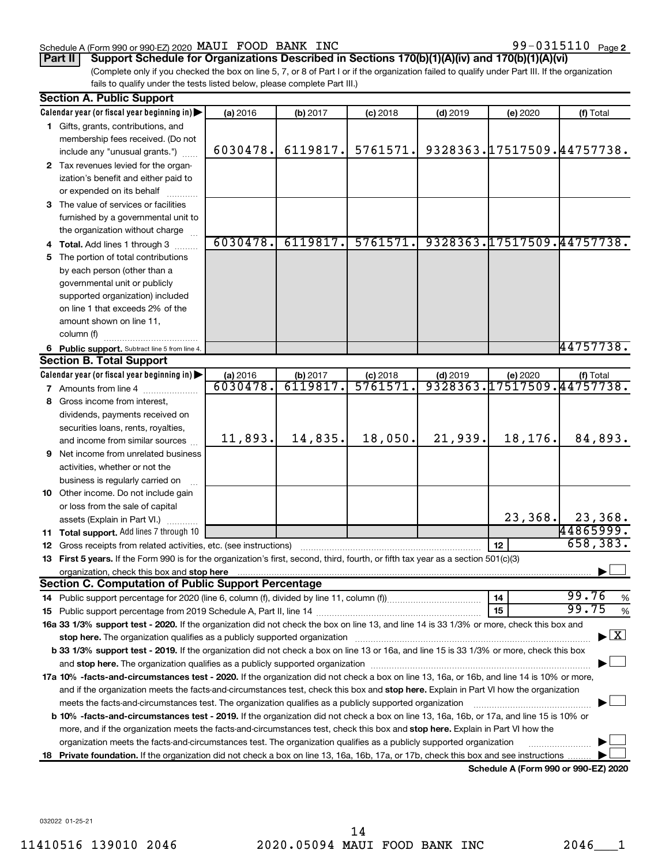### Schedule A (Form 990 or 990-EZ) 2020 MAUI FOOD BANK INC  $99-0315110$  Page

Part II | Support Schedule for Organizations Described in Sections 170(b)(1)(A)(iv) and 170(b)(1)(A)(vi)

(Complete only if you checked the box on line 5, 7, or 8 of Part I or if the organization failed to qualify under Part III. If the organization fails to qualify under the tests listed below, please complete Part III.)

|    | <b>Section A. Public Support</b>                                                                                                                                                                                              |          |                 |            |            |                            |                                          |
|----|-------------------------------------------------------------------------------------------------------------------------------------------------------------------------------------------------------------------------------|----------|-----------------|------------|------------|----------------------------|------------------------------------------|
|    | Calendar year (or fiscal year beginning in)                                                                                                                                                                                   | (a) 2016 | (b) 2017        | $(c)$ 2018 | $(d)$ 2019 | (e) 2020                   | (f) Total                                |
|    | 1 Gifts, grants, contributions, and                                                                                                                                                                                           |          |                 |            |            |                            |                                          |
|    | membership fees received. (Do not                                                                                                                                                                                             |          |                 |            |            |                            |                                          |
|    | include any "unusual grants.")                                                                                                                                                                                                | 6030478. | 6119817.        | 5761571.   |            |                            | 9328363.17517509.44757738.               |
|    | 2 Tax revenues levied for the organ-                                                                                                                                                                                          |          |                 |            |            |                            |                                          |
|    | ization's benefit and either paid to                                                                                                                                                                                          |          |                 |            |            |                            |                                          |
|    | or expended on its behalf                                                                                                                                                                                                     |          |                 |            |            |                            |                                          |
|    | 3 The value of services or facilities                                                                                                                                                                                         |          |                 |            |            |                            |                                          |
|    | furnished by a governmental unit to                                                                                                                                                                                           |          |                 |            |            |                            |                                          |
|    | the organization without charge                                                                                                                                                                                               |          |                 |            |            |                            |                                          |
|    | 4 Total. Add lines 1 through 3                                                                                                                                                                                                | 6030478. | 6119817.        | 5761571    |            | 9328363.17517509.44757738. |                                          |
|    | 5 The portion of total contributions                                                                                                                                                                                          |          |                 |            |            |                            |                                          |
|    | by each person (other than a                                                                                                                                                                                                  |          |                 |            |            |                            |                                          |
|    | governmental unit or publicly                                                                                                                                                                                                 |          |                 |            |            |                            |                                          |
|    | supported organization) included                                                                                                                                                                                              |          |                 |            |            |                            |                                          |
|    | on line 1 that exceeds 2% of the                                                                                                                                                                                              |          |                 |            |            |                            |                                          |
|    | amount shown on line 11,                                                                                                                                                                                                      |          |                 |            |            |                            |                                          |
|    | column (f)                                                                                                                                                                                                                    |          |                 |            |            |                            |                                          |
|    | 6 Public support. Subtract line 5 from line 4.                                                                                                                                                                                |          |                 |            |            |                            | 44757738.                                |
|    | <b>Section B. Total Support</b>                                                                                                                                                                                               |          |                 |            |            |                            |                                          |
|    | Calendar year (or fiscal year beginning in)                                                                                                                                                                                   | (a) 2016 | (b) 2017        | $(c)$ 2018 | $(d)$ 2019 | (e) 2020                   | (f) Total                                |
|    | <b>7</b> Amounts from line 4                                                                                                                                                                                                  | 6030478. | <u>6119817.</u> | 5761571    |            | 9328363.17517509.44757738. |                                          |
|    | 8 Gross income from interest.                                                                                                                                                                                                 |          |                 |            |            |                            |                                          |
|    | dividends, payments received on                                                                                                                                                                                               |          |                 |            |            |                            |                                          |
|    | securities loans, rents, royalties,                                                                                                                                                                                           |          |                 |            |            |                            |                                          |
|    | and income from similar sources                                                                                                                                                                                               | 11,893.  | 14,835.         | 18,050.    | 21,939.    | 18,176.                    | 84,893.                                  |
| 9  | Net income from unrelated business                                                                                                                                                                                            |          |                 |            |            |                            |                                          |
|    | activities, whether or not the                                                                                                                                                                                                |          |                 |            |            |                            |                                          |
|    | business is regularly carried on                                                                                                                                                                                              |          |                 |            |            |                            |                                          |
|    | 10 Other income. Do not include gain                                                                                                                                                                                          |          |                 |            |            |                            |                                          |
|    | or loss from the sale of capital                                                                                                                                                                                              |          |                 |            |            |                            |                                          |
|    | assets (Explain in Part VI.)                                                                                                                                                                                                  |          |                 |            |            | 23, 368.                   | 23,368.                                  |
|    | 11 Total support. Add lines 7 through 10                                                                                                                                                                                      |          |                 |            |            |                            | 44865999.                                |
|    | <b>12</b> Gross receipts from related activities, etc. (see instructions)                                                                                                                                                     |          |                 |            |            | 12                         | 658, 383.                                |
|    | 13 First 5 years. If the Form 990 is for the organization's first, second, third, fourth, or fifth tax year as a section 501(c)(3)                                                                                            |          |                 |            |            |                            |                                          |
|    |                                                                                                                                                                                                                               |          |                 |            |            |                            |                                          |
|    | <b>Section C. Computation of Public Support Percentage</b>                                                                                                                                                                    |          |                 |            |            |                            |                                          |
|    |                                                                                                                                                                                                                               |          |                 |            |            | 14                         | 99.76<br>$\%$                            |
|    |                                                                                                                                                                                                                               |          |                 |            |            | 15                         | 99.75<br>$\%$                            |
|    | 16a 33 1/3% support test - 2020. If the organization did not check the box on line 13, and line 14 is 33 1/3% or more, check this box and                                                                                     |          |                 |            |            |                            |                                          |
|    | stop here. The organization qualifies as a publicly supported organization manufaction manufacture or the organization manufacture or the state of the state of the state of the state of the state of the state of the state |          |                 |            |            |                            | $\blacktriangleright$ $\boxed{\text{X}}$ |
|    | b 33 1/3% support test - 2019. If the organization did not check a box on line 13 or 16a, and line 15 is 33 1/3% or more, check this box                                                                                      |          |                 |            |            |                            |                                          |
|    |                                                                                                                                                                                                                               |          |                 |            |            |                            |                                          |
|    | 17a 10% -facts-and-circumstances test - 2020. If the organization did not check a box on line 13, 16a, or 16b, and line 14 is 10% or more,                                                                                    |          |                 |            |            |                            |                                          |
|    | and if the organization meets the facts-and-circumstances test, check this box and stop here. Explain in Part VI how the organization                                                                                         |          |                 |            |            |                            |                                          |
|    | meets the facts-and-circumstances test. The organization qualifies as a publicly supported organization                                                                                                                       |          |                 |            |            |                            |                                          |
|    | <b>b 10%</b> -facts-and-circumstances test - 2019. If the organization did not check a box on line 13, 16a, 16b, or 17a, and line 15 is 10% or                                                                                |          |                 |            |            |                            |                                          |
|    | more, and if the organization meets the facts-and-circumstances test, check this box and stop here. Explain in Part VI how the                                                                                                |          |                 |            |            |                            |                                          |
|    | organization meets the facts-and-circumstances test. The organization qualifies as a publicly supported organization                                                                                                          |          |                 |            |            |                            |                                          |
| 18 | Private foundation. If the organization did not check a box on line 13, 16a, 16b, 17a, or 17b, check this box and see instructions                                                                                            |          |                 |            |            |                            | Schedule A (Form 990 or 990-F7) 2020     |

Schedule A (Form 990 or 990-EZ) 2020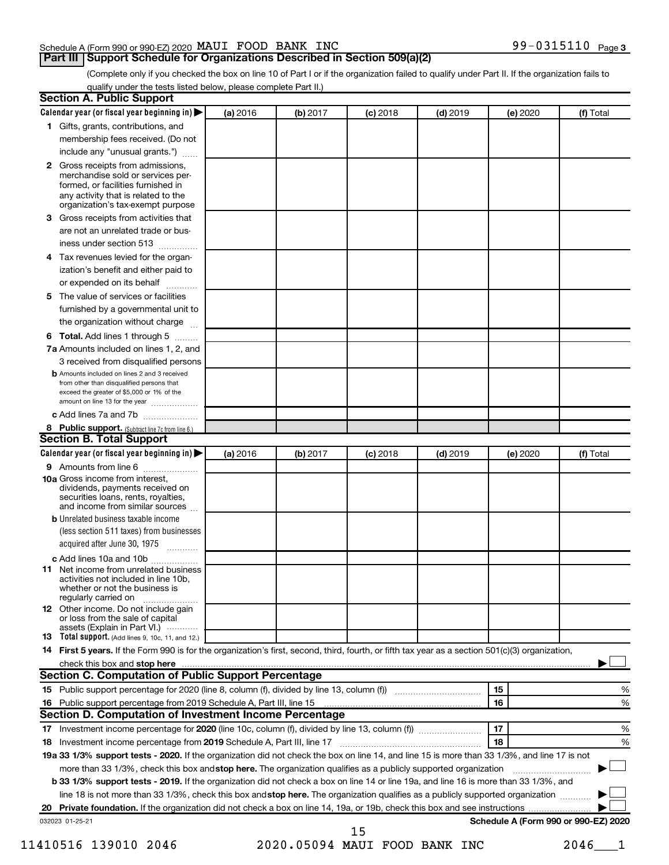### Schedule A (Form 990 or 990-EZ) 2020 MAUI FOOD BANK INC  $99-0315110$  Page

99-0315110 Page 3

(Complete only if you checked the box on line 10 of Part I or if the organization failed to qualify under Part II. If the organization fails to qualify under the tests listed below, please complete Part II.)

| <b>Section A. Public Support</b>                                                                                                                                                                                                    |          |          |          |            |          |                                      |
|-------------------------------------------------------------------------------------------------------------------------------------------------------------------------------------------------------------------------------------|----------|----------|----------|------------|----------|--------------------------------------|
| Calendar year (or fiscal year beginning in) $\blacktriangleright$                                                                                                                                                                   | (a) 2016 | (b) 2017 | (c) 2018 | $(d)$ 2019 | (e) 2020 | (f) Total                            |
| 1 Gifts, grants, contributions, and                                                                                                                                                                                                 |          |          |          |            |          |                                      |
| membership fees received. (Do not                                                                                                                                                                                                   |          |          |          |            |          |                                      |
| include any "unusual grants.")                                                                                                                                                                                                      |          |          |          |            |          |                                      |
| <b>2</b> Gross receipts from admissions,<br>merchandise sold or services per-<br>formed, or facilities furnished in<br>any activity that is related to the<br>organization's tax-exempt purpose                                     |          |          |          |            |          |                                      |
| 3 Gross receipts from activities that<br>are not an unrelated trade or bus-                                                                                                                                                         |          |          |          |            |          |                                      |
| iness under section 513                                                                                                                                                                                                             |          |          |          |            |          |                                      |
| 4 Tax revenues levied for the organ-                                                                                                                                                                                                |          |          |          |            |          |                                      |
| ization's benefit and either paid to<br>or expended on its behalf<br>.                                                                                                                                                              |          |          |          |            |          |                                      |
| 5 The value of services or facilities                                                                                                                                                                                               |          |          |          |            |          |                                      |
| furnished by a governmental unit to                                                                                                                                                                                                 |          |          |          |            |          |                                      |
| the organization without charge                                                                                                                                                                                                     |          |          |          |            |          |                                      |
| <b>6 Total.</b> Add lines 1 through 5                                                                                                                                                                                               |          |          |          |            |          |                                      |
| 7a Amounts included on lines 1, 2, and                                                                                                                                                                                              |          |          |          |            |          |                                      |
| 3 received from disqualified persons                                                                                                                                                                                                |          |          |          |            |          |                                      |
| <b>b</b> Amounts included on lines 2 and 3 received<br>from other than disqualified persons that<br>exceed the greater of \$5,000 or 1% of the<br>amount on line 13 for the year                                                    |          |          |          |            |          |                                      |
| c Add lines 7a and 7b                                                                                                                                                                                                               |          |          |          |            |          |                                      |
| 8 Public support. (Subtract line 7c from line 6.)                                                                                                                                                                                   |          |          |          |            |          |                                      |
| <b>Section B. Total Support</b>                                                                                                                                                                                                     |          |          |          |            |          |                                      |
| Calendar year (or fiscal year beginning in) $\blacktriangleright$                                                                                                                                                                   | (a) 2016 | (b) 2017 | (c) 2018 | $(d)$ 2019 | (e) 2020 | (f) Total                            |
| <b>9</b> Amounts from line 6                                                                                                                                                                                                        |          |          |          |            |          |                                      |
| <b>10a</b> Gross income from interest,<br>dividends, payments received on<br>securities loans, rents, royalties,<br>and income from similar sources                                                                                 |          |          |          |            |          |                                      |
| <b>b</b> Unrelated business taxable income<br>(less section 511 taxes) from businesses<br>acquired after June 30, 1975                                                                                                              |          |          |          |            |          |                                      |
| c Add lines 10a and 10b                                                                                                                                                                                                             |          |          |          |            |          |                                      |
| <b>11</b> Net income from unrelated business<br>activities not included in line 10b.<br>whether or not the business is<br>regularly carried on                                                                                      |          |          |          |            |          |                                      |
| 12 Other income. Do not include gain<br>or loss from the sale of capital<br>assets (Explain in Part VI.) $\cdots$                                                                                                                   |          |          |          |            |          |                                      |
| <b>13</b> Total support. (Add lines 9, 10c, 11, and 12.)                                                                                                                                                                            |          |          |          |            |          |                                      |
| 14 First 5 years. If the Form 990 is for the organization's first, second, third, fourth, or fifth tax year as a section 501(c)(3) organization,                                                                                    |          |          |          |            |          |                                      |
| check this box and stop here <i>manual content of the content of the state of the state and stop here</i> manual content of the state of the state of the state of the state of the state of the state of the state of the state of |          |          |          |            |          |                                      |
| <b>Section C. Computation of Public Support Percentage</b>                                                                                                                                                                          |          |          |          |            |          |                                      |
|                                                                                                                                                                                                                                     |          |          |          |            | 15       | %                                    |
| 16 Public support percentage from 2019 Schedule A, Part III, line 15                                                                                                                                                                |          |          |          |            | 16       | %                                    |
| Section D. Computation of Investment Income Percentage                                                                                                                                                                              |          |          |          |            |          |                                      |
|                                                                                                                                                                                                                                     |          |          |          |            | 17       | %                                    |
| 18 Investment income percentage from 2019 Schedule A, Part III, line 17                                                                                                                                                             |          |          |          |            | 18       | %                                    |
| 19a 33 1/3% support tests - 2020. If the organization did not check the box on line 14, and line 15 is more than 33 1/3%, and line 17 is not                                                                                        |          |          |          |            |          |                                      |
| more than 33 1/3%, check this box and stop here. The organization qualifies as a publicly supported organization                                                                                                                    |          |          |          |            |          |                                      |
| b 33 1/3% support tests - 2019. If the organization did not check a box on line 14 or line 19a, and line 16 is more than 33 1/3%, and                                                                                               |          |          |          |            |          |                                      |
| line 18 is not more than 33 1/3%, check this box and stop here. The organization qualifies as a publicly supported organization                                                                                                     |          |          |          |            |          |                                      |
|                                                                                                                                                                                                                                     |          |          |          |            |          |                                      |
| 032023 01-25-21                                                                                                                                                                                                                     |          |          | 15       |            |          | Schedule A (Form 990 or 990-EZ) 2020 |

11410516 139010 2046 2020.05094 MAUI FOOD BANK INC 2046\_\_\_1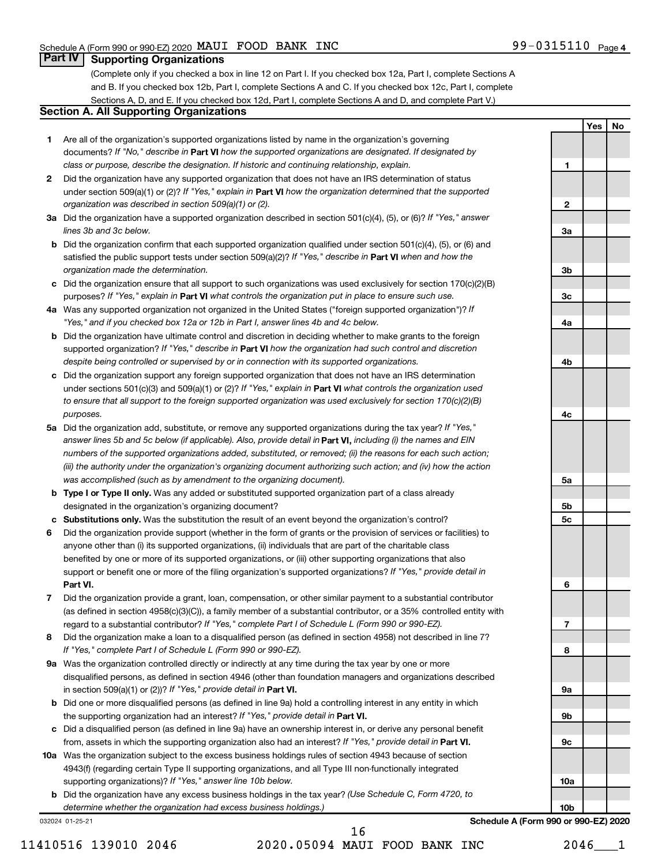1

2

3a

3b

3c

4a

4b

4c

5a

5b 5c

6

7

8

9a

9b

9c

10a

Yes | No

# **Part IV Supporting Organizations**

(Complete only if you checked a box in line 12 on Part I. If you checked box 12a, Part I, complete Sections A and B. If you checked box 12b, Part I, complete Sections A and C. If you checked box 12c, Part I, complete Sections A, D, and E. If you checked box 12d, Part I, complete Sections A and D, and complete Part V.)

# Section A. All Supporting Organizations

- 1 Are all of the organization's supported organizations listed by name in the organization's governing documents? If "No," describe in Part VI how the supported organizations are designated. If designated by class or purpose, describe the designation. If historic and continuing relationship, explain.
- 2 Did the organization have any supported organization that does not have an IRS determination of status under section 509(a)(1) or (2)? If "Yes," explain in Part VI how the organization determined that the supported organization was described in section 509(a)(1) or (2).
- 3a Did the organization have a supported organization described in section 501(c)(4), (5), or (6)? If "Yes," answer lines 3b and 3c below.
- b Did the organization confirm that each supported organization qualified under section 501(c)(4), (5), or (6) and satisfied the public support tests under section 509(a)(2)? If "Yes," describe in Part VI when and how the organization made the determination.
- c Did the organization ensure that all support to such organizations was used exclusively for section 170(c)(2)(B) purposes? If "Yes," explain in Part VI what controls the organization put in place to ensure such use.
- 4a Was any supported organization not organized in the United States ("foreign supported organization")? If "Yes," and if you checked box 12a or 12b in Part I, answer lines 4b and 4c below.
- b Did the organization have ultimate control and discretion in deciding whether to make grants to the foreign supported organization? If "Yes," describe in Part VI how the organization had such control and discretion despite being controlled or supervised by or in connection with its supported organizations.
- c Did the organization support any foreign supported organization that does not have an IRS determination under sections 501(c)(3) and 509(a)(1) or (2)? If "Yes," explain in Part VI what controls the organization used to ensure that all support to the foreign supported organization was used exclusively for section 170(c)(2)(B) purposes.
- 5a Did the organization add, substitute, or remove any supported organizations during the tax year? If "Yes," answer lines 5b and 5c below (if applicable). Also, provide detail in **Part VI,** including (i) the names and EIN numbers of the supported organizations added, substituted, or removed; (ii) the reasons for each such action; (iii) the authority under the organization's organizing document authorizing such action; and (iv) how the action was accomplished (such as by amendment to the organizing document).
- **b Type I or Type II only.** Was any added or substituted supported organization part of a class already designated in the organization's organizing document?
- c Substitutions only. Was the substitution the result of an event beyond the organization's control?
- 6 Did the organization provide support (whether in the form of grants or the provision of services or facilities) to Part VI. support or benefit one or more of the filing organization's supported organizations? If "Yes," provide detail in anyone other than (i) its supported organizations, (ii) individuals that are part of the charitable class benefited by one or more of its supported organizations, or (iii) other supporting organizations that also
- 7 Did the organization provide a grant, loan, compensation, or other similar payment to a substantial contributor regard to a substantial contributor? If "Yes," complete Part I of Schedule L (Form 990 or 990-EZ). (as defined in section 4958(c)(3)(C)), a family member of a substantial contributor, or a 35% controlled entity with
- 8 Did the organization make a loan to a disqualified person (as defined in section 4958) not described in line 7? If "Yes," complete Part I of Schedule L (Form 990 or 990-EZ).
- **9a** Was the organization controlled directly or indirectly at any time during the tax year by one or more in section 509(a)(1) or (2))? If "Yes," provide detail in Part VI. disqualified persons, as defined in section 4946 (other than foundation managers and organizations described
- b Did one or more disqualified persons (as defined in line 9a) hold a controlling interest in any entity in which the supporting organization had an interest? If "Yes," provide detail in Part VI.
- c Did a disqualified person (as defined in line 9a) have an ownership interest in, or derive any personal benefit from, assets in which the supporting organization also had an interest? If "Yes," provide detail in Part VI.
- 10a Was the organization subject to the excess business holdings rules of section 4943 because of section supporting organizations)? If "Yes," answer line 10b below. 4943(f) (regarding certain Type II supporting organizations, and all Type III non-functionally integrated
	- **b** Did the organization have any excess business holdings in the tax year? (Use Schedule C, Form 4720, to determine whether the organization had excess business holdings.)

032024 01-25-21

11410516 139010 2046 2020.05094 MAUI FOOD BANK INC 2046\_\_\_1 16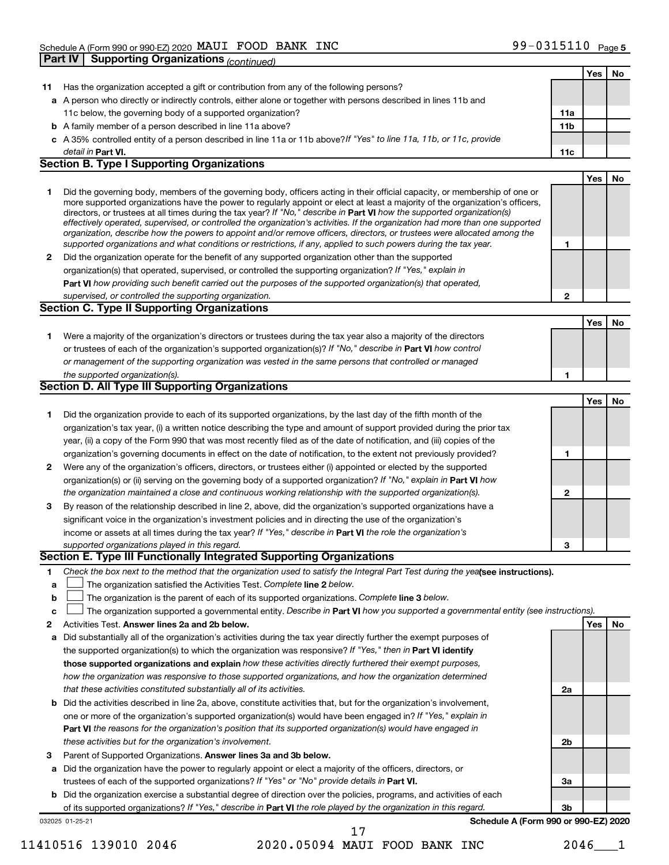|              |                                                                                                                                                                                                                                                           |              | Yes        | No |
|--------------|-----------------------------------------------------------------------------------------------------------------------------------------------------------------------------------------------------------------------------------------------------------|--------------|------------|----|
| 11.          | Has the organization accepted a gift or contribution from any of the following persons?                                                                                                                                                                   |              |            |    |
|              | a A person who directly or indirectly controls, either alone or together with persons described in lines 11b and                                                                                                                                          |              |            |    |
|              | 11c below, the governing body of a supported organization?                                                                                                                                                                                                | 11a          |            |    |
|              | <b>b</b> A family member of a person described in line 11a above?                                                                                                                                                                                         | 11b          |            |    |
|              | c A 35% controlled entity of a person described in line 11a or 11b above?If "Yes" to line 11a, 11b, or 11c, provide                                                                                                                                       |              |            |    |
|              | detail in Part VI.                                                                                                                                                                                                                                        | 11c          |            |    |
|              | <b>Section B. Type I Supporting Organizations</b>                                                                                                                                                                                                         |              |            |    |
|              |                                                                                                                                                                                                                                                           |              | Yes        | No |
| 1.           | Did the governing body, members of the governing body, officers acting in their official capacity, or membership of one or                                                                                                                                |              |            |    |
|              | more supported organizations have the power to regularly appoint or elect at least a majority of the organization's officers,                                                                                                                             |              |            |    |
|              | directors, or trustees at all times during the tax year? If "No," describe in Part VI how the supported organization(s)<br>effectively operated, supervised, or controlled the organization's activities. If the organization had more than one supported |              |            |    |
|              | organization, describe how the powers to appoint and/or remove officers, directors, or trustees were allocated among the                                                                                                                                  |              |            |    |
|              | supported organizations and what conditions or restrictions, if any, applied to such powers during the tax year.                                                                                                                                          | 1            |            |    |
| $\mathbf{2}$ | Did the organization operate for the benefit of any supported organization other than the supported                                                                                                                                                       |              |            |    |
|              | organization(s) that operated, supervised, or controlled the supporting organization? If "Yes," explain in                                                                                                                                                |              |            |    |
|              | Part VI how providing such benefit carried out the purposes of the supported organization(s) that operated,                                                                                                                                               |              |            |    |
|              | supervised, or controlled the supporting organization.                                                                                                                                                                                                    | $\mathbf{2}$ |            |    |
|              | <b>Section C. Type II Supporting Organizations</b>                                                                                                                                                                                                        |              |            |    |
|              |                                                                                                                                                                                                                                                           |              | <b>Yes</b> | No |
| 1.           | Were a majority of the organization's directors or trustees during the tax year also a majority of the directors                                                                                                                                          |              |            |    |
|              | or trustees of each of the organization's supported organization(s)? If "No," describe in Part VI how control                                                                                                                                             |              |            |    |
|              | or management of the supporting organization was vested in the same persons that controlled or managed                                                                                                                                                    |              |            |    |
|              | the supported organization(s).                                                                                                                                                                                                                            | 1            |            |    |
|              | Section D. All Type III Supporting Organizations                                                                                                                                                                                                          |              |            |    |
|              |                                                                                                                                                                                                                                                           |              | <b>Yes</b> | No |
| 1            | Did the organization provide to each of its supported organizations, by the last day of the fifth month of the                                                                                                                                            |              |            |    |
|              | organization's tax year, (i) a written notice describing the type and amount of support provided during the prior tax                                                                                                                                     |              |            |    |
|              | year, (ii) a copy of the Form 990 that was most recently filed as of the date of notification, and (iii) copies of the                                                                                                                                    |              |            |    |
|              | organization's governing documents in effect on the date of notification, to the extent not previously provided?                                                                                                                                          | 1            |            |    |
| $\mathbf{2}$ | Were any of the organization's officers, directors, or trustees either (i) appointed or elected by the supported                                                                                                                                          |              |            |    |
|              | organization(s) or (ii) serving on the governing body of a supported organization? If "No," explain in Part VI how<br>the organization maintained a close and continuous working relationship with the supported organization(s).                         |              |            |    |
| 3            |                                                                                                                                                                                                                                                           | 2            |            |    |
|              | By reason of the relationship described in line 2, above, did the organization's supported organizations have a<br>significant voice in the organization's investment policies and in directing the use of the organization's                             |              |            |    |
|              | income or assets at all times during the tax year? If "Yes," describe in Part VI the role the organization's                                                                                                                                              |              |            |    |
|              | supported organizations played in this regard.                                                                                                                                                                                                            | 3            |            |    |
|              | Section E. Type III Functionally Integrated Supporting Organizations                                                                                                                                                                                      |              |            |    |
| 1.           | Check the box next to the method that the organization used to satisfy the Integral Part Test during the yealsee instructions).                                                                                                                           |              |            |    |
| a            | The organization satisfied the Activities Test. Complete line 2 below.                                                                                                                                                                                    |              |            |    |
| b            | The organization is the parent of each of its supported organizations. Complete line 3 below.                                                                                                                                                             |              |            |    |
| C            | The organization supported a governmental entity. Describe in Part VI how you supported a governmental entity (see instructions).                                                                                                                         |              |            |    |
| 2            | Activities Test. Answer lines 2a and 2b below.                                                                                                                                                                                                            |              | Yes        | No |
| а            | Did substantially all of the organization's activities during the tax year directly further the exempt purposes of                                                                                                                                        |              |            |    |
|              | the supported organization(s) to which the organization was responsive? If "Yes," then in Part VI identify                                                                                                                                                |              |            |    |
|              | those supported organizations and explain how these activities directly furthered their exempt purposes,                                                                                                                                                  |              |            |    |
|              | how the organization was responsive to those supported organizations, and how the organization determined                                                                                                                                                 |              |            |    |
|              | that these activities constituted substantially all of its activities.                                                                                                                                                                                    | 2a           |            |    |
|              | <b>b</b> Did the activities described in line 2a, above, constitute activities that, but for the organization's involvement,                                                                                                                              |              |            |    |
|              | one or more of the organization's supported organization(s) would have been engaged in? If "Yes," explain in                                                                                                                                              |              |            |    |
|              | Part VI the reasons for the organization's position that its supported organization(s) would have engaged in                                                                                                                                              |              |            |    |
|              | these activities but for the organization's involvement.                                                                                                                                                                                                  | 2b           |            |    |
| З            | Parent of Supported Organizations. Answer lines 3a and 3b below.                                                                                                                                                                                          |              |            |    |
|              | a Did the organization have the power to regularly appoint or elect a majority of the officers, directors, or                                                                                                                                             |              |            |    |
|              | trustees of each of the supported organizations? If "Yes" or "No" provide details in Part VI.                                                                                                                                                             | За           |            |    |
|              | <b>b</b> Did the organization exercise a substantial degree of direction over the policies, programs, and activities of each                                                                                                                              |              |            |    |
|              | of its supported organizations? If "Yes," describe in Part VI the role played by the organization in this regard.                                                                                                                                         | 3b           |            |    |
|              | Schedule A (Form 990 or 990-EZ) 2020<br>032025 01-25-21                                                                                                                                                                                                   |              |            |    |
|              | 17                                                                                                                                                                                                                                                        |              |            |    |

11410516 139010 2046 2020.05094 MAUI FOOD BANK INC 2046\_\_\_1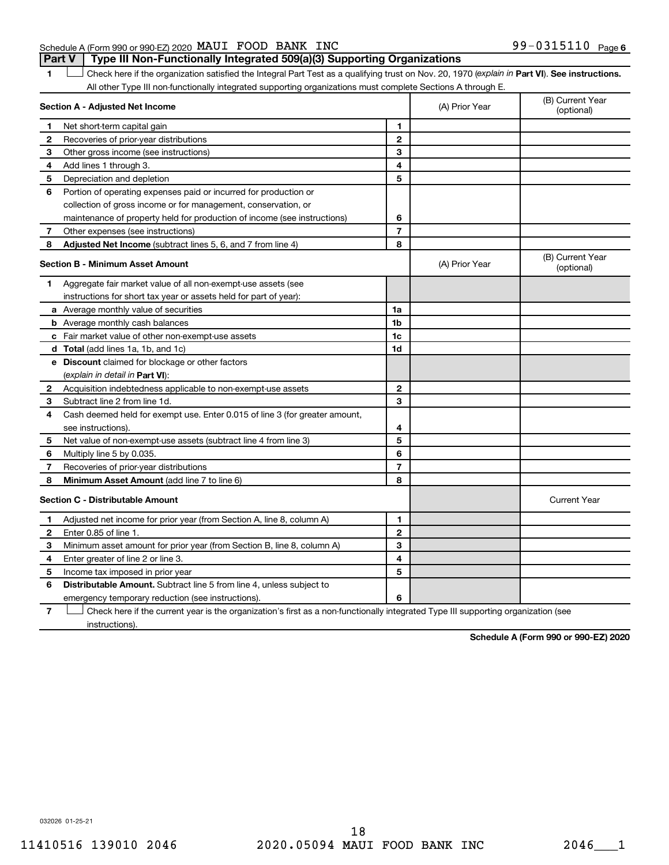### Schedule A (Form 990 or 990-EZ) 2020 MAUI FOOD BANK INC  $99-0315110$  Page **Part V** | Type III Non-Functionally Integrated 509(a)(3) Supporting Organizations

1 Check here if the organization satisfied the Integral Part Test as a qualifying trust on Nov. 20, 1970 (explain in Part VI). See instructions. All other Type III non-functionally integrated supporting organizations must complete Sections A through E.

|                                         | Section A - Adjusted Net Income                                             |                | (A) Prior Year | (B) Current Year<br>(optional) |
|-----------------------------------------|-----------------------------------------------------------------------------|----------------|----------------|--------------------------------|
| 1                                       | Net short-term capital gain                                                 | 1              |                |                                |
| 2                                       | Recoveries of prior-year distributions                                      | $\overline{2}$ |                |                                |
| З                                       | Other gross income (see instructions)                                       | 3              |                |                                |
| 4                                       | Add lines 1 through 3.                                                      | 4              |                |                                |
| 5                                       | Depreciation and depletion                                                  | 5              |                |                                |
| 6                                       | Portion of operating expenses paid or incurred for production or            |                |                |                                |
|                                         | collection of gross income or for management, conservation, or              |                |                |                                |
|                                         | maintenance of property held for production of income (see instructions)    | 6              |                |                                |
| 7                                       | Other expenses (see instructions)                                           | $\overline{7}$ |                |                                |
| 8                                       | <b>Adjusted Net Income</b> (subtract lines 5, 6, and 7 from line 4)         | 8              |                |                                |
|                                         | <b>Section B - Minimum Asset Amount</b>                                     |                | (A) Prior Year | (B) Current Year<br>(optional) |
| 1                                       | Aggregate fair market value of all non-exempt-use assets (see               |                |                |                                |
|                                         | instructions for short tax year or assets held for part of year):           |                |                |                                |
|                                         | a Average monthly value of securities                                       | 1a             |                |                                |
|                                         | <b>b</b> Average monthly cash balances                                      | 1 <sub>b</sub> |                |                                |
|                                         | c Fair market value of other non-exempt-use assets                          | 1 <sub>c</sub> |                |                                |
|                                         | d Total (add lines 1a, 1b, and 1c)                                          | 1d             |                |                                |
|                                         | <b>e</b> Discount claimed for blockage or other factors                     |                |                |                                |
|                                         | (explain in detail in <b>Part VI</b> ):                                     |                |                |                                |
| 2                                       | Acquisition indebtedness applicable to non-exempt-use assets                | $\mathbf{2}$   |                |                                |
| 3                                       | Subtract line 2 from line 1d.                                               | 3              |                |                                |
| 4                                       | Cash deemed held for exempt use. Enter 0.015 of line 3 (for greater amount, |                |                |                                |
|                                         | see instructions)                                                           | 4              |                |                                |
| 5                                       | Net value of non-exempt-use assets (subtract line 4 from line 3)            | 5              |                |                                |
| 6                                       | Multiply line 5 by 0.035.                                                   | 6              |                |                                |
| 7                                       | Recoveries of prior-year distributions                                      | $\overline{7}$ |                |                                |
| 8                                       | <b>Minimum Asset Amount (add line 7 to line 6)</b>                          | 8              |                |                                |
| <b>Section C - Distributable Amount</b> |                                                                             |                |                | <b>Current Year</b>            |
| 1                                       | Adjusted net income for prior year (from Section A, line 8, column A)       | 1              |                |                                |
| $\mathbf{2}$                            | Enter 0.85 of line 1.                                                       | $\mathbf{2}$   |                |                                |
| 3                                       | Minimum asset amount for prior year (from Section B, line 8, column A)      | 3              |                |                                |
| 4                                       | Enter greater of line 2 or line 3.                                          | 4              |                |                                |
| 5                                       | Income tax imposed in prior year                                            | 5              |                |                                |
| 6                                       | <b>Distributable Amount.</b> Subtract line 5 from line 4, unless subject to |                |                |                                |
|                                         | emergency temporary reduction (see instructions).                           | 6              |                |                                |
|                                         |                                                                             |                |                |                                |

7 Check here if the current year is the organization's first as a non-functionally integrated Type III supporting organization (see † instructions).

Schedule A (Form 990 or 990-EZ) 2020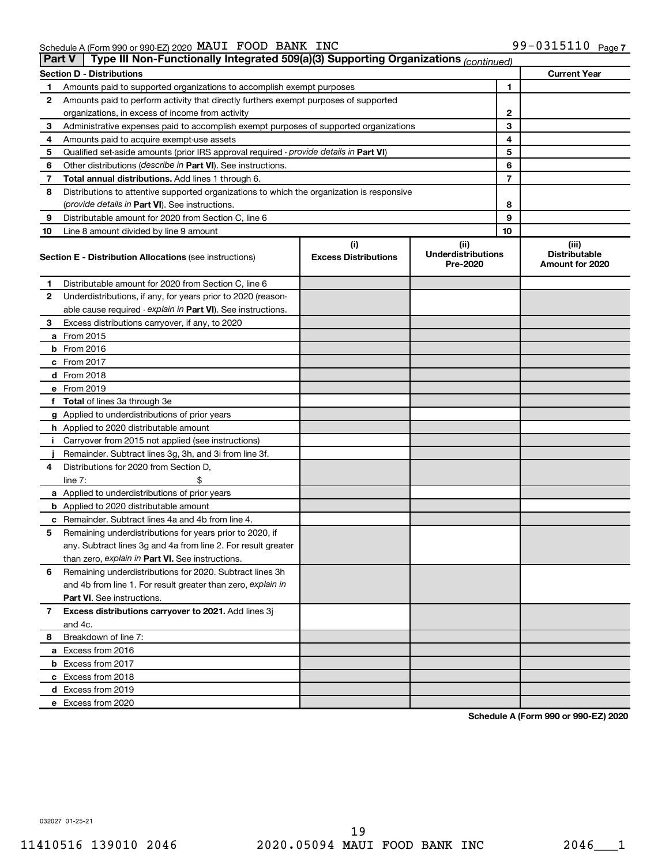| Part V | Type III Non-Functionally Integrated 509(a)(3) Supporting Organizations (continued)        |                                    |                                               |                                                  |
|--------|--------------------------------------------------------------------------------------------|------------------------------------|-----------------------------------------------|--------------------------------------------------|
|        | <b>Section D - Distributions</b>                                                           |                                    |                                               | <b>Current Year</b>                              |
| 1      | Amounts paid to supported organizations to accomplish exempt purposes                      | 1                                  |                                               |                                                  |
| 2      | Amounts paid to perform activity that directly furthers exempt purposes of supported       |                                    |                                               |                                                  |
|        | organizations, in excess of income from activity                                           | 2                                  |                                               |                                                  |
| 3      | Administrative expenses paid to accomplish exempt purposes of supported organizations      |                                    | 3                                             |                                                  |
| 4      | Amounts paid to acquire exempt-use assets                                                  |                                    | 4                                             |                                                  |
| 5      | Qualified set-aside amounts (prior IRS approval required - provide details in Part VI)     |                                    | 5                                             |                                                  |
| 6      | Other distributions ( <i>describe in Part VI</i> ). See instructions.                      |                                    | 6                                             |                                                  |
| 7      | Total annual distributions. Add lines 1 through 6.                                         |                                    | 7                                             |                                                  |
| 8      | Distributions to attentive supported organizations to which the organization is responsive |                                    |                                               |                                                  |
|        | ( <i>provide details in Part VI</i> ). See instructions.                                   |                                    | 8                                             |                                                  |
| 9      | Distributable amount for 2020 from Section C, line 6                                       |                                    | 9                                             |                                                  |
| 10     | Line 8 amount divided by line 9 amount                                                     |                                    | 10                                            |                                                  |
|        | <b>Section E - Distribution Allocations (see instructions)</b>                             | (i)<br><b>Excess Distributions</b> | (ii)<br><b>Underdistributions</b><br>Pre-2020 | (iii)<br><b>Distributable</b><br>Amount for 2020 |
| 1      | Distributable amount for 2020 from Section C, line 6                                       |                                    |                                               |                                                  |
| 2      | Underdistributions, if any, for years prior to 2020 (reason-                               |                                    |                                               |                                                  |
|        | able cause required - explain in Part VI). See instructions.                               |                                    |                                               |                                                  |
| 3      | Excess distributions carryover, if any, to 2020                                            |                                    |                                               |                                                  |
|        | a From 2015                                                                                |                                    |                                               |                                                  |
|        | $b$ From 2016                                                                              |                                    |                                               |                                                  |
|        | c From 2017                                                                                |                                    |                                               |                                                  |
|        | <b>d</b> From 2018                                                                         |                                    |                                               |                                                  |
|        | e From 2019                                                                                |                                    |                                               |                                                  |
|        | f Total of lines 3a through 3e                                                             |                                    |                                               |                                                  |
|        | g Applied to underdistributions of prior years                                             |                                    |                                               |                                                  |
|        | h Applied to 2020 distributable amount                                                     |                                    |                                               |                                                  |
| Ť.     | Carryover from 2015 not applied (see instructions)                                         |                                    |                                               |                                                  |
|        | Remainder. Subtract lines 3g, 3h, and 3i from line 3f.                                     |                                    |                                               |                                                  |
| 4      | Distributions for 2020 from Section D,                                                     |                                    |                                               |                                                  |
|        | line $7:$                                                                                  |                                    |                                               |                                                  |
|        | a Applied to underdistributions of prior years                                             |                                    |                                               |                                                  |
|        | <b>b</b> Applied to 2020 distributable amount                                              |                                    |                                               |                                                  |
|        | c Remainder. Subtract lines 4a and 4b from line 4.                                         |                                    |                                               |                                                  |
| 5      | Remaining underdistributions for years prior to 2020, if                                   |                                    |                                               |                                                  |
|        | any. Subtract lines 3g and 4a from line 2. For result greater                              |                                    |                                               |                                                  |
|        | than zero, explain in Part VI. See instructions.                                           |                                    |                                               |                                                  |
| 6      | Remaining underdistributions for 2020. Subtract lines 3h                                   |                                    |                                               |                                                  |
|        | and 4b from line 1. For result greater than zero, explain in                               |                                    |                                               |                                                  |
|        | <b>Part VI.</b> See instructions.                                                          |                                    |                                               |                                                  |
| 7      | Excess distributions carryover to 2021. Add lines 3j                                       |                                    |                                               |                                                  |
|        | and 4c.                                                                                    |                                    |                                               |                                                  |
| 8      | Breakdown of line 7:                                                                       |                                    |                                               |                                                  |
|        | a Excess from 2016                                                                         |                                    |                                               |                                                  |
|        | <b>b</b> Excess from 2017                                                                  |                                    |                                               |                                                  |
|        | c Excess from 2018                                                                         |                                    |                                               |                                                  |
|        | d Excess from 2019                                                                         |                                    |                                               |                                                  |
|        | e Excess from 2020                                                                         |                                    |                                               |                                                  |

Schedule A (Form 990 or 990-EZ) 2020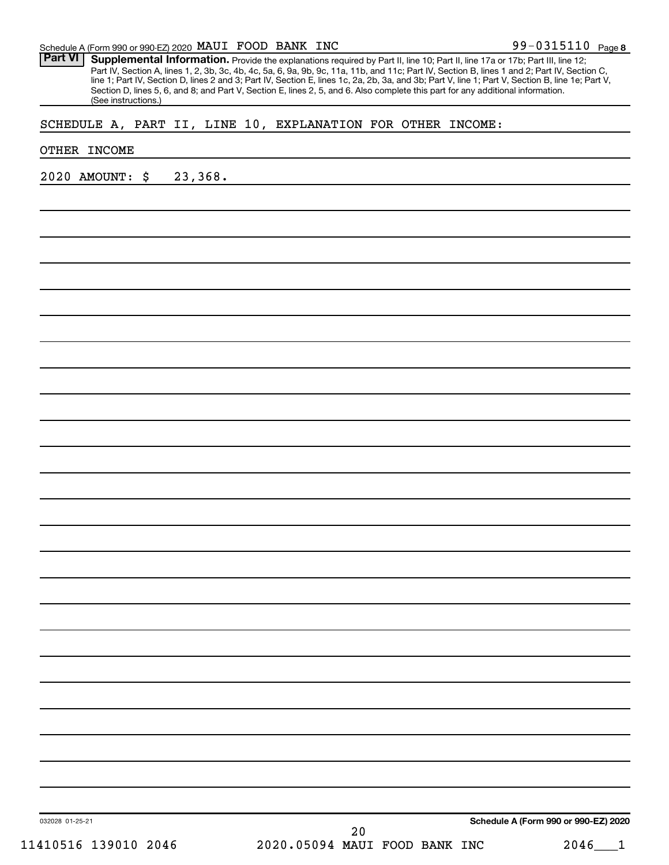### Schedule A (Form 990 or 990-EZ) 2020 MAUI FOOD BANK INC  $99-0315110$  Page

Part VI | Supplemental Information. Provide the explanations required by Part II, line 10; Part II, line 17a or 17b; Part III, line 12; Part IV, Section A, lines 1, 2, 3b, 3c, 4b, 4c, 5a, 6, 9a, 9b, 9c, 11a, 11b, and 11c; Part IV, Section B, lines 1 and 2; Part IV, Section C, line 1; Part IV, Section D, lines 2 and 3; Part IV, Section E, lines 1c, 2a, 2b, 3a, and 3b; Part V, line 1; Part V, Section B, line 1e; Part V, Section D, lines 5, 6, and 8; and Part V, Section E, lines 2, 5, and 6. Also complete this part for any additional information. (See instructions.)

## SCHEDULE A, PART II, LINE 10, EXPLANATION FOR OTHER INCOME:

#### OTHER INCOME

2020 AMOUNT: \$ 23,368.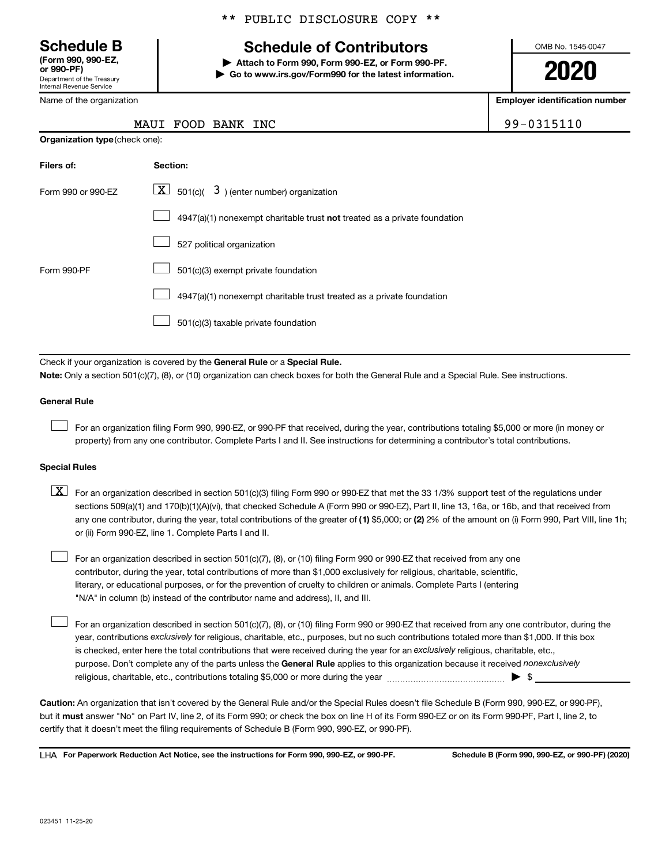Department of the Treasury Internal Revenue Service (Form 990, 990-EZ,<br>or 990-PF)

Name of the organization

Organization type (check one):

# \*\* PUBLIC DISCLOSURE COPY \*\*

# Schedule B The Schedule of Contributors

Attach to Form 990, Form 990-EZ, or Form 990-PF. ▶ Go to www.irs.gov/Form990 for the latest information. OMB No. 1545-0047

2020

Employer identification number

|  | MAUI FOOD BANK INC | 99-0315110 |
|--|--------------------|------------|
|  |                    |            |

| Filers of:         | Section:                                                                           |
|--------------------|------------------------------------------------------------------------------------|
| Form 990 or 990-FZ | $\boxed{\textbf{X}}$ 501(c)( 3) (enter number) organization                        |
|                    | $4947(a)(1)$ nonexempt charitable trust <b>not</b> treated as a private foundation |
|                    | 527 political organization                                                         |
| Form 990-PF        | 501(c)(3) exempt private foundation                                                |
|                    | 4947(a)(1) nonexempt charitable trust treated as a private foundation              |
|                    | 501(c)(3) taxable private foundation                                               |

Check if your organization is covered by the General Rule or a Special Rule.

Note: Only a section 501(c)(7), (8), or (10) organization can check boxes for both the General Rule and a Special Rule. See instructions.

#### General Rule

 $\Box$ 

 $\Box$ 

For an organization filing Form 990, 990-EZ, or 990-PF that received, during the year, contributions totaling \$5,000 or more (in money or property) from any one contributor. Complete Parts I and II. See instructions for determining a contributor's total contributions.

#### Special Rules

- any one contributor, during the year, total contributions of the greater of (1) \$5,000; or (2) 2% of the amount on (i) Form 990, Part VIII, line 1h;  $\boxed{\text{X}}$  For an organization described in section 501(c)(3) filing Form 990 or 990-EZ that met the 33 1/3% support test of the regulations under sections 509(a)(1) and 170(b)(1)(A)(vi), that checked Schedule A (Form 990 or 990-EZ), Part II, line 13, 16a, or 16b, and that received from or (ii) Form 990-EZ, line 1. Complete Parts I and II.
- For an organization described in section 501(c)(7), (8), or (10) filing Form 990 or 990-EZ that received from any one contributor, during the year, total contributions of more than \$1,000 exclusively for religious, charitable, scientific, literary, or educational purposes, or for the prevention of cruelty to children or animals. Complete Parts I (entering "N/A" in column (b) instead of the contributor name and address), II, and III.  $\Box$

purpose. Don't complete any of the parts unless the General Rule applies to this organization because it received nonexclusively year, contributions exclusively for religious, charitable, etc., purposes, but no such contributions totaled more than \$1,000. If this box is checked, enter here the total contributions that were received during the year for an exclusively religious, charitable, etc., For an organization described in section 501(c)(7), (8), or (10) filing Form 990 or 990-EZ that received from any one contributor, during the religious, charitable, etc., contributions totaling \$5,000 or more during the year  $\ldots$  $\ldots$  $\ldots$  $\ldots$  $\ldots$  $\ldots$ 

Caution: An organization that isn't covered by the General Rule and/or the Special Rules doesn't file Schedule B (Form 990, 990-EZ, or 990-PF), but it **must** answer "No" on Part IV, line 2, of its Form 990; or check the box on line H of its Form 990-EZ or on its Form 990-PF, Part I, line 2, to certify that it doesn't meet the filing requirements of Schedule B (Form 990, 990-EZ, or 990-PF).

LHA For Paperwork Reduction Act Notice, see the instructions for Form 990, 990-EZ, or 990-PF. Schedule B (Form 990, 990-EZ, or 990-PF) (2020)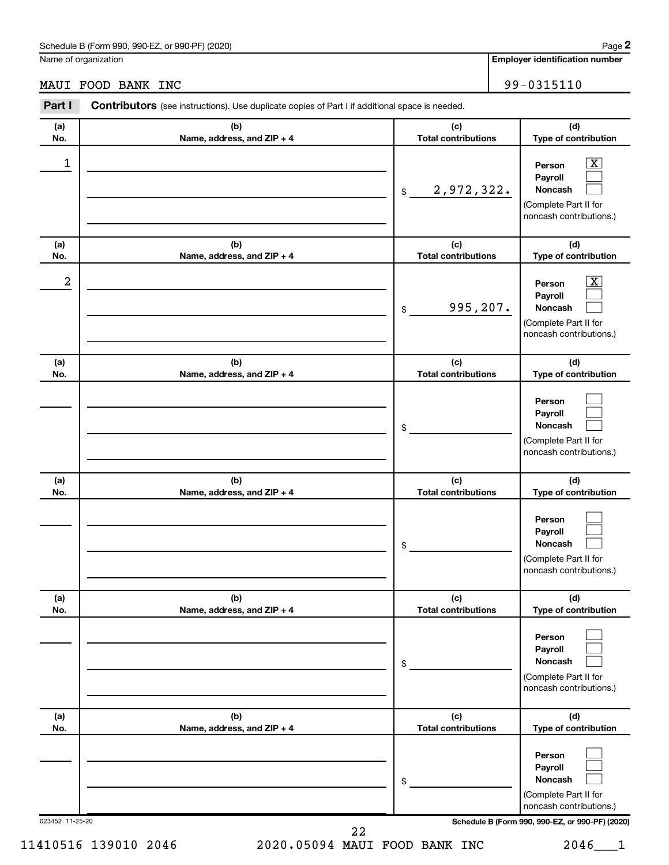### Schedule B (Form 990, 990-EZ, or 990-PF) (2020)

Name of organization

Employer identification number

# MAUI FOOD BANK INC 99-0315110

| Part I          | Contributors (see instructions). Use duplicate copies of Part I if additional space is needed. |                                   |                                                                                                             |
|-----------------|------------------------------------------------------------------------------------------------|-----------------------------------|-------------------------------------------------------------------------------------------------------------|
| (a)<br>No.      | (b)<br>Name, address, and ZIP + 4                                                              | (c)<br><b>Total contributions</b> | (d)<br>Type of contribution                                                                                 |
| 1               |                                                                                                | 2,972,322.<br>$$\mathbb{S}$$      | $\overline{\mathbf{X}}$<br>Person<br>Payroll<br>Noncash<br>(Complete Part II for<br>noncash contributions.) |
| (a)<br>No.      | (b)<br>Name, address, and ZIP + 4                                                              | (c)<br><b>Total contributions</b> | (d)<br>Type of contribution                                                                                 |
| 2               |                                                                                                | 995,207.<br>\$                    | x<br>Person<br>Payroll<br>Noncash<br>(Complete Part II for<br>noncash contributions.)                       |
| (a)<br>No.      | (b)<br>Name, address, and ZIP + 4                                                              | (c)<br><b>Total contributions</b> | (d)<br>Type of contribution                                                                                 |
|                 |                                                                                                | \$                                | Person<br>Payroll<br>Noncash<br>(Complete Part II for<br>noncash contributions.)                            |
| (a)<br>No.      | (b)<br>Name, address, and ZIP + 4                                                              | (c)<br><b>Total contributions</b> | (d)<br>Type of contribution                                                                                 |
|                 |                                                                                                | \$                                | Person<br>Payroll<br>Noncash<br>(Complete Part II for<br>noncash contributions.)                            |
| (a)<br>No.      | (b)<br>Name, address, and ZIP + 4                                                              | (c)<br><b>Total contributions</b> | (d)<br>Type of contribution                                                                                 |
|                 |                                                                                                | \$                                | Person<br>Payroll<br>Noncash<br>(Complete Part II for<br>noncash contributions.)                            |
| (a)<br>No.      | (b)<br>Name, address, and ZIP + 4                                                              | (c)<br><b>Total contributions</b> | (d)<br>Type of contribution                                                                                 |
|                 |                                                                                                | \$                                | Person<br>Payroll<br>Noncash<br>(Complete Part II for<br>noncash contributions.)                            |
| 023452 11-25-20 |                                                                                                | 22                                | Schedule B (Form 990, 990-EZ, or 990-PF) (2020)                                                             |

11410516 139010 2046 2020.05094 MAUI FOOD BANK INC 2046\_\_\_1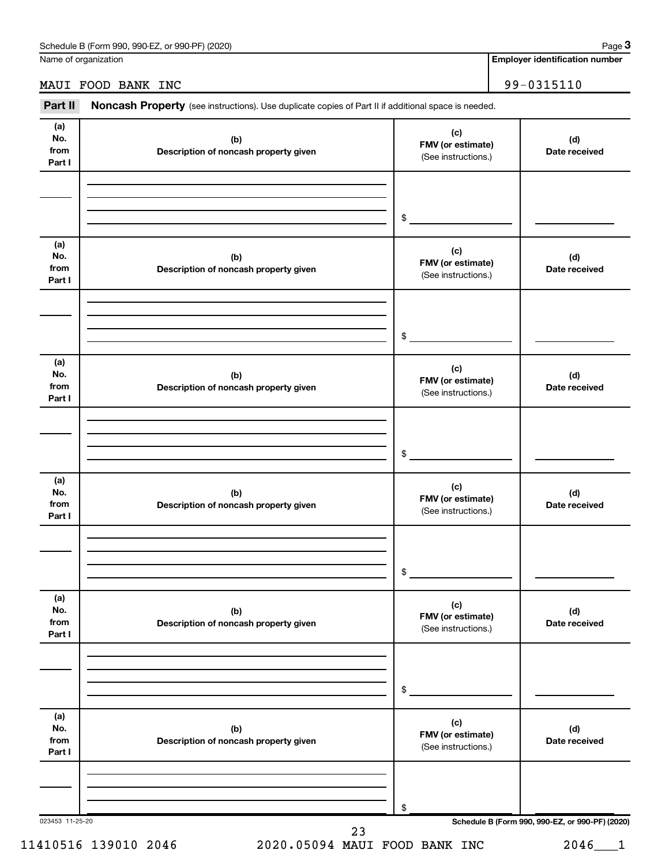Name of organization

# MAUI FOOD BANK INC 99-0315110

Part II Noncash Property (see instructions). Use duplicate copies of Part II if additional space is needed.

| (a)<br>No.<br>from<br>Part I | (b)<br>Description of noncash property given | (c)<br>FMV (or estimate)<br>(See instructions.) | (d)<br>Date received                            |
|------------------------------|----------------------------------------------|-------------------------------------------------|-------------------------------------------------|
|                              |                                              |                                                 |                                                 |
|                              |                                              | $$\tilde{\phantom{a}}$$                         |                                                 |
| (a)<br>No.<br>from<br>Part I | (b)<br>Description of noncash property given | (c)<br>FMV (or estimate)<br>(See instructions.) | (d)<br>Date received                            |
|                              |                                              | $$\tilde{\phantom{a}}$$                         |                                                 |
| (a)<br>No.<br>from<br>Part I | (b)<br>Description of noncash property given | (c)<br>FMV (or estimate)<br>(See instructions.) | (d)<br>Date received                            |
|                              |                                              | $$\tilde{\phantom{a}}$$                         |                                                 |
| (a)<br>No.<br>from<br>Part I | (b)<br>Description of noncash property given | (c)<br>FMV (or estimate)<br>(See instructions.) | (d)<br>Date received                            |
|                              |                                              | $\frac{1}{2}$                                   |                                                 |
| (a)<br>No.<br>from<br>Part I | (b)<br>Description of noncash property given | (c)<br>FMV (or estimate)<br>(See instructions.) | (d)<br>Date received                            |
|                              |                                              | \$                                              |                                                 |
| (a)<br>No.<br>from<br>Part I | (b)<br>Description of noncash property given | (c)<br>FMV (or estimate)<br>(See instructions.) | (d)<br>Date received                            |
|                              |                                              | \$                                              |                                                 |
| 023453 11-25-20              | 23                                           |                                                 | Schedule B (Form 990, 990-EZ, or 990-PF) (2020) |

Page 3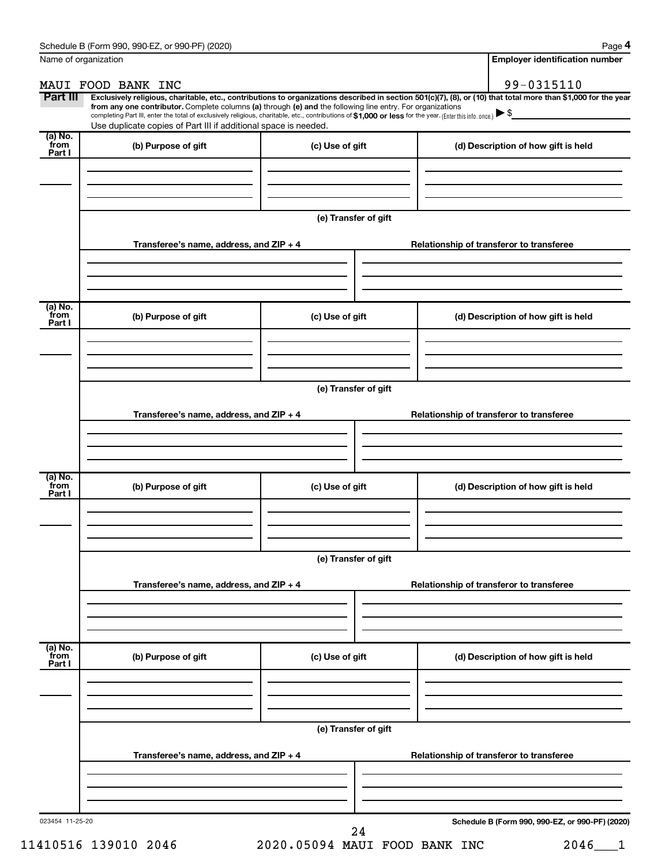Page 4

|                           | Name of organization                                                                                                                                                                                                                                                                                                                                                                                                                                                                                        |                      |  | <b>Employer identification number</b>           |  |  |  |
|---------------------------|-------------------------------------------------------------------------------------------------------------------------------------------------------------------------------------------------------------------------------------------------------------------------------------------------------------------------------------------------------------------------------------------------------------------------------------------------------------------------------------------------------------|----------------------|--|-------------------------------------------------|--|--|--|
|                           | MAUI FOOD BANK INC                                                                                                                                                                                                                                                                                                                                                                                                                                                                                          |                      |  | 99-0315110                                      |  |  |  |
| Part III                  | Exclusively religious, charitable, etc., contributions to organizations described in section 501(c)(7), (8), or (10) that total more than \$1,000 for the year<br>from any one contributor. Complete columns (a) through (e) and the following line entry. For organizations<br>completing Part III, enter the total of exclusively religious, charitable, etc., contributions of \$1,000 or less for the year. (Enter this info. once.)<br>Use duplicate copies of Part III if additional space is needed. |                      |  |                                                 |  |  |  |
| (a) No.<br>from<br>Part I | (b) Purpose of gift                                                                                                                                                                                                                                                                                                                                                                                                                                                                                         | (c) Use of gift      |  | (d) Description of how gift is held             |  |  |  |
|                           |                                                                                                                                                                                                                                                                                                                                                                                                                                                                                                             |                      |  |                                                 |  |  |  |
|                           |                                                                                                                                                                                                                                                                                                                                                                                                                                                                                                             | (e) Transfer of gift |  |                                                 |  |  |  |
|                           | Transferee's name, address, and ZIP + 4                                                                                                                                                                                                                                                                                                                                                                                                                                                                     |                      |  | Relationship of transferor to transferee        |  |  |  |
|                           |                                                                                                                                                                                                                                                                                                                                                                                                                                                                                                             |                      |  |                                                 |  |  |  |
| (a) No.<br>from<br>Part I | (b) Purpose of gift                                                                                                                                                                                                                                                                                                                                                                                                                                                                                         | (c) Use of gift      |  | (d) Description of how gift is held             |  |  |  |
|                           |                                                                                                                                                                                                                                                                                                                                                                                                                                                                                                             |                      |  |                                                 |  |  |  |
|                           |                                                                                                                                                                                                                                                                                                                                                                                                                                                                                                             | (e) Transfer of gift |  |                                                 |  |  |  |
|                           | Transferee's name, address, and ZIP + 4                                                                                                                                                                                                                                                                                                                                                                                                                                                                     |                      |  | Relationship of transferor to transferee        |  |  |  |
|                           |                                                                                                                                                                                                                                                                                                                                                                                                                                                                                                             |                      |  |                                                 |  |  |  |
| (a) No.<br>from<br>Part I | (b) Purpose of gift                                                                                                                                                                                                                                                                                                                                                                                                                                                                                         | (c) Use of gift      |  | (d) Description of how gift is held             |  |  |  |
|                           |                                                                                                                                                                                                                                                                                                                                                                                                                                                                                                             |                      |  |                                                 |  |  |  |
|                           | (e) Transfer of gift                                                                                                                                                                                                                                                                                                                                                                                                                                                                                        |                      |  |                                                 |  |  |  |
|                           | Transferee's name, address, and ZIP + 4                                                                                                                                                                                                                                                                                                                                                                                                                                                                     |                      |  | Relationship of transferor to transferee        |  |  |  |
|                           |                                                                                                                                                                                                                                                                                                                                                                                                                                                                                                             |                      |  |                                                 |  |  |  |
| (a) No.<br>from<br>Part I | (b) Purpose of gift                                                                                                                                                                                                                                                                                                                                                                                                                                                                                         | (c) Use of gift      |  | (d) Description of how gift is held             |  |  |  |
|                           |                                                                                                                                                                                                                                                                                                                                                                                                                                                                                                             |                      |  |                                                 |  |  |  |
|                           |                                                                                                                                                                                                                                                                                                                                                                                                                                                                                                             | (e) Transfer of gift |  |                                                 |  |  |  |
|                           | Transferee's name, address, and ZIP + 4                                                                                                                                                                                                                                                                                                                                                                                                                                                                     |                      |  | Relationship of transferor to transferee        |  |  |  |
|                           |                                                                                                                                                                                                                                                                                                                                                                                                                                                                                                             |                      |  |                                                 |  |  |  |
| 023454 11-25-20           |                                                                                                                                                                                                                                                                                                                                                                                                                                                                                                             | 24                   |  | Schedule B (Form 990, 990-EZ, or 990-PF) (2020) |  |  |  |

11410516 139010 2046 2020.05094 MAUI FOOD BANK INC 2046\_\_\_1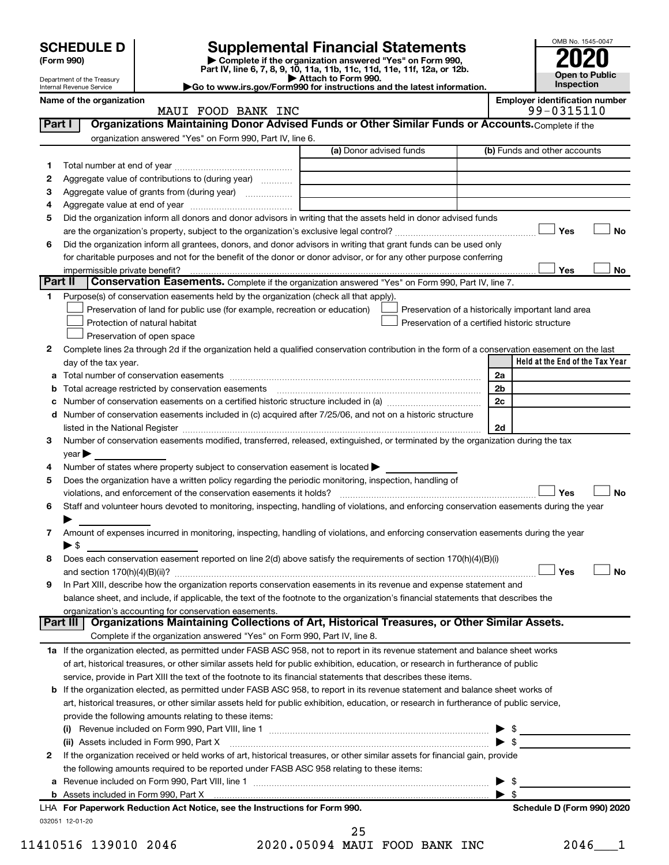| <b>SCHEDULE D</b><br>(Form 990)<br>Department of the Treasury<br>Go to www.irs.gov/Form990 for instructions and the latest information.<br><b>Internal Revenue Service</b> |                                |                                                                                                                                                                | <b>Supplemental Financial Statements</b><br>Complete if the organization answered "Yes" on Form 990,<br>Part IV, line 6, 7, 8, 9, 10, 11a, 11b, 11c, 11d, 11e, 11f, 12a, or 12b.<br>Attach to Form 990. | OMB No. 1545-0047<br>Inspection                    | <b>Open to Public</b>                               |           |
|----------------------------------------------------------------------------------------------------------------------------------------------------------------------------|--------------------------------|----------------------------------------------------------------------------------------------------------------------------------------------------------------|---------------------------------------------------------------------------------------------------------------------------------------------------------------------------------------------------------|----------------------------------------------------|-----------------------------------------------------|-----------|
|                                                                                                                                                                            | Name of the organization       | MAUI FOOD BANK INC                                                                                                                                             |                                                                                                                                                                                                         |                                                    | <b>Employer identification number</b><br>99-0315110 |           |
| Part I                                                                                                                                                                     |                                | Organizations Maintaining Donor Advised Funds or Other Similar Funds or Accounts. Complete if the<br>organization answered "Yes" on Form 990, Part IV, line 6. |                                                                                                                                                                                                         |                                                    |                                                     |           |
|                                                                                                                                                                            |                                |                                                                                                                                                                | (a) Donor advised funds                                                                                                                                                                                 |                                                    | (b) Funds and other accounts                        |           |
|                                                                                                                                                                            |                                |                                                                                                                                                                |                                                                                                                                                                                                         |                                                    |                                                     |           |
| 2                                                                                                                                                                          |                                | Aggregate value of contributions to (during year)                                                                                                              |                                                                                                                                                                                                         |                                                    |                                                     |           |
| з                                                                                                                                                                          |                                |                                                                                                                                                                |                                                                                                                                                                                                         |                                                    |                                                     |           |
| 4                                                                                                                                                                          |                                |                                                                                                                                                                |                                                                                                                                                                                                         |                                                    |                                                     |           |
| 5                                                                                                                                                                          |                                | Did the organization inform all donors and donor advisors in writing that the assets held in donor advised funds                                               |                                                                                                                                                                                                         |                                                    |                                                     |           |
|                                                                                                                                                                            |                                |                                                                                                                                                                |                                                                                                                                                                                                         |                                                    | Yes                                                 | <b>No</b> |
| 6                                                                                                                                                                          |                                | Did the organization inform all grantees, donors, and donor advisors in writing that grant funds can be used only                                              |                                                                                                                                                                                                         |                                                    |                                                     |           |
|                                                                                                                                                                            |                                | for charitable purposes and not for the benefit of the donor or donor advisor, or for any other purpose conferring                                             |                                                                                                                                                                                                         |                                                    |                                                     |           |
|                                                                                                                                                                            | impermissible private benefit? |                                                                                                                                                                |                                                                                                                                                                                                         |                                                    | Yes                                                 | No        |
|                                                                                                                                                                            | Part II                        | Conservation Easements. Complete if the organization answered "Yes" on Form 990, Part IV, line 7.                                                              |                                                                                                                                                                                                         |                                                    |                                                     |           |
| 1                                                                                                                                                                          |                                | Purpose(s) of conservation easements held by the organization (check all that apply).                                                                          |                                                                                                                                                                                                         |                                                    |                                                     |           |
|                                                                                                                                                                            |                                | Preservation of land for public use (for example, recreation or education)                                                                                     |                                                                                                                                                                                                         | Preservation of a historically important land area |                                                     |           |
|                                                                                                                                                                            |                                | Protection of natural habitat                                                                                                                                  |                                                                                                                                                                                                         | Preservation of a certified historic structure     |                                                     |           |
|                                                                                                                                                                            |                                | Preservation of open space                                                                                                                                     |                                                                                                                                                                                                         |                                                    |                                                     |           |
| 2                                                                                                                                                                          |                                | Complete lines 2a through 2d if the organization held a qualified conservation contribution in the form of a conservation easement on the last                 |                                                                                                                                                                                                         |                                                    |                                                     |           |
|                                                                                                                                                                            | day of the tax year.           |                                                                                                                                                                |                                                                                                                                                                                                         |                                                    | Held at the End of the Tax Year                     |           |

| а |                                                                                                                                           | 2a                      |                            |           |
|---|-------------------------------------------------------------------------------------------------------------------------------------------|-------------------------|----------------------------|-----------|
| b | Total acreage restricted by conservation easements                                                                                        | 2 <sub>b</sub>          |                            |           |
| с | Number of conservation easements on a certified historic structure included in (a) manufacture included in (a)                            | 2c                      |                            |           |
|   | d Number of conservation easements included in (c) acquired after 7/25/06, and not on a historic structure                                |                         |                            |           |
|   |                                                                                                                                           | 2d                      |                            |           |
| з | Number of conservation easements modified, transferred, released, extinguished, or terminated by the organization during the tax          |                         |                            |           |
|   | $year \blacktriangleright$                                                                                                                |                         |                            |           |
| 4 | Number of states where property subject to conservation easement is located >                                                             |                         |                            |           |
| 5 | Does the organization have a written policy regarding the periodic monitoring, inspection, handling of                                    |                         |                            |           |
|   |                                                                                                                                           |                         | Yes                        | No        |
| 6 | Staff and volunteer hours devoted to monitoring, inspecting, handling of violations, and enforcing conservation easements during the year |                         |                            |           |
|   |                                                                                                                                           |                         |                            |           |
| 7 | Amount of expenses incurred in monitoring, inspecting, handling of violations, and enforcing conservation easements during the year       |                         |                            |           |
|   | $\blacktriangleright$ S                                                                                                                   |                         |                            |           |
| 8 | Does each conservation easement reported on line 2(d) above satisfy the requirements of section 170(h)(4)(B)(i)                           |                         |                            |           |
|   |                                                                                                                                           |                         | Yes                        | <b>No</b> |
| 9 | In Part XIII, describe how the organization reports conservation easements in its revenue and expense statement and                       |                         |                            |           |
|   | balance sheet, and include, if applicable, the text of the footnote to the organization's financial statements that describes the         |                         |                            |           |
|   | organization's accounting for conservation easements.                                                                                     |                         |                            |           |
|   | Organizations Maintaining Collections of Art, Historical Treasures, or Other Similar Assets.<br>Part III                                  |                         |                            |           |
|   | Complete if the organization answered "Yes" on Form 990, Part IV, line 8.                                                                 |                         |                            |           |
|   | 1a If the organization elected, as permitted under FASB ASC 958, not to report in its revenue statement and balance sheet works           |                         |                            |           |
|   | of art, historical treasures, or other similar assets held for public exhibition, education, or research in furtherance of public         |                         |                            |           |
|   | service, provide in Part XIII the text of the footnote to its financial statements that describes these items.                            |                         |                            |           |
| b | If the organization elected, as permitted under FASB ASC 958, to report in its revenue statement and balance sheet works of               |                         |                            |           |
|   | art, historical treasures, or other similar assets held for public exhibition, education, or research in furtherance of public service,   |                         |                            |           |
|   | provide the following amounts relating to these items:                                                                                    |                         |                            |           |
|   |                                                                                                                                           |                         |                            |           |
|   | (ii) Assets included in Form 990, Part X                                                                                                  | $\blacktriangleright$ s |                            |           |
| 2 | If the organization received or held works of art, historical treasures, or other similar assets for financial gain, provide              |                         |                            |           |
|   | the following amounts required to be reported under FASB ASC 958 relating to these items:                                                 |                         |                            |           |
| a |                                                                                                                                           | ▶                       | - \$                       |           |
|   |                                                                                                                                           |                         |                            |           |
|   | LHA For Paperwork Reduction Act Notice, see the Instructions for Form 990.                                                                |                         | Schedule D (Form 990) 2020 |           |
|   | 032051 12-01-20                                                                                                                           |                         |                            |           |

<sup>11410516 139010 2046 2020.05094</sup> MAUI FOOD BANK INC 2046\_\_\_1 25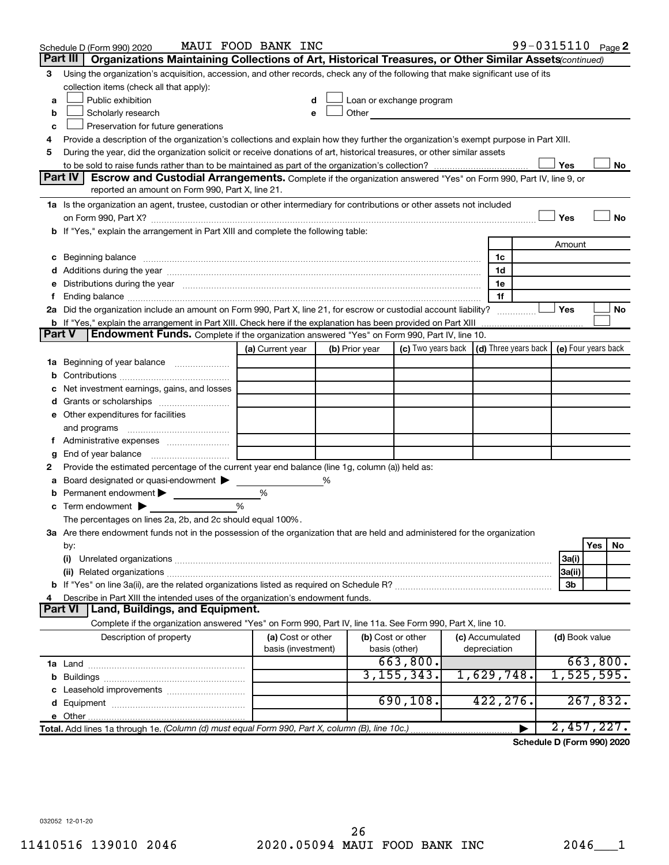|               | Schedule D (Form 990) 2020                                                                                                                                                                                                     | MAUI FOOD BANK INC                      |   |                |                                                                                                                                                                                                                               |                                                                             | 99-0315110 Page 2 |          |           |
|---------------|--------------------------------------------------------------------------------------------------------------------------------------------------------------------------------------------------------------------------------|-----------------------------------------|---|----------------|-------------------------------------------------------------------------------------------------------------------------------------------------------------------------------------------------------------------------------|-----------------------------------------------------------------------------|-------------------|----------|-----------|
|               | Part III<br>Organizations Maintaining Collections of Art, Historical Treasures, or Other Similar Assets (continued)                                                                                                            |                                         |   |                |                                                                                                                                                                                                                               |                                                                             |                   |          |           |
| 3             | Using the organization's acquisition, accession, and other records, check any of the following that make significant use of its                                                                                                |                                         |   |                |                                                                                                                                                                                                                               |                                                                             |                   |          |           |
|               | collection items (check all that apply):                                                                                                                                                                                       |                                         |   |                |                                                                                                                                                                                                                               |                                                                             |                   |          |           |
| a             | Public exhibition                                                                                                                                                                                                              |                                         |   |                | Loan or exchange program                                                                                                                                                                                                      |                                                                             |                   |          |           |
| b             | Scholarly research                                                                                                                                                                                                             |                                         |   |                | Other and the contract of the contract of the contract of the contract of the contract of the contract of the contract of the contract of the contract of the contract of the contract of the contract of the contract of the |                                                                             |                   |          |           |
| с             | Preservation for future generations                                                                                                                                                                                            |                                         |   |                |                                                                                                                                                                                                                               |                                                                             |                   |          |           |
| 4             | Provide a description of the organization's collections and explain how they further the organization's exempt purpose in Part XIII.                                                                                           |                                         |   |                |                                                                                                                                                                                                                               |                                                                             |                   |          |           |
| 5             | During the year, did the organization solicit or receive donations of art, historical treasures, or other similar assets                                                                                                       |                                         |   |                |                                                                                                                                                                                                                               |                                                                             |                   |          |           |
|               | Part IV I<br><b>Escrow and Custodial Arrangements.</b> Complete if the organization answered "Yes" on Form 990, Part IV, line 9, or                                                                                            |                                         |   |                |                                                                                                                                                                                                                               |                                                                             | Yes               |          | No        |
|               | reported an amount on Form 990, Part X, line 21.                                                                                                                                                                               |                                         |   |                |                                                                                                                                                                                                                               |                                                                             |                   |          |           |
|               | 1a Is the organization an agent, trustee, custodian or other intermediary for contributions or other assets not included                                                                                                       |                                         |   |                |                                                                                                                                                                                                                               |                                                                             |                   |          |           |
|               |                                                                                                                                                                                                                                |                                         |   |                |                                                                                                                                                                                                                               |                                                                             | Yes               |          | <b>No</b> |
|               | b If "Yes," explain the arrangement in Part XIII and complete the following table:                                                                                                                                             |                                         |   |                |                                                                                                                                                                                                                               |                                                                             |                   |          |           |
|               |                                                                                                                                                                                                                                |                                         |   |                |                                                                                                                                                                                                                               |                                                                             | Amount            |          |           |
|               |                                                                                                                                                                                                                                |                                         |   |                |                                                                                                                                                                                                                               | 1c                                                                          |                   |          |           |
|               |                                                                                                                                                                                                                                |                                         |   |                |                                                                                                                                                                                                                               | 1d                                                                          |                   |          |           |
|               | e Distributions during the year measurement contracts and all the product of the set of the set of the set of the set of the set of the set of the set of the set of the set of the set of the set of the set of the set of th |                                         |   |                |                                                                                                                                                                                                                               | 1e                                                                          |                   |          |           |
|               | f Ending balance measurements and the contract of the contract of the contract of the contract of the contract of the contract of the contract of the contract of the contract of the contract of the contract of the contract |                                         |   |                |                                                                                                                                                                                                                               | 1f                                                                          |                   |          |           |
|               | 2a Did the organization include an amount on Form 990, Part X, line 21, for escrow or custodial account liability?                                                                                                             |                                         |   |                |                                                                                                                                                                                                                               |                                                                             | Yes               |          | No        |
|               | b If "Yes," explain the arrangement in Part XIII. Check here if the explanation has been provided on Part XIII                                                                                                                 |                                         |   |                |                                                                                                                                                                                                                               |                                                                             |                   |          |           |
| <b>Part V</b> | <b>Endowment Funds.</b> Complete if the organization answered "Yes" on Form 990, Part IV, line 10.                                                                                                                             |                                         |   |                |                                                                                                                                                                                                                               |                                                                             |                   |          |           |
|               |                                                                                                                                                                                                                                | (a) Current year                        |   | (b) Prior year |                                                                                                                                                                                                                               | (c) Two years back $\vert$ (d) Three years back $\vert$ (e) Four years back |                   |          |           |
|               | 1a Beginning of year balance                                                                                                                                                                                                   |                                         |   |                |                                                                                                                                                                                                                               |                                                                             |                   |          |           |
| b             |                                                                                                                                                                                                                                |                                         |   |                |                                                                                                                                                                                                                               |                                                                             |                   |          |           |
| с             | Net investment earnings, gains, and losses                                                                                                                                                                                     |                                         |   |                |                                                                                                                                                                                                                               |                                                                             |                   |          |           |
|               |                                                                                                                                                                                                                                |                                         |   |                |                                                                                                                                                                                                                               |                                                                             |                   |          |           |
|               | e Other expenditures for facilities                                                                                                                                                                                            |                                         |   |                |                                                                                                                                                                                                                               |                                                                             |                   |          |           |
|               | and programs                                                                                                                                                                                                                   |                                         |   |                |                                                                                                                                                                                                                               |                                                                             |                   |          |           |
|               |                                                                                                                                                                                                                                |                                         |   |                |                                                                                                                                                                                                                               |                                                                             |                   |          |           |
| g<br>2        | Provide the estimated percentage of the current year end balance (line 1g, column (a)) held as:                                                                                                                                |                                         |   |                |                                                                                                                                                                                                                               |                                                                             |                   |          |           |
| а             | Board designated or quasi-endowment                                                                                                                                                                                            |                                         | % |                |                                                                                                                                                                                                                               |                                                                             |                   |          |           |
| b             | Permanent endowment                                                                                                                                                                                                            | %                                       |   |                |                                                                                                                                                                                                                               |                                                                             |                   |          |           |
|               | <b>c</b> Term endowment $\blacktriangleright$                                                                                                                                                                                  | $\frac{0}{0}$                           |   |                |                                                                                                                                                                                                                               |                                                                             |                   |          |           |
|               | The percentages on lines 2a, 2b, and 2c should equal 100%.                                                                                                                                                                     |                                         |   |                |                                                                                                                                                                                                                               |                                                                             |                   |          |           |
|               | 3a Are there endowment funds not in the possession of the organization that are held and administered for the organization                                                                                                     |                                         |   |                |                                                                                                                                                                                                                               |                                                                             |                   |          |           |
|               | by:                                                                                                                                                                                                                            |                                         |   |                |                                                                                                                                                                                                                               |                                                                             |                   | Yes      | No        |
|               | (i)                                                                                                                                                                                                                            |                                         |   |                |                                                                                                                                                                                                                               |                                                                             | 3a(i)             |          |           |
|               |                                                                                                                                                                                                                                |                                         |   |                |                                                                                                                                                                                                                               |                                                                             | 3a(ii)            |          |           |
|               |                                                                                                                                                                                                                                |                                         |   |                |                                                                                                                                                                                                                               |                                                                             | 3b                |          |           |
| 4             | Describe in Part XIII the intended uses of the organization's endowment funds.                                                                                                                                                 |                                         |   |                |                                                                                                                                                                                                                               |                                                                             |                   |          |           |
|               | Land, Buildings, and Equipment.<br><b>Part VI</b>                                                                                                                                                                              |                                         |   |                |                                                                                                                                                                                                                               |                                                                             |                   |          |           |
|               | Complete if the organization answered "Yes" on Form 990, Part IV, line 11a. See Form 990, Part X, line 10.                                                                                                                     |                                         |   |                |                                                                                                                                                                                                                               |                                                                             |                   |          |           |
|               | Description of property                                                                                                                                                                                                        | (a) Cost or other<br>basis (investment) |   |                | (b) Cost or other<br>basis (other)                                                                                                                                                                                            | (c) Accumulated<br>depreciation                                             | (d) Book value    |          |           |
|               |                                                                                                                                                                                                                                |                                         |   |                | 663,800.                                                                                                                                                                                                                      |                                                                             |                   | 663,800. |           |
|               |                                                                                                                                                                                                                                |                                         |   |                | 3, 155, 343.                                                                                                                                                                                                                  | 1,629,748.                                                                  | 1,525,595.        |          |           |
|               | c Leasehold improvements                                                                                                                                                                                                       |                                         |   |                |                                                                                                                                                                                                                               |                                                                             |                   |          |           |
|               |                                                                                                                                                                                                                                |                                         |   |                | 690, 108.                                                                                                                                                                                                                     | 422,276.                                                                    |                   | 267,832. |           |
|               |                                                                                                                                                                                                                                |                                         |   |                |                                                                                                                                                                                                                               |                                                                             |                   |          |           |
|               | Total. Add lines 1a through 1e. (Column (d) must equal Form 990, Part X, column (B), line 10c.)                                                                                                                                |                                         |   |                |                                                                                                                                                                                                                               |                                                                             | 2,457,227.        |          |           |
|               |                                                                                                                                                                                                                                |                                         |   |                |                                                                                                                                                                                                                               |                                                                             |                   |          |           |

Schedule D (Form 990) 2020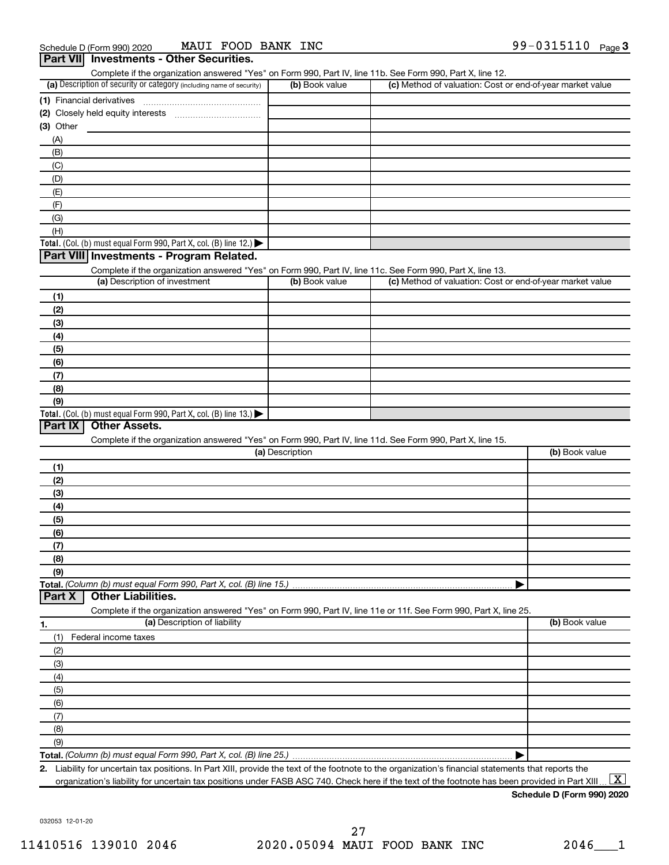| Complete if the organization answered "Yes" on Form 990, Part IV, line 11b. See Form 990, Part X, line 12.        |                 |                                                           |                |
|-------------------------------------------------------------------------------------------------------------------|-----------------|-----------------------------------------------------------|----------------|
| (a) Description of security or category (including name of security)                                              | (b) Book value  | (c) Method of valuation: Cost or end-of-year market value |                |
|                                                                                                                   |                 |                                                           |                |
|                                                                                                                   |                 |                                                           |                |
| $(3)$ Other                                                                                                       |                 |                                                           |                |
| (A)                                                                                                               |                 |                                                           |                |
| (B)                                                                                                               |                 |                                                           |                |
| (C)                                                                                                               |                 |                                                           |                |
|                                                                                                                   |                 |                                                           |                |
| (D)                                                                                                               |                 |                                                           |                |
| (E)                                                                                                               |                 |                                                           |                |
| (F)                                                                                                               |                 |                                                           |                |
| (G)                                                                                                               |                 |                                                           |                |
| (H)                                                                                                               |                 |                                                           |                |
| Total. (Col. (b) must equal Form 990, Part X, col. (B) line 12.)                                                  |                 |                                                           |                |
| Part VIII Investments - Program Related.                                                                          |                 |                                                           |                |
| Complete if the organization answered "Yes" on Form 990, Part IV, line 11c. See Form 990, Part X, line 13.        |                 |                                                           |                |
| (a) Description of investment                                                                                     | (b) Book value  | (c) Method of valuation: Cost or end-of-year market value |                |
| (1)                                                                                                               |                 |                                                           |                |
| (2)                                                                                                               |                 |                                                           |                |
| (3)                                                                                                               |                 |                                                           |                |
| (4)                                                                                                               |                 |                                                           |                |
| (5)                                                                                                               |                 |                                                           |                |
| (6)                                                                                                               |                 |                                                           |                |
| (7)                                                                                                               |                 |                                                           |                |
| (8)                                                                                                               |                 |                                                           |                |
|                                                                                                                   |                 |                                                           |                |
| (9)                                                                                                               |                 |                                                           |                |
| Total. (Col. (b) must equal Form 990, Part X, col. (B) line 13.)<br>Part IX<br><b>Other Assets.</b>               |                 |                                                           |                |
|                                                                                                                   |                 |                                                           |                |
| Complete if the organization answered "Yes" on Form 990, Part IV, line 11d. See Form 990, Part X, line 15.        |                 |                                                           |                |
|                                                                                                                   | (a) Description |                                                           | (b) Book value |
| (1)                                                                                                               |                 |                                                           |                |
| (2)                                                                                                               |                 |                                                           |                |
| (3)                                                                                                               |                 |                                                           |                |
| (4)                                                                                                               |                 |                                                           |                |
| (5)                                                                                                               |                 |                                                           |                |
| (6)                                                                                                               |                 |                                                           |                |
| (7)                                                                                                               |                 |                                                           |                |
| (8)                                                                                                               |                 |                                                           |                |
| (9)                                                                                                               |                 |                                                           |                |
| Total. (Column (b) must equal Form 990, Part X, col. (B) line 15.)                                                |                 |                                                           |                |
| <b>Other Liabilities.</b><br>Part X                                                                               |                 |                                                           |                |
| Complete if the organization answered "Yes" on Form 990, Part IV, line 11e or 11f. See Form 990, Part X, line 25. |                 |                                                           |                |
| (a) Description of liability                                                                                      |                 |                                                           | (b) Book value |
| 1.                                                                                                                |                 |                                                           |                |
| Federal income taxes<br>(1)                                                                                       |                 |                                                           |                |
| (2)                                                                                                               |                 |                                                           |                |
| (3)                                                                                                               |                 |                                                           |                |
| (4)                                                                                                               |                 |                                                           |                |
| (5)                                                                                                               |                 |                                                           |                |
| (6)                                                                                                               |                 |                                                           |                |
| (7)                                                                                                               |                 |                                                           |                |
| (8)                                                                                                               |                 |                                                           |                |
| (9)                                                                                                               |                 |                                                           |                |
| Total. (Column (b) must equal Form 990, Part X, col. (B) line 25.)                                                |                 |                                                           |                |
|                                                                                                                   |                 |                                                           |                |

2. Liability for uncertain tax positions. In Part XIII, provide the text of the footnote to the organization's financial statements that reports the organization's liability for uncertain tax positions under FASB ASC 740. Check here if the text of the footnote has been provided in Part XIII…  $\boxed{\mathrm{X}}$ 

Schedule D (Form 990) 2020

032053 12-01-20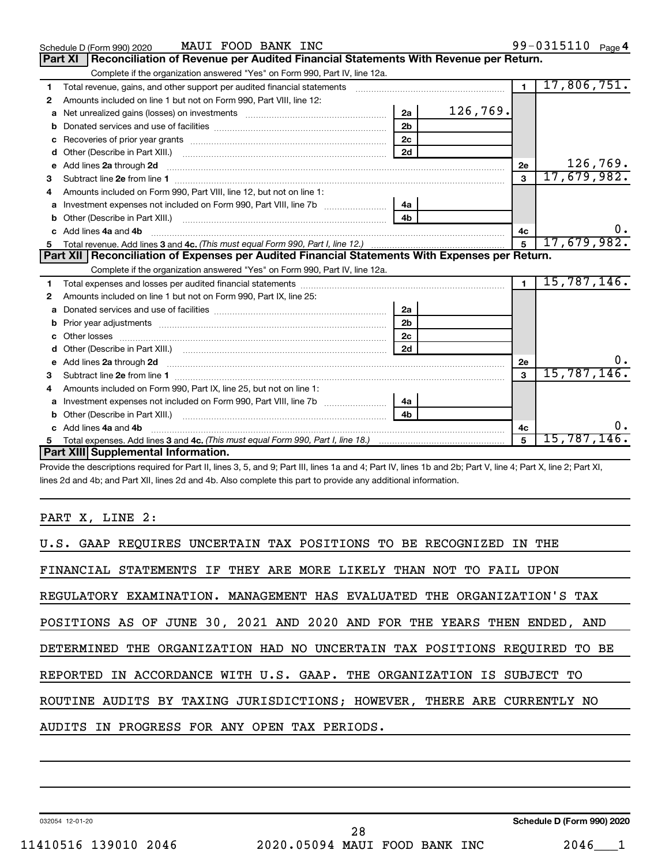|   | MAUI FOOD BANK INC<br>Schedule D (Form 990) 2020                                                                                                                                                                                                                                                                                                                                                                                                             |                |          |                | 99-0315110 Page 4   |          |
|---|--------------------------------------------------------------------------------------------------------------------------------------------------------------------------------------------------------------------------------------------------------------------------------------------------------------------------------------------------------------------------------------------------------------------------------------------------------------|----------------|----------|----------------|---------------------|----------|
|   | Reconciliation of Revenue per Audited Financial Statements With Revenue per Return.<br><b>Part XI</b>                                                                                                                                                                                                                                                                                                                                                        |                |          |                |                     |          |
|   | Complete if the organization answered "Yes" on Form 990, Part IV, line 12a.                                                                                                                                                                                                                                                                                                                                                                                  |                |          |                |                     |          |
| 1 | Total revenue, gains, and other support per audited financial statements [11] [11] Total revenue, gains, and other support per audited financial statements                                                                                                                                                                                                                                                                                                  |                |          | $\mathbf 1$    | 17,806,751.         |          |
| 2 | Amounts included on line 1 but not on Form 990, Part VIII, line 12:                                                                                                                                                                                                                                                                                                                                                                                          |                |          |                |                     |          |
| a | Net unrealized gains (losses) on investments [111] [12] matter contracts and the unrealized gains (losses) on investments [11] matter contracts and the unrealized gains (losses) on investments [11] matter contracts and the                                                                                                                                                                                                                               | 2a             | 126,769. |                |                     |          |
| b |                                                                                                                                                                                                                                                                                                                                                                                                                                                              | 2 <sub>b</sub> |          |                |                     |          |
| с |                                                                                                                                                                                                                                                                                                                                                                                                                                                              | 2c             |          |                |                     |          |
| d |                                                                                                                                                                                                                                                                                                                                                                                                                                                              | 2d             |          |                |                     |          |
| е | Add lines 2a through 2d                                                                                                                                                                                                                                                                                                                                                                                                                                      |                |          | 2e             |                     | 126,769. |
| з |                                                                                                                                                                                                                                                                                                                                                                                                                                                              |                |          | $\mathbf{3}$   | 17,679,982.         |          |
|   | Amounts included on Form 990, Part VIII, line 12, but not on line 1:                                                                                                                                                                                                                                                                                                                                                                                         |                |          |                |                     |          |
| a |                                                                                                                                                                                                                                                                                                                                                                                                                                                              | 4a             |          |                |                     |          |
|   | Other (Describe in Part XIII.)<br>$\overline{a_1, \ldots, a_n, \ldots, a_n, \ldots, a_n, \ldots, a_n, \ldots, a_n, \ldots, a_n, \ldots, a_n, \ldots, a_n, \ldots, a_n, \ldots, a_n, \ldots, a_n, \ldots, a_n, \ldots, a_n, \ldots, a_n, \ldots, a_n, \ldots, a_n, \ldots, a_n, \ldots, a_n, \ldots, a_n, \ldots, a_n, \ldots, a_n, \ldots, a_n, \ldots, a_n, \ldots, a_n, \ldots, a_n, \ldots, a_n, \ldots, a_n, \ldots, a_n, \ldots, a_n, \ldots, a_n, \ld$ | 4 <sub>b</sub> |          |                |                     |          |
|   | Add lines 4a and 4b                                                                                                                                                                                                                                                                                                                                                                                                                                          |                |          | 4с             |                     | υ.       |
| 5 |                                                                                                                                                                                                                                                                                                                                                                                                                                                              |                |          | 5              | 17,679,982.         |          |
|   | Part XII   Reconciliation of Expenses per Audited Financial Statements With Expenses per Return.                                                                                                                                                                                                                                                                                                                                                             |                |          |                |                     |          |
|   | Complete if the organization answered "Yes" on Form 990, Part IV, line 12a.                                                                                                                                                                                                                                                                                                                                                                                  |                |          |                |                     |          |
| 1 |                                                                                                                                                                                                                                                                                                                                                                                                                                                              |                |          | $\blacksquare$ | 15,787,146.         |          |
| 2 | Amounts included on line 1 but not on Form 990, Part IX, line 25:                                                                                                                                                                                                                                                                                                                                                                                            |                |          |                |                     |          |
| a |                                                                                                                                                                                                                                                                                                                                                                                                                                                              | 2a             |          |                |                     |          |
| b |                                                                                                                                                                                                                                                                                                                                                                                                                                                              | 2 <sub>b</sub> |          |                |                     |          |
|   |                                                                                                                                                                                                                                                                                                                                                                                                                                                              | 2c             |          |                |                     |          |
| d |                                                                                                                                                                                                                                                                                                                                                                                                                                                              | 2d             |          |                |                     |          |
| e | Add lines 2a through 2d <b>[10]</b> [20] <b>All (20)</b> [20] [20] <b>All (20)</b> [30] <b>All (20)</b> [30] <b>All (20)</b> [30] <b>All (20)</b> [30] <b>All (20)</b> [30] <b>All (20)</b> [30] <b>All (20)</b> [30] <b>All (20)</b> [30] <b>All (20) All (20) All (20) All</b>                                                                                                                                                                             |                |          | <b>2e</b>      |                     |          |
| З |                                                                                                                                                                                                                                                                                                                                                                                                                                                              |                |          | 3              | 15,787,146.         |          |
| 4 | Amounts included on Form 990, Part IX, line 25, but not on line 1:                                                                                                                                                                                                                                                                                                                                                                                           |                |          |                |                     |          |
| a |                                                                                                                                                                                                                                                                                                                                                                                                                                                              | 4a             |          |                |                     |          |
|   |                                                                                                                                                                                                                                                                                                                                                                                                                                                              | 4 <sub>b</sub> |          |                |                     |          |
|   | Add lines 4a and 4b                                                                                                                                                                                                                                                                                                                                                                                                                                          |                |          | 4c             |                     |          |
| 5 |                                                                                                                                                                                                                                                                                                                                                                                                                                                              |                |          | 5              | 15,787,146 <b>.</b> |          |
|   | Part XIII Supplemental Information.                                                                                                                                                                                                                                                                                                                                                                                                                          |                |          |                |                     |          |

Provide the descriptions required for Part II, lines 3, 5, and 9; Part III, lines 1a and 4; Part IV, lines 1b and 2b; Part V, line 4; Part X, line 2; Part XI, lines 2d and 4b; and Part XII, lines 2d and 4b. Also complete this part to provide any additional information.

# PART X, LINE 2:

| U.S. GAAP REOUIRES UNCERTAIN TAX POSITIONS TO BE RECOGNIZED IN THE        |
|---------------------------------------------------------------------------|
| FINANCIAL STATEMENTS IF THEY ARE MORE LIKELY THAN NOT TO FAIL UPON        |
| REGULATORY EXAMINATION. MANAGEMENT HAS EVALUATED THE ORGANIZATION'S TAX   |
| POSITIONS AS OF JUNE 30, 2021 AND 2020 AND FOR THE YEARS THEN ENDED, AND  |
| DETERMINED THE ORGANIZATION HAD NO UNCERTAIN TAX POSITIONS REQUIRED TO BE |
| REPORTED IN ACCORDANCE WITH U.S. GAAP. THE ORGANIZATION IS SUBJECT TO     |
| ROUTINE AUDITS BY TAXING JURISDICTIONS; HOWEVER, THERE ARE CURRENTLY NO   |
| AUDITS IN PROGRESS FOR ANY OPEN TAX PERIODS.                              |

032054 12-01-20

Schedule D (Form 990) 2020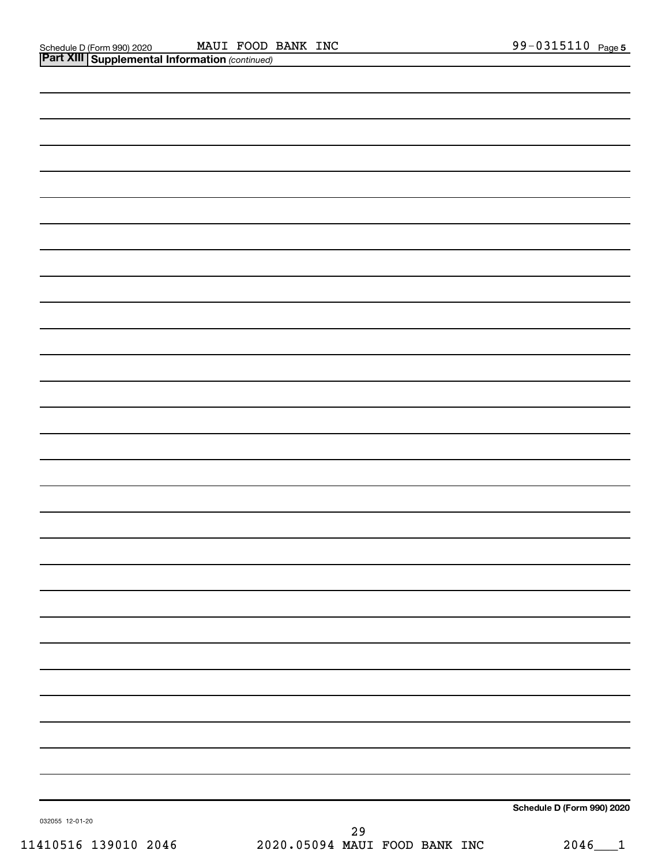| 032055 12-01-20 | Schedule D (Form 990) 2020 |
|-----------------|----------------------------|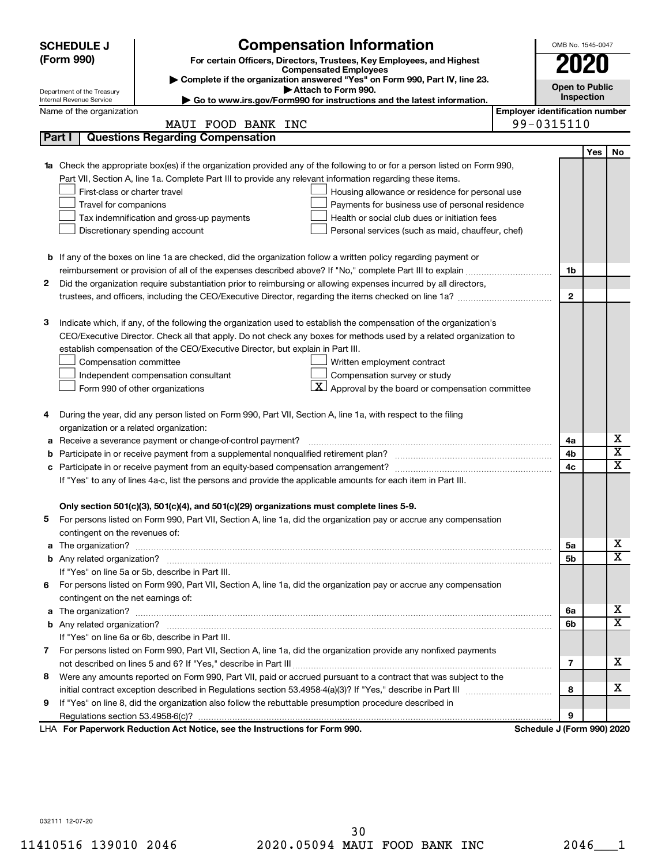|    | <b>SCHEDULE J</b>                       | <b>Compensation Information</b>                                                                                           |                                       | OMB No. 1545-0047          |     |             |
|----|-----------------------------------------|---------------------------------------------------------------------------------------------------------------------------|---------------------------------------|----------------------------|-----|-------------|
|    | (Form 990)                              | For certain Officers, Directors, Trustees, Key Employees, and Highest                                                     |                                       | 2020                       |     |             |
|    |                                         | <b>Compensated Employees</b>                                                                                              |                                       |                            |     |             |
|    | Department of the Treasury              | Complete if the organization answered "Yes" on Form 990, Part IV, line 23.<br>Attach to Form 990.                         |                                       | <b>Open to Public</b>      |     |             |
|    | Internal Revenue Service                | Go to www.irs.gov/Form990 for instructions and the latest information.                                                    |                                       | Inspection                 |     |             |
|    | Name of the organization                |                                                                                                                           | <b>Employer identification number</b> |                            |     |             |
|    |                                         | MAUI FOOD BANK INC                                                                                                        |                                       | 99-0315110                 |     |             |
|    | Part I                                  | <b>Questions Regarding Compensation</b>                                                                                   |                                       |                            |     |             |
|    |                                         |                                                                                                                           |                                       |                            | Yes | No          |
|    |                                         | 1a Check the appropriate box(es) if the organization provided any of the following to or for a person listed on Form 990, |                                       |                            |     |             |
|    |                                         | Part VII, Section A, line 1a. Complete Part III to provide any relevant information regarding these items.                |                                       |                            |     |             |
|    | First-class or charter travel           | Housing allowance or residence for personal use                                                                           |                                       |                            |     |             |
|    | Travel for companions                   | Payments for business use of personal residence                                                                           |                                       |                            |     |             |
|    |                                         | Health or social club dues or initiation fees<br>Tax indemnification and gross-up payments                                |                                       |                            |     |             |
|    |                                         | Discretionary spending account<br>Personal services (such as maid, chauffeur, chef)                                       |                                       |                            |     |             |
|    |                                         |                                                                                                                           |                                       |                            |     |             |
|    |                                         | <b>b</b> If any of the boxes on line 1a are checked, did the organization follow a written policy regarding payment or    |                                       |                            |     |             |
|    |                                         |                                                                                                                           |                                       | 1b                         |     |             |
| 2  |                                         | Did the organization require substantiation prior to reimbursing or allowing expenses incurred by all directors,          |                                       |                            |     |             |
|    |                                         |                                                                                                                           |                                       | $\mathbf{2}$               |     |             |
|    |                                         | Indicate which, if any, of the following the organization used to establish the compensation of the organization's        |                                       |                            |     |             |
| з  |                                         | CEO/Executive Director. Check all that apply. Do not check any boxes for methods used by a related organization to        |                                       |                            |     |             |
|    |                                         | establish compensation of the CEO/Executive Director, but explain in Part III.                                            |                                       |                            |     |             |
|    | Compensation committee                  | Written employment contract                                                                                               |                                       |                            |     |             |
|    |                                         | Compensation survey or study<br>Independent compensation consultant                                                       |                                       |                            |     |             |
|    |                                         | $\mathbf{X}$ Approval by the board or compensation committee<br>Form 990 of other organizations                           |                                       |                            |     |             |
|    |                                         |                                                                                                                           |                                       |                            |     |             |
| 4  |                                         | During the year, did any person listed on Form 990, Part VII, Section A, line 1a, with respect to the filing              |                                       |                            |     |             |
|    | organization or a related organization: |                                                                                                                           |                                       |                            |     |             |
| а  |                                         | Receive a severance payment or change-of-control payment?                                                                 |                                       | 4a                         |     | х           |
| b  |                                         |                                                                                                                           |                                       | 4b                         |     | х           |
|    |                                         |                                                                                                                           |                                       | 4c                         |     | $\mathbf x$ |
|    |                                         | If "Yes" to any of lines 4a-c, list the persons and provide the applicable amounts for each item in Part III.             |                                       |                            |     |             |
|    |                                         |                                                                                                                           |                                       |                            |     |             |
|    |                                         | Only section 501(c)(3), 501(c)(4), and 501(c)(29) organizations must complete lines 5-9.                                  |                                       |                            |     |             |
|    |                                         | For persons listed on Form 990, Part VII, Section A, line 1a, did the organization pay or accrue any compensation         |                                       |                            |     |             |
|    | contingent on the revenues of:          |                                                                                                                           |                                       |                            |     |             |
|    |                                         |                                                                                                                           |                                       | 5а                         |     | х           |
|    |                                         |                                                                                                                           |                                       | 5b                         |     | x           |
|    |                                         | If "Yes" on line 5a or 5b, describe in Part III.                                                                          |                                       |                            |     |             |
| 6. |                                         | For persons listed on Form 990, Part VII, Section A, line 1a, did the organization pay or accrue any compensation         |                                       |                            |     |             |
|    | contingent on the net earnings of:      |                                                                                                                           |                                       |                            |     |             |
|    |                                         |                                                                                                                           |                                       | 6a                         |     | х           |
|    |                                         |                                                                                                                           |                                       | 6b                         |     | x           |
|    |                                         | If "Yes" on line 6a or 6b, describe in Part III.                                                                          |                                       |                            |     |             |
|    |                                         | 7 For persons listed on Form 990, Part VII, Section A, line 1a, did the organization provide any nonfixed payments        |                                       |                            |     |             |
|    |                                         |                                                                                                                           |                                       | 7                          |     | х           |
| 8  |                                         | Were any amounts reported on Form 990, Part VII, paid or accrued pursuant to a contract that was subject to the           |                                       |                            |     |             |
|    |                                         |                                                                                                                           |                                       | 8                          |     | х           |
| 9  |                                         | If "Yes" on line 8, did the organization also follow the rebuttable presumption procedure described in                    |                                       |                            |     |             |
|    |                                         |                                                                                                                           |                                       | 9                          |     |             |
|    |                                         | LHA For Paperwork Reduction Act Notice, see the Instructions for Form 990.                                                |                                       | Schedule J (Form 990) 2020 |     |             |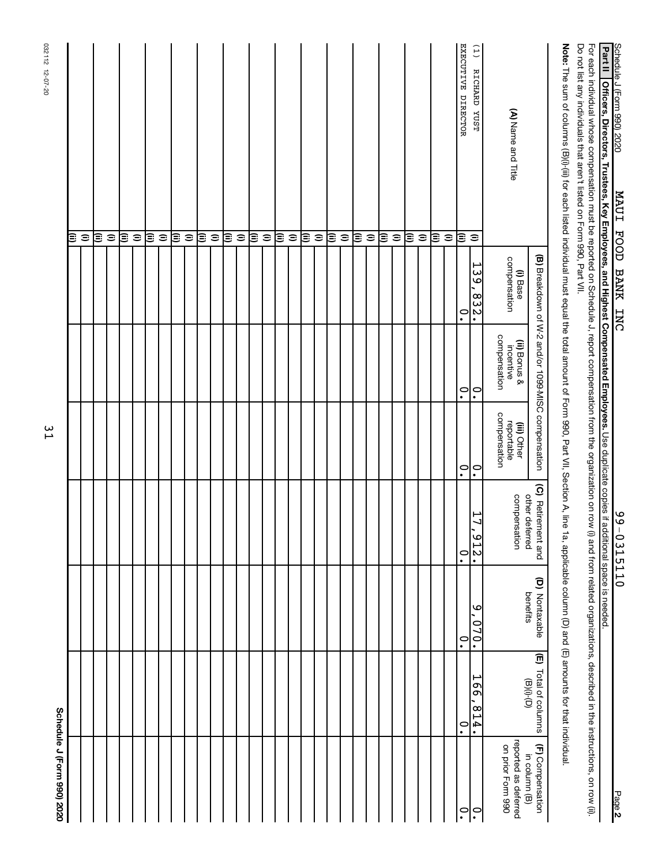| Schedule J (Form 990) 2020                |                                       |                                                                                 |                                      |                                           |                                                    |                          |                                                                                                                                                                                                  |
|-------------------------------------------|---------------------------------------|---------------------------------------------------------------------------------|--------------------------------------|-------------------------------------------|----------------------------------------------------|--------------------------|--------------------------------------------------------------------------------------------------------------------------------------------------------------------------------------------------|
|                                           |                                       |                                                                                 |                                      |                                           |                                                    |                          | Œ                                                                                                                                                                                                |
|                                           |                                       |                                                                                 |                                      |                                           |                                                    |                          | $\widehat{=}$                                                                                                                                                                                    |
|                                           |                                       |                                                                                 |                                      |                                           |                                                    |                          | ι≣                                                                                                                                                                                               |
|                                           |                                       |                                                                                 |                                      |                                           |                                                    |                          | $\widehat{=}$                                                                                                                                                                                    |
|                                           |                                       |                                                                                 |                                      |                                           |                                                    |                          | ι≣                                                                                                                                                                                               |
|                                           |                                       |                                                                                 |                                      |                                           |                                                    |                          | $\widehat{=}$                                                                                                                                                                                    |
|                                           |                                       |                                                                                 |                                      |                                           |                                                    |                          | ι≣                                                                                                                                                                                               |
|                                           |                                       |                                                                                 |                                      |                                           |                                                    |                          | $\widehat{=}$                                                                                                                                                                                    |
|                                           |                                       |                                                                                 |                                      |                                           |                                                    |                          | િ                                                                                                                                                                                                |
|                                           |                                       |                                                                                 |                                      |                                           |                                                    |                          | $\widehat{=}$                                                                                                                                                                                    |
|                                           |                                       |                                                                                 |                                      |                                           |                                                    |                          | ι≣                                                                                                                                                                                               |
|                                           |                                       |                                                                                 |                                      |                                           |                                                    |                          | $\widehat{=}$                                                                                                                                                                                    |
|                                           |                                       |                                                                                 |                                      |                                           |                                                    |                          | ε                                                                                                                                                                                                |
|                                           |                                       |                                                                                 |                                      |                                           |                                                    |                          | $\widehat{=}$                                                                                                                                                                                    |
|                                           |                                       |                                                                                 |                                      |                                           |                                                    |                          | ε                                                                                                                                                                                                |
|                                           |                                       |                                                                                 |                                      |                                           |                                                    |                          | $\widehat{=}$                                                                                                                                                                                    |
|                                           |                                       |                                                                                 |                                      |                                           |                                                    |                          | ι≣                                                                                                                                                                                               |
|                                           |                                       |                                                                                 |                                      |                                           |                                                    |                          | $\widehat{=}$                                                                                                                                                                                    |
|                                           |                                       |                                                                                 |                                      |                                           |                                                    |                          | ι≣                                                                                                                                                                                               |
|                                           |                                       |                                                                                 |                                      |                                           |                                                    |                          | $\widehat{=}$                                                                                                                                                                                    |
|                                           |                                       |                                                                                 |                                      |                                           |                                                    |                          | ε                                                                                                                                                                                                |
|                                           |                                       |                                                                                 |                                      |                                           |                                                    |                          | $\widehat{=}$                                                                                                                                                                                    |
|                                           |                                       |                                                                                 |                                      |                                           |                                                    |                          | ι≣                                                                                                                                                                                               |
|                                           |                                       |                                                                                 |                                      |                                           |                                                    |                          | $\widehat{=}$                                                                                                                                                                                    |
|                                           |                                       |                                                                                 |                                      |                                           |                                                    |                          | ι≣                                                                                                                                                                                               |
|                                           |                                       |                                                                                 |                                      |                                           |                                                    |                          | $\widehat{=}$                                                                                                                                                                                    |
|                                           |                                       |                                                                                 |                                      |                                           |                                                    |                          | β                                                                                                                                                                                                |
|                                           |                                       |                                                                                 |                                      |                                           |                                                    |                          | $\widehat{=}$                                                                                                                                                                                    |
|                                           |                                       |                                                                                 |                                      |                                           |                                                    |                          | ε                                                                                                                                                                                                |
|                                           |                                       |                                                                                 |                                      |                                           |                                                    |                          | $\widehat{=}$                                                                                                                                                                                    |
| $\ddot{\phantom{0}}$                      | $\ddot{\phantom{0}}$                  | $\ddot{\phantom{0}}$                                                            | $\cdot$                              | $\overset{\circ}{\cdot}$                  | $\overset{\circ}{\cdot}$                           | $\ddot{\circ}$           | EXECUTIVE DIRECTOR<br>ε                                                                                                                                                                          |
| $\ddot{\phantom{0}}$                      | ۳<br>99<br>814.                       | ৩<br>.070                                                                       | 17<br>$-212.$                        | $\ddot{\circ}$                            | $\ddot{\cdot}$                                     | 139<br>.832.             | (1)<br>RICHARD YUST<br>$\widehat{=}$                                                                                                                                                             |
| reported as deferred<br>on prior Form 990 |                                       |                                                                                 | compensation                         | compensation<br>reportable<br>(iii) Other | compensation<br>(ii) Bonus &<br>incentive          | compensation<br>(i) Base | (A) Name and Title                                                                                                                                                                               |
| (F) Compensation<br>in column (B)         | (E) Total of columns<br>$\Theta(0,0)$ | (D) Nontaxable<br>benefits                                                      | (C) Retirement and<br>other deferred |                                           | (B) Breakdown of W-2 and/or 1099-MISC compensation |                          |                                                                                                                                                                                                  |
|                                           |                                       | 1a, applicable column (D) and (E) amounts for that individual.                  |                                      |                                           |                                                    |                          | <b>Note:</b> The sum of columns (B)(i); for each listed individual must equal the total amount of Form 990, Part VII, Section A, line                                                            |
|                                           |                                       | (i) and from related organizations, described in the instructions, on row (ii). |                                      |                                           |                                                    |                          | Do not list any individuals that aren't listed on Form 990, Part VII.<br>For each individual whose compensation must be reported on Schedule J, report compensation from the organization on row |
|                                           |                                       |                                                                                 |                                      |                                           |                                                    |                          | Part II<br>Officers, Directors, Trustees, Key Employees, and Highest Compensated Employees. Use duplicate copies if additional space is needed.                                                  |
| Page 2                                    |                                       |                                                                                 | $9 - 0315110$                        |                                           |                                                    | MAUI FOOD BANK INC       | Schedule J (Form 990) 2020                                                                                                                                                                       |

31

032112 12-07-20

032112 12-07-20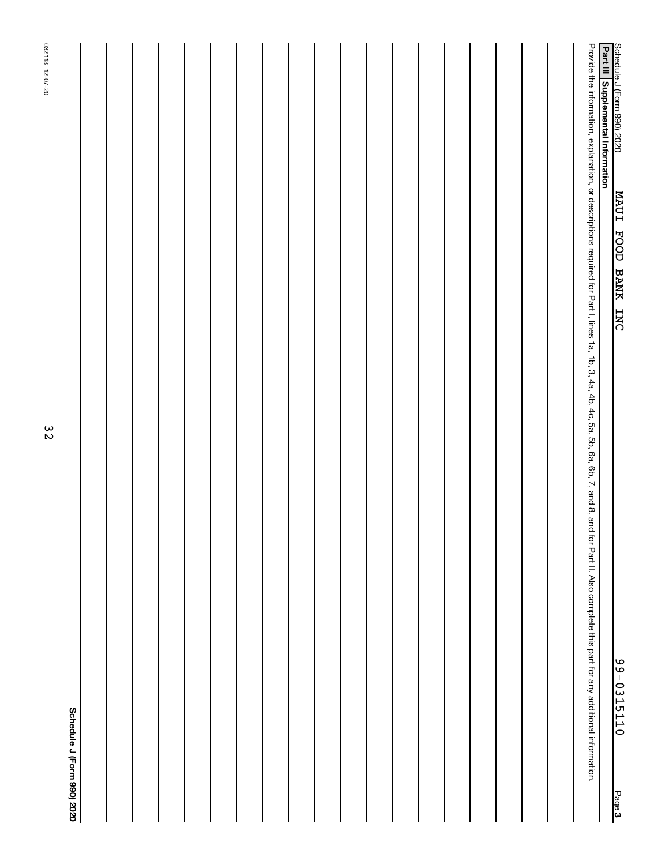|        | 32<br>Schedule J (Form 990) 2020                                                                                                                                                                  | 032113 12-07-20 |
|--------|---------------------------------------------------------------------------------------------------------------------------------------------------------------------------------------------------|-----------------|
|        |                                                                                                                                                                                                   |                 |
|        |                                                                                                                                                                                                   |                 |
|        |                                                                                                                                                                                                   |                 |
|        |                                                                                                                                                                                                   |                 |
|        |                                                                                                                                                                                                   |                 |
|        |                                                                                                                                                                                                   |                 |
|        |                                                                                                                                                                                                   |                 |
|        |                                                                                                                                                                                                   |                 |
|        |                                                                                                                                                                                                   |                 |
|        |                                                                                                                                                                                                   |                 |
|        |                                                                                                                                                                                                   |                 |
|        |                                                                                                                                                                                                   |                 |
|        |                                                                                                                                                                                                   |                 |
|        |                                                                                                                                                                                                   |                 |
|        |                                                                                                                                                                                                   |                 |
|        |                                                                                                                                                                                                   |                 |
|        |                                                                                                                                                                                                   |                 |
|        |                                                                                                                                                                                                   |                 |
|        |                                                                                                                                                                                                   |                 |
|        | Provide the information, explanation, or descriptions required for Part I, lines 1a, 1b, 3, 4a, 4b, 4c, 5a, 6b, 7, and 8, and for Part I. Also complete this part for any additional information. |                 |
| Page 3 | Schedule J (Form 990) 2020<br><b>Part III   Supplemental Information</b><br>MAUI FOOD BANK INC<br>$9 - 0315110$                                                                                   |                 |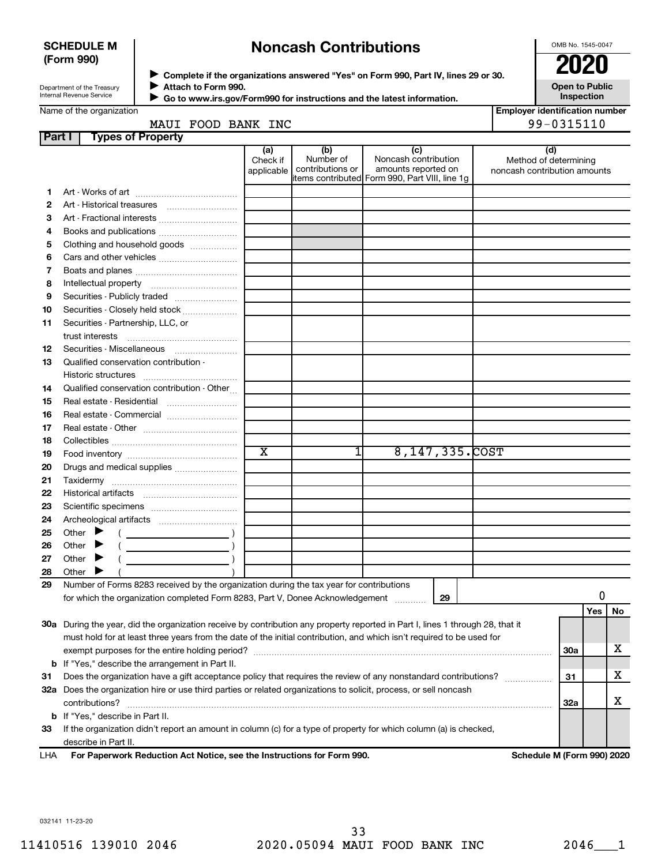## SCHEDULE M (Form 990)

# Noncash Contributions

OMB No. 1545-0047

Employer identification number

| Department of the Treasury |  |
|----------------------------|--|
| Internal Revenue Service   |  |

Complete if the organizations answered "Yes" on Form 990, Part IV, lines 29 or 30. Attach to Form 990.

Go to www.irs.gov/Form990 for instructions and the latest information. J

Open to Public Inspection

| . |                |       |            |
|---|----------------|-------|------------|
|   | MAUI FOOD BANK | : INC | 99-0315110 |

| <b>Part I</b> | <b>Types of Property</b>                                                                                                       |                               |                                      |                                                                                                      |                                                              |            |     |    |
|---------------|--------------------------------------------------------------------------------------------------------------------------------|-------------------------------|--------------------------------------|------------------------------------------------------------------------------------------------------|--------------------------------------------------------------|------------|-----|----|
|               |                                                                                                                                | (a)<br>Check if<br>applicable | (b)<br>Number of<br>contributions or | (c)<br>Noncash contribution<br>amounts reported on<br>items contributed Form 990, Part VIII, line 1g | (d)<br>Method of determining<br>noncash contribution amounts |            |     |    |
| 1.            |                                                                                                                                |                               |                                      |                                                                                                      |                                                              |            |     |    |
| 2             | Art - Historical treasures                                                                                                     |                               |                                      |                                                                                                      |                                                              |            |     |    |
| з             | Art - Fractional interests                                                                                                     |                               |                                      |                                                                                                      |                                                              |            |     |    |
| 4             | Books and publications                                                                                                         |                               |                                      |                                                                                                      |                                                              |            |     |    |
| 5             | Clothing and household goods                                                                                                   |                               |                                      |                                                                                                      |                                                              |            |     |    |
| 6             |                                                                                                                                |                               |                                      |                                                                                                      |                                                              |            |     |    |
| 7             |                                                                                                                                |                               |                                      |                                                                                                      |                                                              |            |     |    |
| 8             |                                                                                                                                |                               |                                      |                                                                                                      |                                                              |            |     |    |
| 9             | Securities - Publicly traded                                                                                                   |                               |                                      |                                                                                                      |                                                              |            |     |    |
| 10            | Securities - Closely held stock                                                                                                |                               |                                      |                                                                                                      |                                                              |            |     |    |
| 11            | Securities - Partnership, LLC, or<br>trust interests                                                                           |                               |                                      |                                                                                                      |                                                              |            |     |    |
| 12            | Securities - Miscellaneous                                                                                                     |                               |                                      |                                                                                                      |                                                              |            |     |    |
| 13            | Qualified conservation contribution -                                                                                          |                               |                                      |                                                                                                      |                                                              |            |     |    |
|               |                                                                                                                                |                               |                                      |                                                                                                      |                                                              |            |     |    |
| 14            | Qualified conservation contribution - Other                                                                                    |                               |                                      |                                                                                                      |                                                              |            |     |    |
| 15            | Real estate - Residential                                                                                                      |                               |                                      |                                                                                                      |                                                              |            |     |    |
| 16            |                                                                                                                                |                               |                                      |                                                                                                      |                                                              |            |     |    |
| 17            |                                                                                                                                |                               |                                      |                                                                                                      |                                                              |            |     |    |
| 18            |                                                                                                                                |                               |                                      |                                                                                                      |                                                              |            |     |    |
| 19            |                                                                                                                                | $\overline{\text{x}}$         | 1                                    | 8, 147, 335. COST                                                                                    |                                                              |            |     |    |
| 20            | Drugs and medical supplies                                                                                                     |                               |                                      |                                                                                                      |                                                              |            |     |    |
| 21            |                                                                                                                                |                               |                                      |                                                                                                      |                                                              |            |     |    |
| 22            |                                                                                                                                |                               |                                      |                                                                                                      |                                                              |            |     |    |
| 23            |                                                                                                                                |                               |                                      |                                                                                                      |                                                              |            |     |    |
| 24            |                                                                                                                                |                               |                                      |                                                                                                      |                                                              |            |     |    |
| 25            | Other $\blacktriangleright$                                                                                                    |                               |                                      |                                                                                                      |                                                              |            |     |    |
| 26            | Other                                                                                                                          |                               |                                      |                                                                                                      |                                                              |            |     |    |
| 27            | Other $\blacktriangleright$<br><u> 1980 - Johann Barbara, martin a</u>                                                         |                               |                                      |                                                                                                      |                                                              |            |     |    |
| 28            | Other                                                                                                                          |                               |                                      |                                                                                                      |                                                              |            |     |    |
| 29            | Number of Forms 8283 received by the organization during the tax year for contributions                                        |                               |                                      |                                                                                                      |                                                              |            |     |    |
|               | for which the organization completed Form 8283, Part V, Donee Acknowledgement                                                  |                               |                                      | 29                                                                                                   |                                                              |            | 0   |    |
|               |                                                                                                                                |                               |                                      |                                                                                                      |                                                              |            | Yes | No |
|               | 30a During the year, did the organization receive by contribution any property reported in Part I, lines 1 through 28, that it |                               |                                      |                                                                                                      |                                                              |            |     |    |
|               | must hold for at least three years from the date of the initial contribution, and which isn't required to be used for          |                               |                                      |                                                                                                      |                                                              |            |     |    |
|               |                                                                                                                                |                               |                                      |                                                                                                      |                                                              | <b>30a</b> |     | х  |
|               | <b>b</b> If "Yes," describe the arrangement in Part II.                                                                        |                               |                                      |                                                                                                      |                                                              |            |     |    |
| 31            | Does the organization have a gift acceptance policy that requires the review of any nonstandard contributions?                 |                               |                                      |                                                                                                      |                                                              | 31         |     | х  |
|               | 32a Does the organization hire or use third parties or related organizations to solicit, process, or sell noncash              |                               |                                      |                                                                                                      |                                                              |            |     |    |
|               | contributions?                                                                                                                 |                               |                                      |                                                                                                      |                                                              | 32a        |     | х  |
|               | <b>b</b> If "Yes," describe in Part II.                                                                                        |                               |                                      |                                                                                                      |                                                              |            |     |    |
| 33            | If the organization didn't report an amount in column (c) for a type of property for which column (a) is checked,              |                               |                                      |                                                                                                      |                                                              |            |     |    |
| <b>IIIA</b>   | describe in Part II.<br>expects Reduction Act Notice, and the Instructions for Form 000                                        |                               |                                      |                                                                                                      | Calcadola M (Fause 000) 0000                                 |            |     |    |

For Paperwork Reduction Act Notice, see the Instructions for Form 990. Schedule M (Form 990) 2020 LHA

032141 11-23-20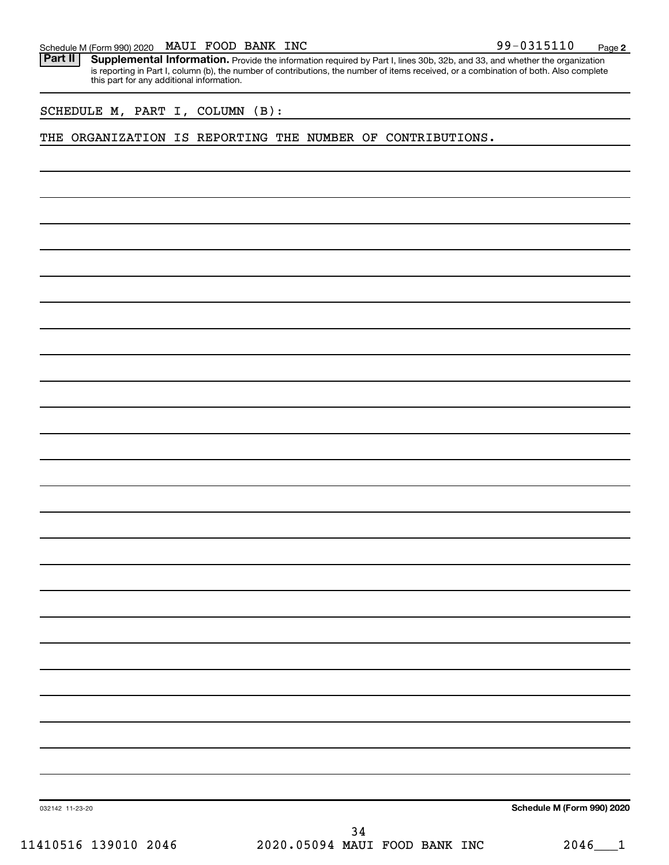| Schedule M (Form 990) 2020 MAUI FOOD BANK INC |  |  |  |  |  |  | 99-0315110 | Page |  |
|-----------------------------------------------|--|--|--|--|--|--|------------|------|--|
|-----------------------------------------------|--|--|--|--|--|--|------------|------|--|

Part II | Supplemental Information. Provide the information required by Part I, lines 30b, 32b, and 33, and whether the organization is reporting in Part I, column (b), the number of contributions, the number of items received, or a combination of both. Also complete this part for any additional information.

SCHEDULE M, PART I, COLUMN (B):

THE ORGANIZATION IS REPORTING THE NUMBER OF CONTRIBUTIONS.

Schedule M (Form 990) 2020

032142 11-23-20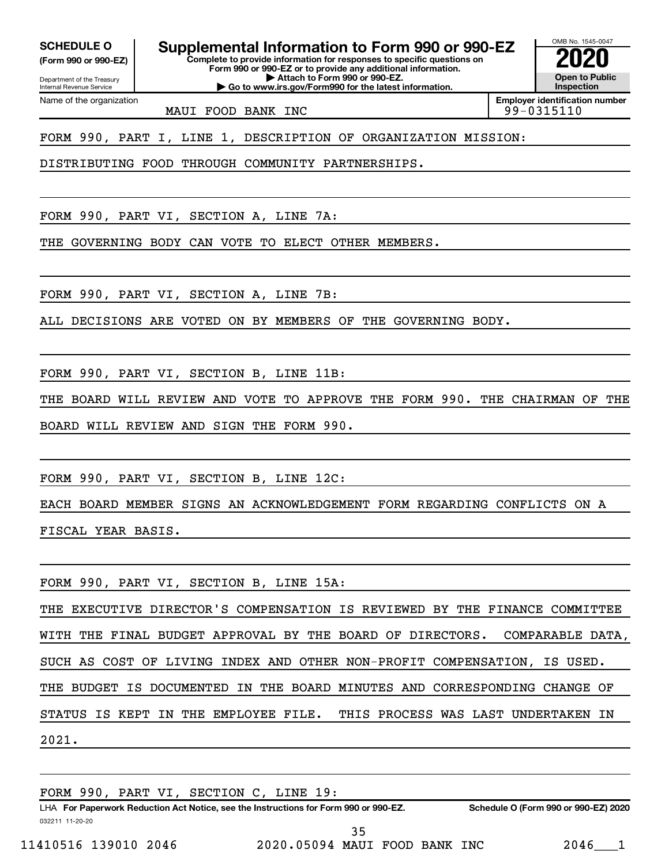Department of the Treasury (Form 990 or 990-EZ)

Name of the organization

Internal Revenue Service

SCHEDULE O Supplemental Information to Form 990 or 990-EZ  $\frac{1008 \text{ Na} \cdot \text{Si} \cdot \text{Si}}{2020}$ 

Complete to provide information for responses to specific questions on Form 990 or 990-EZ or to provide any additional information. | Attach to Form 990 or 990-EZ.

| Go to www.irs.gov/Form990 for the latest information.

MAUI FOOD BANK INC

FORM 990, PART I, LINE 1, DESCRIPTION OF ORGANIZATION MISSION:

DISTRIBUTING FOOD THROUGH COMMUNITY PARTNERSHIPS.

FORM 990, PART VI, SECTION A, LINE 7A:

THE GOVERNING BODY CAN VOTE TO ELECT OTHER MEMBERS.

FORM 990, PART VI, SECTION A, LINE 7B:

ALL DECISIONS ARE VOTED ON BY MEMBERS OF THE GOVERNING BODY.

FORM 990, PART VI, SECTION B, LINE 11B:

THE BOARD WILL REVIEW AND VOTE TO APPROVE THE FORM 990. THE CHAIRMAN OF THE BOARD WILL REVIEW AND SIGN THE FORM 990.

FORM 990, PART VI, SECTION B, LINE 12C:

EACH BOARD MEMBER SIGNS AN ACKNOWLEDGEMENT FORM REGARDING CONFLICTS ON A FISCAL YEAR BASIS.

FORM 990, PART VI, SECTION B, LINE 15A:

THE EXECUTIVE DIRECTOR'S COMPENSATION IS REVIEWED BY THE FINANCE COMMITTEE WITH THE FINAL BUDGET APPROVAL BY THE BOARD OF DIRECTORS. COMPARABLE DATA, SUCH AS COST OF LIVING INDEX AND OTHER NON-PROFIT COMPENSATION, IS USED. THE BUDGET IS DOCUMENTED IN THE BOARD MINUTES AND CORRESPONDING CHANGE OF STATUS IS KEPT IN THE EMPLOYEE FILE. THIS PROCESS WAS LAST UNDERTAKEN IN 2021.

FORM 990, PART VI, SECTION C, LINE 19:

032211 11-20-20 LHA For Paperwork Reduction Act Notice, see the Instructions for Form 990 or 990-EZ. Schedule O (Form 990 or 990-EZ) 2020 בולא

OMB No. 1545-0047

Open to Public Inspection

Employer identification number<br>99 - 0315110